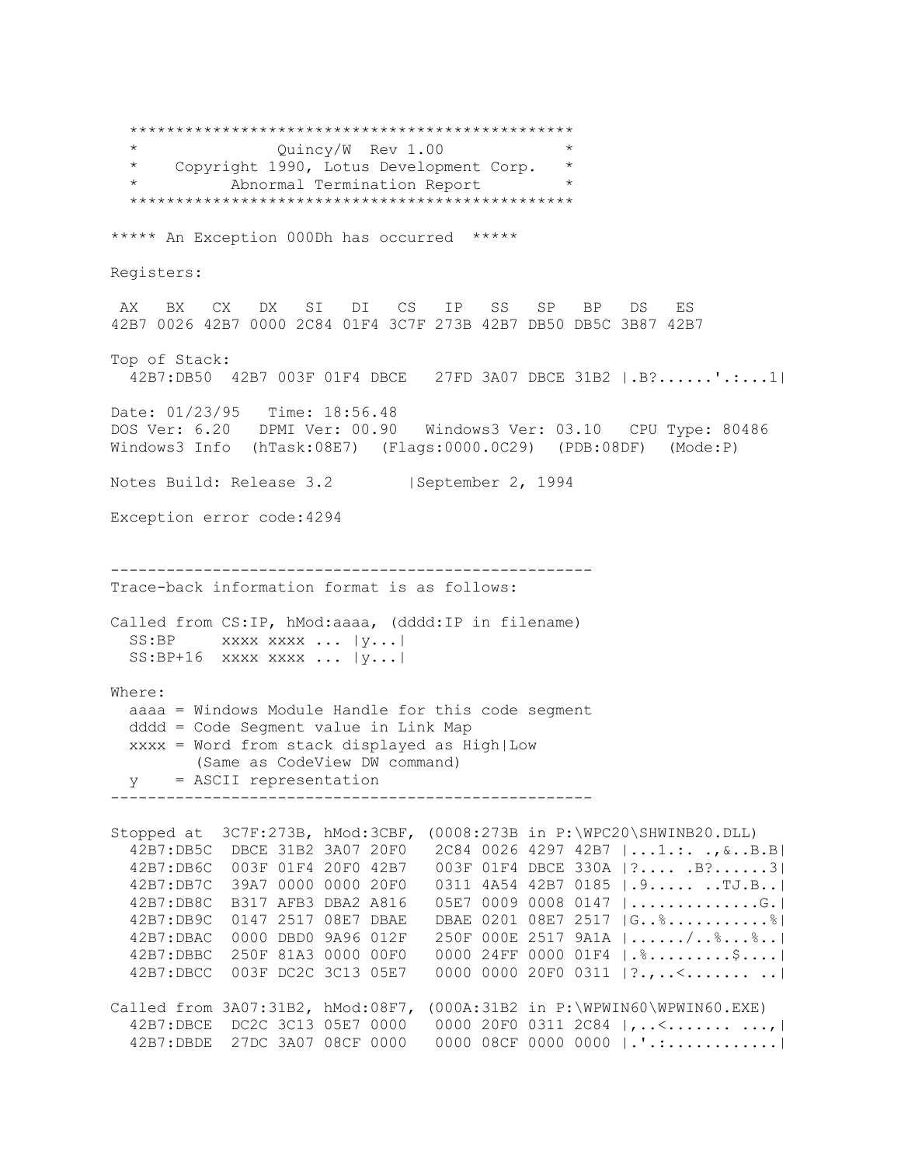\*\*\*\*\*\*\*\*\*\*\*\*\*\*\*\*\*\*\*\*\*\*\*\*\*\*\*\*\*\*\*\*\*\*\*\*\*\*\*\*\*\*\*\*\*\*\*\* \* Quincy/W Rev 1.00 \* \* Copyright 1990, Lotus Development Corp. \* Abnormal Termination Report \*\*\*\*\*\*\*\*\*\*\*\*\*\*\*\*\*\*\*\*\*\*\*\*\*\*\*\*\*\*\*\*\*\*\*\*\*\*\*\*\*\*\*\*\*\*\*\* \*\*\*\*\* An Exception 000Dh has occurred \*\*\*\*\* Registers: AX BX CX DX SI DI CS IP SS SP BP DS ES 42B7 0026 42B7 0000 2C84 01F4 3C7F 273B 42B7 DB50 DB5C 3B87 42B7 Top of Stack: 42B7:DB50 42B7 003F 01F4 DBCE 27FD 3A07 DBCE 31B2 |.B?......'.:...1| Date: 01/23/95 Time: 18:56.48 DOS Ver: 6.20 DPMI Ver: 00.90 Windows3 Ver: 03.10 CPU Type: 80486 Windows3 Info (hTask:08E7) (Flags:0000.0C29) (PDB:08DF) (Mode:P) Notes Build: Release 3.2 | September 2, 1994 Exception error code:4294 ---------------------------------------------------- Trace-back information format is as follows: Called from CS:IP, hMod:aaaa, (dddd:IP in filename) SS:BP xxxx xxxx ... | y... | SS:BP+16 xxxx xxxx ... |y...| Where: aaaa = Windows Module Handle for this code segment dddd = Code Segment value in Link Map xxxx = Word from stack displayed as High|Low (Same as CodeView DW command) y = ASCII representation ---------------------------------------------------- Stopped at 3C7F:273B, hMod:3CBF, (0008:273B in P:\WPC20\SHWINB20.DLL) 42B7:DB5C DBCE 31B2 3A07 20F0 2C84 0026 4297 42B7 |...1.:. .,&..B.B| 42B7:DB6C 003F 01F4 20F0 42B7 003F 01F4 DBCE 330A |?.... .B?......3| 42B7:DB7C 39A7 0000 0000 20F0 0311 4A54 42B7 0185 |.9..... ..TJ.B..| 42B7:DB8C B317 AFB3 DBA2 A816 05E7 0009 0008 0147 |..............G.| 42B7:DB9C 0147 2517 08E7 DBAE DBAE 0201 08E7 2517 |G..%...........%| 42B7:DBAC 0000 DBD0 9A96 012F 250F 000E 2517 9A1A |....../..%...%..| 42B7:DBBC 250F 81A3 0000 00F0 0000 24FF 0000 01F4 |.%.........\$....| 42B7:DBCC 003F DC2C 3C13 05E7 0000 0000 20F0 0311 |?.,..<....... ..| Called from 3A07:31B2, hMod:08F7, (000A:31B2 in P:\WPWIN60\WPWIN60.EXE) 42B7:DBCE DC2C 3C13 05E7 0000 0000 20F0 0311 2C84 |,..<............. 42B7:DBDE 27DC 3A07 08CF 0000 0000 08CF 0000 0000 |.'.:............|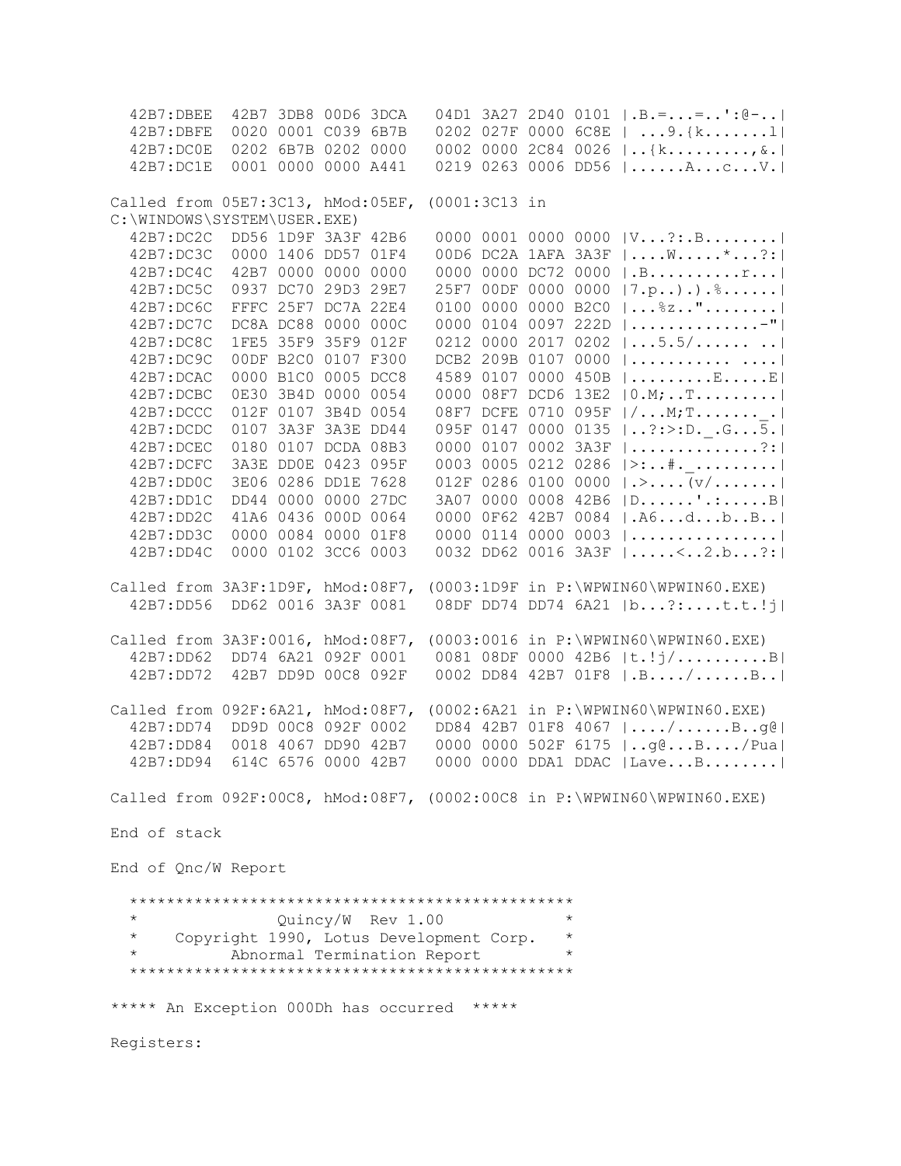42B7:DBEE 42B7 3DB8 00D6 3DCA 04D1 3A27 2D40 0101 |.B.=...=..':@-..| 42B7:DBFE 0020 0001 C039 6B7B 0202 027F 0000 6C8E | ...9.{k.......l| 42B7:DC0E 0202 6B7B 0202 0000 0002 0000 2C84 0026 |..{k.........,&.| 42B7:DC1E 0001 0000 0000 A441 0219 0263 0006 DD56 |......A...c...V.| Called from 05E7:3C13, hMod:05EF, (0001:3C13 in C:\WINDOWS\SYSTEM\USER.EXE) 42B7:DC2C DD56 1D9F 3A3F 42B6 0000 0001 0000 0000 |V...?:.B........| 42B7:DC3C 0000 1406 DD57 01F4 00D6 DC2A 1AFA 3A3F |....W.....\*...?:| 42B7:DC4C 42B7 0000 0000 0000 0000 0000 DC72 0000 |.B..........r...| 42B7:DC5C 0937 DC70 29D3 29E7 25F7 00DF 0000 0000 |7.p..).).%......| 42B7:DC6C FFFC 25F7 DC7A 22E4 0100 0000 0000 B2C0 |...%z.."........| 42B7:DC7C DC8A DC88 0000 000C 0000 0104 0097 222D |..............-"| 42B7:DC8C 1FE5 35F9 35F9 012F 0212 0000 2017 0202 |...5.5/...... ..| 42B7:DC9C 00DF B2C0 0107 F300 DCB2 209B 0107 0000 |........... ....| 42B7:DCAC 0000 B1C0 0005 DCC8 4589 0107 0000 450B |.........E.....E| 42B7:DCBC 0E30 3B4D 0000 0054 0000 08F7 DCD6 13E2 |0.M;..T.........| 42B7:DCCC 012F 0107 3B4D 0054 08F7 DCFE 0710 095F |/...M;T.......\_.| 42B7:DCDC 0107 3A3F 3A3E DD44 095F 0147 0000 0135 |..?:>:D.\_.G...5.| 42B7:DCEC 0180 0107 DCDA 08B3 0000 0107 0002 3A3F |..............?:| 42B7:DCFC 3A3E DD0E 0423 095F 0003 0005 0212 0286 |>:..#.\_.........| 42B7:DD0C 3E06 0286 DD1E 7628 012F 0286 0100 0000 |.>....(v/.......| 42B7:DD1C DD44 0000 0000 27DC 3A07 0000 0008 42B6 |D......'.:.....B| 42B7:DD2C 41A6 0436 000D 0064 0000 0F62 42B7 0084 |.A6...d...b..B..| 42B7:DD3C 0000 0084 0000 01F8 0000 0114 0000 0003 |................| 42B7:DD4C 0000 0102 3CC6 0003 0032 DD62 0016 3A3F |.....<..2.b...?:| Called from 3A3F:1D9F, hMod:08F7, (0003:1D9F in P:\WPWIN60\WPWIN60.EXE) 42B7:DD56 DD62 0016 3A3F 0081 08DF DD74 DD74 6A21 |b...?:....t.t.!j| Called from 3A3F:0016, hMod:08F7, (0003:0016 in P:\WPWIN60\WPWIN60.EXE) 42B7:DD62 DD74 6A21 092F 0001 0081 08DF 0000 42B6 |t.!j/..........B| 42B7:DD72 42B7 DD9D 00C8 092F 0002 DD84 42B7 01F8 |.B..../......B..| Called from 092F:6A21, hMod:08F7, (0002:6A21 in P:\WPWIN60\WPWIN60.EXE) 42B7:DD74 DD9D 00C8 092F 0002 DD84 42B7 01F8 4067 |..../......B..g@| 42B7:DD84 0018 4067 DD90 42B7 0000 0000 502F 6175 |..g@...B..../Pua| 42B7:DD94 614C 6576 0000 42B7 0000 0000 DDA1 DDAC |Lave...B........| Called from 092F:00C8, hMod:08F7, (0002:00C8 in P:\WPWIN60\WPWIN60.EXE) End of stack End of Qnc/W Report \*\*\*\*\*\*\*\*\*\*\*\*\*\*\*\*\*\*\*\*\*\*\*\*\*\*\*\*\*\*\*\*\*\*\*\*\*\*\*\*\*\*\*\*\*\*\*\* \* Quincy/W Rev 1.00 \* Copyright 1990, Lotus Development Corp. Abnormal Termination Report \*\*\*\*\*\*\*\*\*\*\*\*\*\*\*\*\*\*\*\*\*\*\*\*\*\*\*\*\*\*\*\*\*\*\*\*\*\*\*\*\*\*\*\*\*\*\*\* \*\*\*\*\* An Exception 000Dh has occurred \*\*\*\*\* Registers: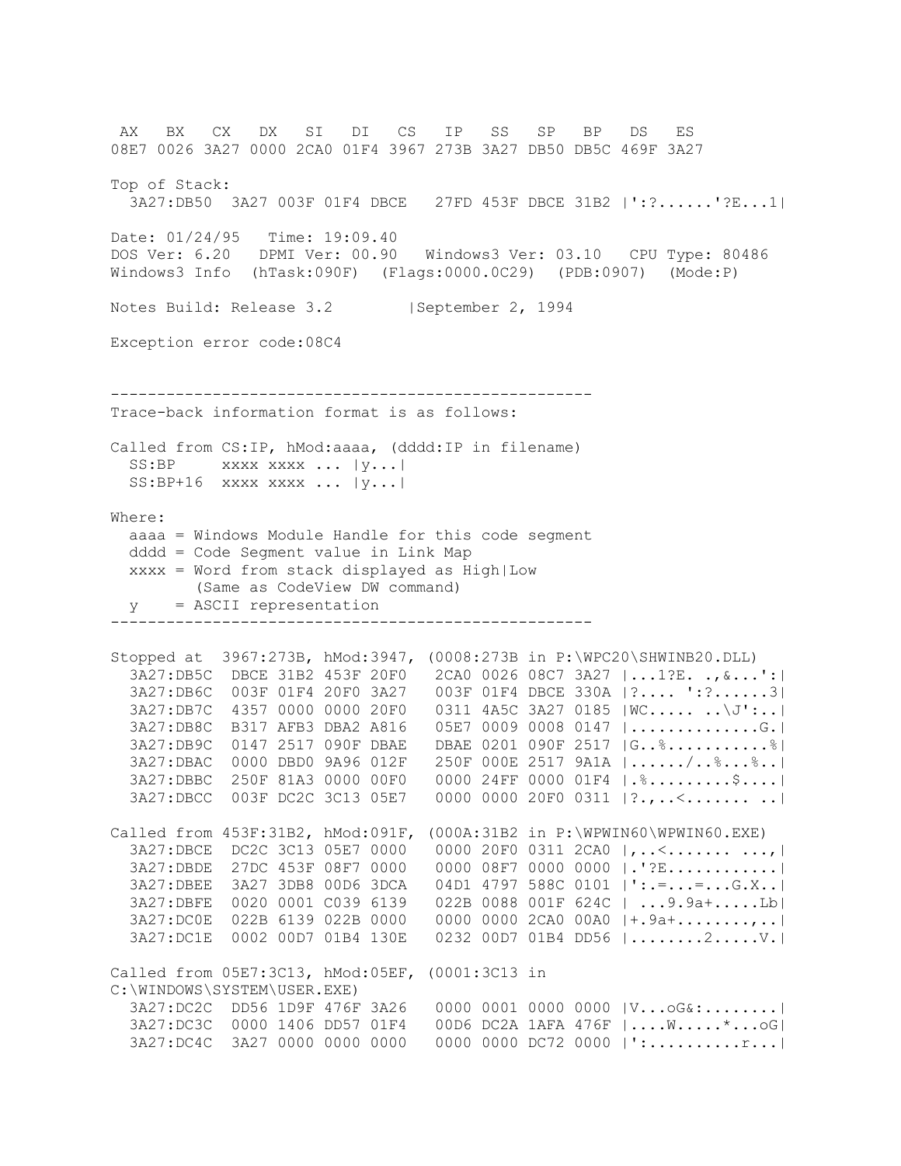AX BX CX DX SI DI CS IP SS SP BP DS ES 08E7 0026 3A27 0000 2CA0 01F4 3967 273B 3A27 DB50 DB5C 469F 3A27 Top of Stack: 3A27:DB50 3A27 003F 01F4 DBCE 27FD 453F DBCE 31B2 |':?......'?E...1| Date: 01/24/95 Time: 19:09.40 DOS Ver: 6.20 DPMI Ver: 00.90 Windows3 Ver: 03.10 CPU Type: 80486 Windows3 Info (hTask:090F) (Flags:0000.0C29) (PDB:0907) (Mode:P) Notes Build: Release 3.2 | September 2, 1994 Exception error code:08C4 ---------------------------------------------------- Trace-back information format is as follows: Called from CS:IP, hMod:aaaa, (dddd:IP in filename)  $SS:BP$  xxxx xxxx ...  $|y...|$  $SS: BP+16$  xxxx xxxx ...  $|y...|$ Where: aaaa = Windows Module Handle for this code segment dddd = Code Segment value in Link Map xxxx = Word from stack displayed as High|Low (Same as CodeView DW command) y = ASCII representation ---------------------------------------------------- Stopped at 3967:273B, hMod:3947, (0008:273B in P:\WPC20\SHWINB20.DLL) 3A27:DB5C DBCE 31B2 453F 20F0 2CA0 0026 08C7 3A27 |...1?E. .,&...':| 3A27:DB6C 003F 01F4 20F0 3A27 003F 01F4 DBCE 330A |?.... ':?......3| 3A27:DB7C 4357 0000 0000 20F0 0311 4A5C 3A27 0185 |WC..... ..\J':..| 3A27:DB8C B317 AFB3 DBA2 A816 05E7 0009 0008 0147 |..............G.| 3A27:DB9C 0147 2517 090F DBAE DBAE 0201 090F 2517 |G..%...........%| 3A27:DBAC 0000 DBD0 9A96 012F 250F 000E 2517 9A1A |....../..%...%..| 3A27:DBBC 250F 81A3 0000 00F0 0000 24FF 0000 01F4 |.%.........\$....| 3A27:DBCC 003F DC2C 3C13 05E7 0000 0000 20F0 0311 |?.,..<....... ..| Called from 453F:31B2, hMod:091F, (000A:31B2 in P:\WPWIN60\WPWIN60.EXE) 3A27:DBCE DC2C 3C13 05E7 0000 0000 20F0 0311 2CA0 |,..<...........,| 3A27:DBDE 27DC 453F 08F7 0000 0000 08F7 0000 0000 |.'?E............| 3A27:DBEE 3A27 3DB8 00D6 3DCA 04D1 4797 588C 0101 |':.=...=...G.X..| 3A27:DBFE 0020 0001 C039 6139 022B 0088 001F 624C | ...9.9a+.....Lb| 3A27:DC0E 022B 6139 022B 0000 0000 0000 2CA0 00A0 |+.9a+........,..| 3A27:DC1E 0002 00D7 01B4 130E 0232 00D7 01B4 DD56 |........2.....V.| Called from 05E7:3C13, hMod:05EF, (0001:3C13 in C:\WINDOWS\SYSTEM\USER.EXE) 3A27:DC2C DD56 1D9F 476F 3A26 0000 0001 0000 0000 |V...oG&:........| 3A27:DC3C 0000 1406 DD57 01F4 00D6 DC2A 1AFA 476F |....W.....\*...oG| 3A27:DC4C 3A27 0000 0000 0000 0000 0000 DC72 0000 |':..........r...|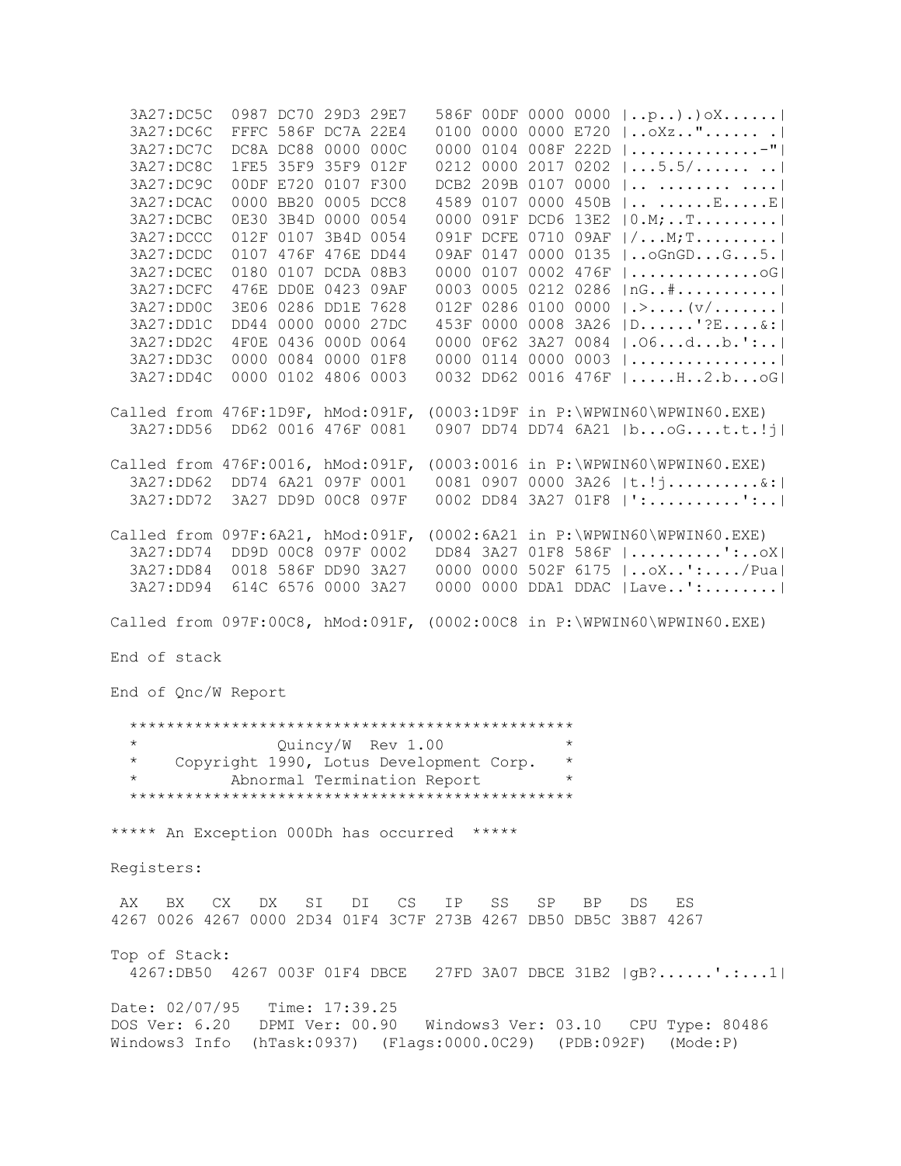3A27:DC5C 0987 DC70 29D3 29E7 586F 00DF 0000 0000 |..p..).)oX......| 3A27:DC6C FFFC 586F DC7A 22E4 0100 0000 0000 E720 |..oXz.."...... .| 3A27:DC7C DC8A DC88 0000 000C 0000 0104 008F 222D |..............-"| 3A27:DC8C 1FE5 35F9 35F9 012F 0212 0000 2017 0202 |...5.5/...... ..| 3A27:DC9C 00DF E720 0107 F300 DCB2 209B 0107 0000 |.. ........ ....| 3A27:DCAC 0000 BB20 0005 DCC8 4589 0107 0000 450B |.. ......E.....E| 3A27:DCBC 0E30 3B4D 0000 0054 0000 091F DCD6 13E2 |0.M;..T.........| 3A27:DCCC 012F 0107 3B4D 0054 091F DCFE 0710 09AF |/...M;T.........| 3A27:DCDC 0107 476F 476E DD44 09AF 0147 0000 0135 |..oGnGD...G...5.| 3A27:DCEC 0180 0107 DCDA 08B3 0000 0107 0002 476F |..............oG| 3A27:DCFC 476E DD0E 0423 09AF 0003 0005 0212 0286 |nG..#...........| 3A27:DD0C 3E06 0286 DD1E 7628 012F 0286 0100 0000 |.>....(v/.......| 3A27:DD1C DD44 0000 0000 27DC 453F 0000 0008 3A26 |D......'?E....&:| 3A27:DD2C 4F0E 0436 000D 0064 0000 0F62 3A27 0084 |.O6...d...b.':..| 3A27:DD3C 0000 0084 0000 01F8 0000 0114 0000 0003 |................| 3A27:DD4C 0000 0102 4806 0003 0032 DD62 0016 476F |.....H..2.b...oG| Called from 476F:1D9F, hMod:091F, (0003:1D9F in P:\WPWIN60\WPWIN60.EXE) 3A27:DD56 DD62 0016 476F 0081 0907 DD74 DD74 6A21 |b...oG....t.t.!j| Called from 476F:0016, hMod:091F, (0003:0016 in P:\WPWIN60\WPWIN60.EXE) 3A27:DD62 DD74 6A21 097F 0001 0081 0907 0000 3A26 |t.!j..........&:| 3A27:DD72 3A27 DD9D 00C8 097F 0002 DD84 3A27 01F8 |':..........':..| Called from 097F:6A21, hMod:091F, (0002:6A21 in P:\WPWIN60\WPWIN60.EXE) 3A27:DD74 DD9D 00C8 097F 0002 DD84 3A27 01F8 586F |..........':..oX| 3A27:DD84 0018 586F DD90 3A27 0000 0000 502F 6175 |..oX..':..../Pua| 3A27:DD94 614C 6576 0000 3A27 0000 0000 DDA1 DDAC |Lave..':........| Called from 097F:00C8, hMod:091F, (0002:00C8 in P:\WPWIN60\WPWIN60.EXE) End of stack End of Qnc/W Report \*\*\*\*\*\*\*\*\*\*\*\*\*\*\*\*\*\*\*\*\*\*\*\*\*\*\*\*\*\*\*\*\*\*\*\*\*\*\*\*\*\*\*\*\*\*\*\* \* Quincy/W Rev 1.00 \* \* Copyright 1990, Lotus Development Corp. \* \* Abnormal Termination Report \* \*\*\*\*\*\*\*\*\*\*\*\*\*\*\*\*\*\*\*\*\*\*\*\*\*\*\*\*\*\*\*\*\*\*\*\*\*\*\*\*\*\*\*\*\*\*\*\* \*\*\*\*\* An Exception 000Dh has occurred \*\*\*\*\* Registers: AX BX CX DX SI DI CS IP SS SP BP DS ES 4267 0026 4267 0000 2D34 01F4 3C7F 273B 4267 DB50 DB5C 3B87 4267 Top of Stack: 4267:DB50 4267 003F 01F4 DBCE 27FD 3A07 DBCE 31B2 |gB?......'.:...1| Date: 02/07/95 Time: 17:39.25 DOS Ver: 6.20 DPMI Ver: 00.90 Windows3 Ver: 03.10 CPU Type: 80486 Windows3 Info (hTask:0937) (Flags:0000.0C29) (PDB:092F) (Mode:P)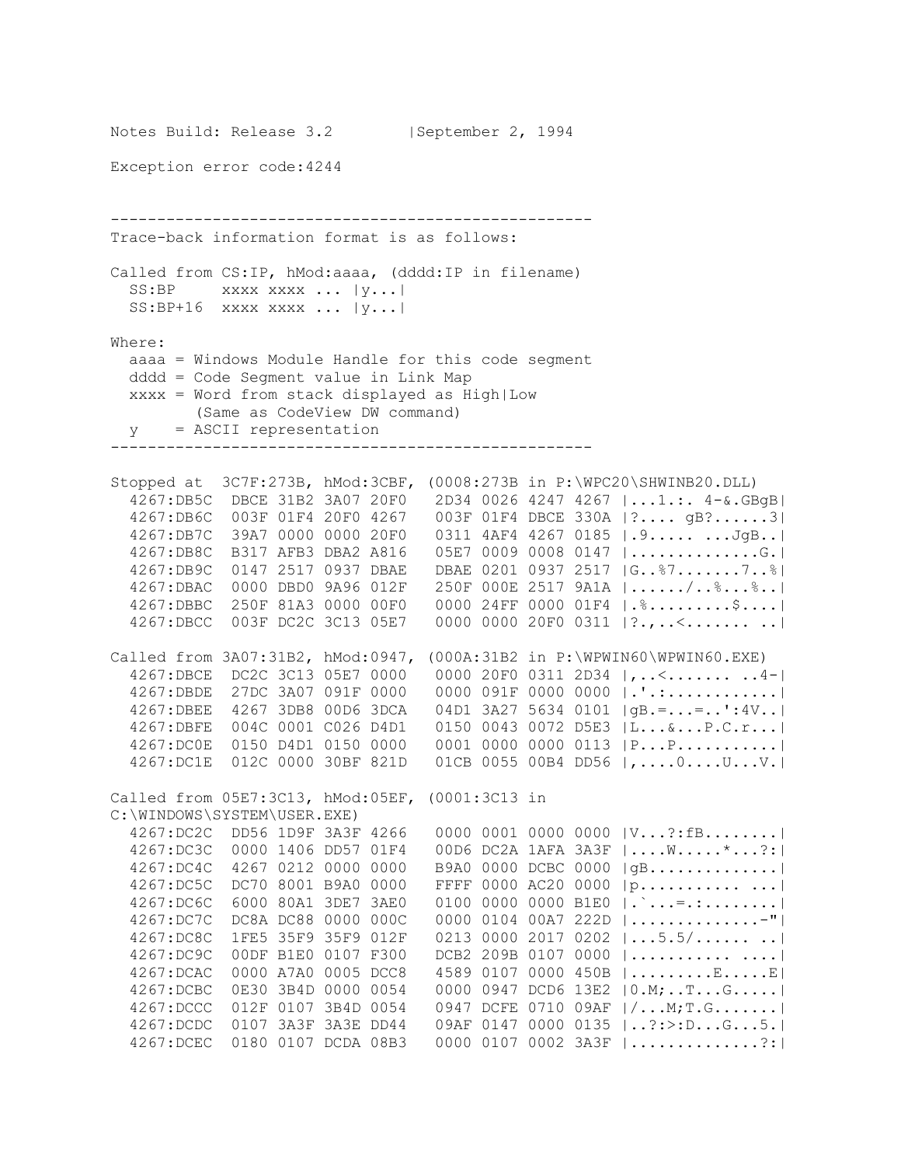```
Notes Build: Release 3.2 | September 2, 1994
Exception error code:4244
----------------------------------------------------
Trace-back information format is as follows:
Called from CS:IP, hMod:aaaa, (dddd:IP in filename)
  SS:BP xxxx xxxx ... |y...|
  SS: BP+16 xxxx xxxx ... |y...|Where:
  aaaa = Windows Module Handle for this code segment
   dddd = Code Segment value in Link Map
   xxxx = Word from stack displayed as High|Low
         (Same as CodeView DW command)
   y = ASCII representation
----------------------------------------------------
Stopped at 3C7F:273B, hMod:3CBF, (0008:273B in P:\WPC20\SHWINB20.DLL)
   4267:DB5C DBCE 31B2 3A07 20F0 2D34 0026 4247 4267 |...1.:. 4-&.GBgB|
   4267:DB6C 003F 01F4 20F0 4267 003F 01F4 DBCE 330A |?.... gB?......3|
 4267:DB7C 39A7 0000 0000 20F0 0311 4AF4 4267 0185 |.9..... ...JgB..|
 4267:DB8C B317 AFB3 DBA2 A816 05E7 0009 0008 0147 |..............G.|
   4267:DB9C 0147 2517 0937 DBAE DBAE 0201 0937 2517 |G..%7.......7..%|
   4267:DBAC 0000 DBD0 9A96 012F 250F 000E 2517 9A1A |....../..%...%..|
   4267:DBBC 250F 81A3 0000 00F0 0000 24FF 0000 01F4 |.%.........$....|
   4267:DBCC 003F DC2C 3C13 05E7 0000 0000 20F0 0311 |?.,..<....... ..|
Called from 3A07:31B2, hMod:0947, (000A:31B2 in P:\WPWIN60\WPWIN60.EXE)
 4267:DBCE DC2C 3C13 05E7 0000 0000 20F0 0311 2D34 |,..<....... ..4-|
 4267:DBDE 27DC 3A07 091F 0000 0000 091F 0000 0000 |.'.:............|
   4267:DBEE 4267 3DB8 00D6 3DCA 04D1 3A27 5634 0101 |gB.=...=..':4V..|
   4267:DBFE 004C 0001 C026 D4D1 0150 0043 0072 D5E3 |L...&...P.C.r...|
   4267:DC0E 0150 D4D1 0150 0000 0001 0000 0000 0113 |P...P...........|
   4267:DC1E 012C 0000 30BF 821D 01CB 0055 00B4 DD56 |,....0....U...V.|
Called from 05E7:3C13, hMod:05EF, (0001:3C13 in 
C:\WINDOWS\SYSTEM\USER.EXE)
   4267:DC2C DD56 1D9F 3A3F 4266 0000 0001 0000 0000 |V...?:fB........|
   4267:DC3C 0000 1406 DD57 01F4 00D6 DC2A 1AFA 3A3F |....W.....*...?:|
  4267:DC4C 4267 0212 0000 0000 B9A0 0000 DCBC 0000 |gB..............|<br>4267:DC5C DC70 8001 B9A0 0000 FFFF 0000 AC20 0000 |p...............|
                                 FFFF 0000 AC20 0000 |p........... ...|
   4267:DC6C 6000 80A1 3DE7 3AE0 0100 0000 0000 B1E0 |.`...=.:........|
   4267:DC7C DC8A DC88 0000 000C 0000 0104 00A7 222D |..............-"|
   4267:DC8C 1FE5 35F9 35F9 012F 0213 0000 2017 0202 |...5.5/...... ..|
   4267:DC9C 00DF B1E0 0107 F300 DCB2 209B 0107 0000 |........... ....|
   4267:DCAC 0000 A7A0 0005 DCC8 4589 0107 0000 450B |.........E.....E|
   4267:DCBC 0E30 3B4D 0000 0054 0000 0947 DCD6 13E2 |0.M;..T...G.....|
   4267:DCCC 012F 0107 3B4D 0054 0947 DCFE 0710 09AF |/...M;T.G.......|
   4267:DCDC 0107 3A3F 3A3E DD44 09AF 0147 0000 0135 |..?:>:D...G...5.|
   4267:DCEC 0180 0107 DCDA 08B3 0000 0107 0002 3A3F |..............?:|
```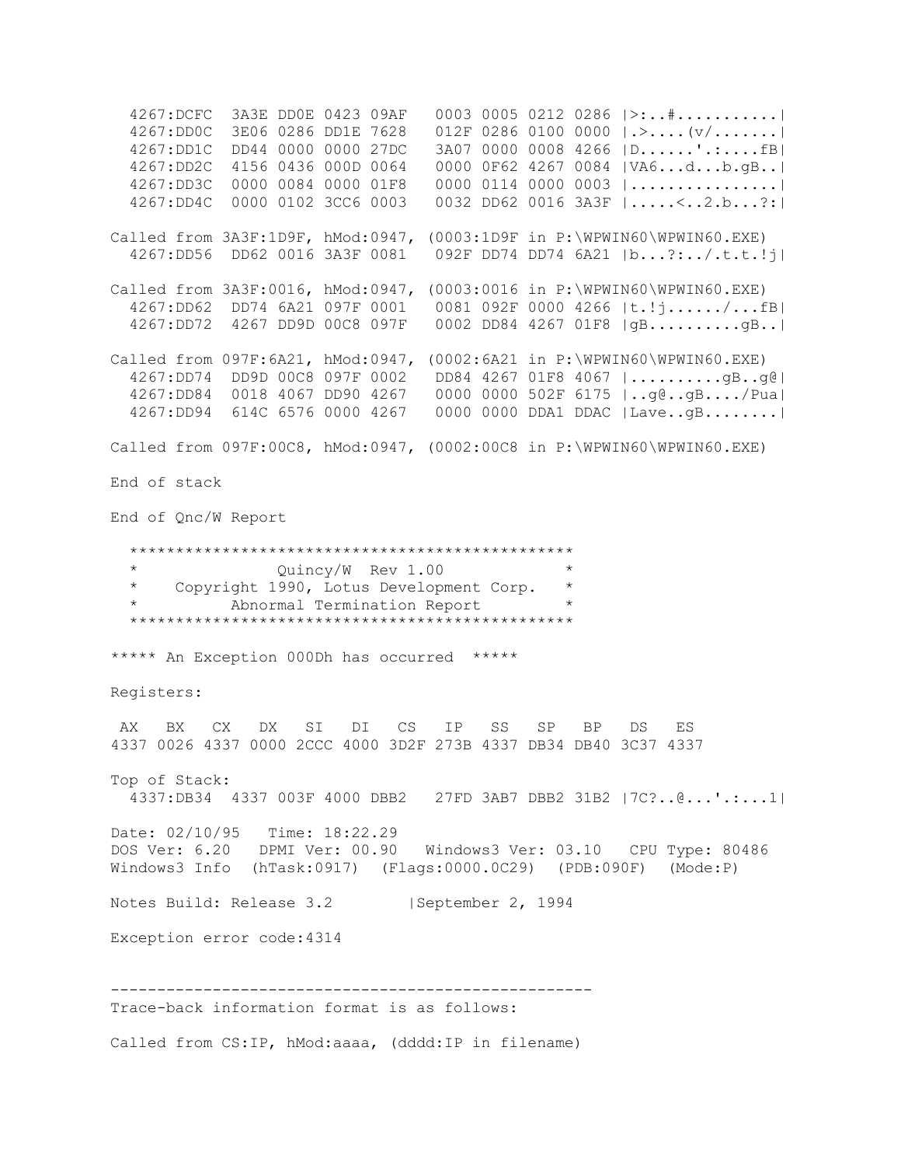4267:DCFC 3A3E DD0E 0423 09AF 0003 0005 0212 0286 |>:..#...........| 4267:DD0C 3E06 0286 DD1E 7628 012F 0286 0100 0000 |.>....(v/.......| 4267:DD1C DD44 0000 0000 27DC 3A07 0000 0008 4266 |D......'.:....fB| 4267:DD2C 4156 0436 000D 0064 0000 0F62 4267 0084 |VA6...d...b.gB..| 4267:DD3C 0000 0084 0000 01F8 0000 0114 0000 0003 |................| 4267:DD4C 0000 0102 3CC6 0003 0032 DD62 0016 3A3F |.....<..2.b...?:| Called from 3A3F:1D9F, hMod:0947, (0003:1D9F in P:\WPWIN60\WPWIN60.EXE) 4267:DD56 DD62 0016 3A3F 0081 092F DD74 DD74 6A21 |b...?:../.t.t.!j| Called from 3A3F:0016, hMod:0947, (0003:0016 in P:\WPWIN60\WPWIN60.EXE) 4267:DD62 DD74 6A21 097F 0001 0081 092F 0000 4266 |t.!j....../...fB| 4267:DD72 4267 DD9D 00C8 097F 0002 DD84 4267 01F8 |gB..........gB..| Called from 097F:6A21, hMod:0947, (0002:6A21 in P:\WPWIN60\WPWIN60.EXE) 4267:DD74 DD9D 00C8 097F 0002 DD84 4267 01F8 4067 |..........gB..g@| 4267:DD84 0018 4067 DD90 4267 0000 0000 502F 6175 |..g@..gB..../Pua| 4267:DD94 614C 6576 0000 4267 0000 0000 DDA1 DDAC |Lave..gB........| Called from 097F:00C8, hMod:0947, (0002:00C8 in P:\WPWIN60\WPWIN60.EXE) End of stack End of Qnc/W Report \*\*\*\*\*\*\*\*\*\*\*\*\*\*\*\*\*\*\*\*\*\*\*\*\*\*\*\*\*\*\*\*\*\*\*\*\*\*\*\*\*\*\*\*\*\*\*\* Ouincy/W Rev 1.00 \* Copyright 1990, Lotus Development Corp. \* Abnormal Termination Report \*\*\*\*\*\*\*\*\*\*\*\*\*\*\*\*\*\*\*\*\*\*\*\*\*\*\*\*\*\*\*\*\*\*\*\*\*\*\*\*\*\*\*\*\*\*\*\* \*\*\*\*\* An Exception 000Dh has occurred \*\*\*\*\* Registers: AX BX CX DX SI DI CS IP SS SP BP DS ES 4337 0026 4337 0000 2CCC 4000 3D2F 273B 4337 DB34 DB40 3C37 4337 Top of Stack: 4337:DB34 4337 003F 4000 DBB2 27FD 3AB7 DBB2 31B2 |7C?..@...'.:...1| Date: 02/10/95 Time: 18:22.29 DOS Ver: 6.20 DPMI Ver: 00.90 Windows3 Ver: 03.10 CPU Type: 80486 Windows3 Info (hTask:0917) (Flags:0000.0C29) (PDB:090F) (Mode:P) Notes Build: Release 3.2 | September 2, 1994 Exception error code:4314 ---------------------------------------------------- Trace-back information format is as follows: Called from CS:IP, hMod:aaaa, (dddd:IP in filename)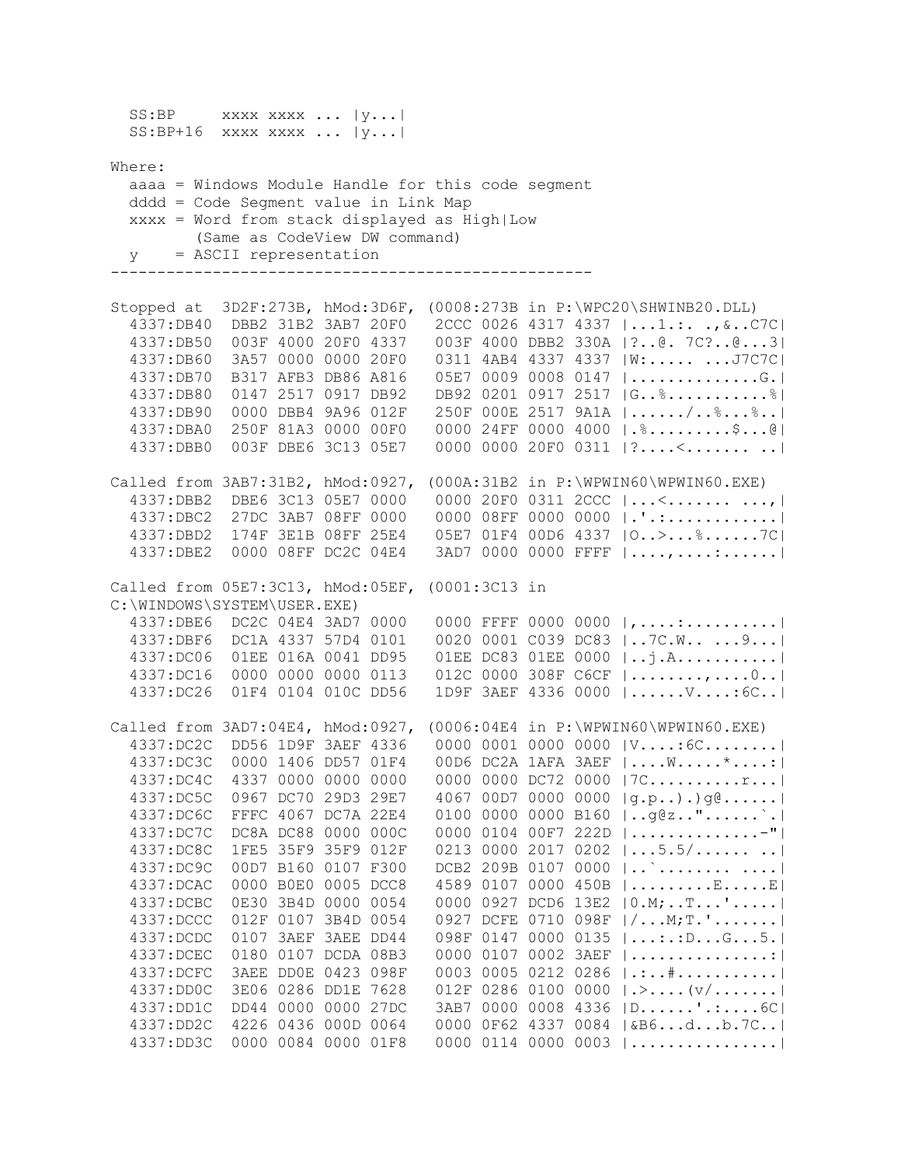SS:BP xxxx xxxx ... |y...|  $SS: BP+16$  xxxx xxxx ...  $|y...|$ Where: aaaa = Windows Module Handle for this code segment dddd = Code Segment value in Link Map xxxx = Word from stack displayed as High|Low (Same as CodeView DW command) y = ASCII representation ---------------------------------------------------- Stopped at 3D2F:273B, hMod:3D6F, (0008:273B in P:\WPC20\SHWINB20.DLL) 4337:DB40 DBB2 31B2 3AB7 20F0 2CCC 0026 4317 4337 |...1.:. .,&..C7C| 4337:DB50 003F 4000 20F0 4337 003F 4000 DBB2 330A |?..@. 7C?..@...3| 4337:DB60 3A57 0000 0000 20F0 0311 4AB4 4337 4337 |W:..... ...J7C7C| 4337:DB70 B317 AFB3 DB86 A816 05E7 0009 0008 0147 |..............G.| 4337:DB80 0147 2517 0917 DB92 DB92 0201 0917 2517 |G..%...........%| 4337:DB90 0000 DBB4 9A96 012F 250F 000E 2517 9A1A |....../..%...%..| 4337:DBA0 250F 81A3 0000 00F0 0000 24FF 0000 4000 |.%.........\$...@| 4337:DBB0 003F DBE6 3C13 05E7 0000 0000 20F0 0311 |?....<....... ..| Called from 3AB7:31B2, hMod:0927, (000A:31B2 in P:\WPWIN60\WPWIN60.EXE) 4337:DBB2 DBE6 3C13 05E7 0000 0000 20F0 0311 2CCC |...<....... ...,| 4337:DBC2 27DC 3AB7 08FF 0000 0000 08FF 0000 0000 |.'.:............| 4337:DBD2 174F 3E1B 08FF 25E4 05E7 01F4 00D6 4337 |O..>...%......7C| 4337:DBE2 0000 08FF DC2C 04E4 3AD7 0000 0000 FFFF |....,....:......| Called from 05E7:3C13, hMod:05EF, (0001:3C13 in C:\WINDOWS\SYSTEM\USER.EXE) 4337:DBE6 DC2C 04E4 3AD7 0000 0000 FFFF 0000 0000 |,....:..........| 4337:DBF6 DC1A 4337 57D4 0101 0020 0001 C039 DC83 |..7C.W.. ...9...| 4337:DC06 01EE 016A 0041 DD95 01EE DC83 01EE 0000 |..j.A...........| 4337:DC16 0000 0000 0000 0113 012C 0000 308F C6CF |........,.....0..|<br>4337:DC26 01F4 0104 010C DD56 1D9F 3AEF 4336 0000 |......V....:6C..| 1D9F 3AEF 4336 0000 |......V....:6C..| Called from 3AD7:04E4, hMod:0927, (0006:04E4 in P:\WPWIN60\WPWIN60.EXE) 4337:DC2C DD56 1D9F 3AEF 4336 0000 0001 0000 0000 |V....:6C........| 4337:DC3C 0000 1406 DD57 01F4 00D6 DC2A 1AFA 3AEF |....W.....\*....:| 4337:DC4C 4337 0000 0000 0000 0000 0000 DC72 0000 |7C..........r...| 4337:DC5C 0967 DC70 29D3 29E7 4067 00D7 0000 0000 |g.p..).)g@......|  $0100 0000 0000 0160$  |..g@z.."......`.| 4337:DC7C DC8A DC88 0000 000C 0000 0104 00F7 222D |..............-"| 4337:DC8C 1FE5 35F9 35F9 012F 0213 0000 2017 0202 |...5.5/...... ..| 4337:DC9C 00D7 B160 0107 F300 DCB2 209B 0107 0000 |..`........ ....| 4337:DCAC 0000 B0E0 0005 DCC8 4589 0107 0000 450B |.........E.....E| 4337:DCBC 0E30 3B4D 0000 0054 0000 0927 DCD6 13E2 |0.M;..T...'.....| 4337:DCCC 012F 0107 3B4D 0054 0927 DCFE 0710 098F |/...M;T.'.......| 4337:DCDC 0107 3AEF 3AEE DD44 098F 0147 0000 0135 |...:.:D...G...5.|<br>4337:DCEC 0180 0107 DCDA 08B3 0000 0107 0002 3AEF |................|  $0000 0107 0002 3AEF$   $\dots\dots\dots\dots$  4337:DCFC 3AEE DD0E 0423 098F 0003 0005 0212 0286 |.:..#...........| 4337:DD0C 3E06 0286 DD1E 7628 012F 0286 0100 0000 |.>....(v/.......| 4337:DD1C DD44 0000 0000 27DC 3AB7 0000 0008 4336 |D......'.:....6C| 4337:DD2C 4226 0436 000D 0064 0000 0F62 4337 0084 |&B6...d...b.7C..| 4337:DD3C 0000 0084 0000 01F8 0000 0114 0000 0003 |................|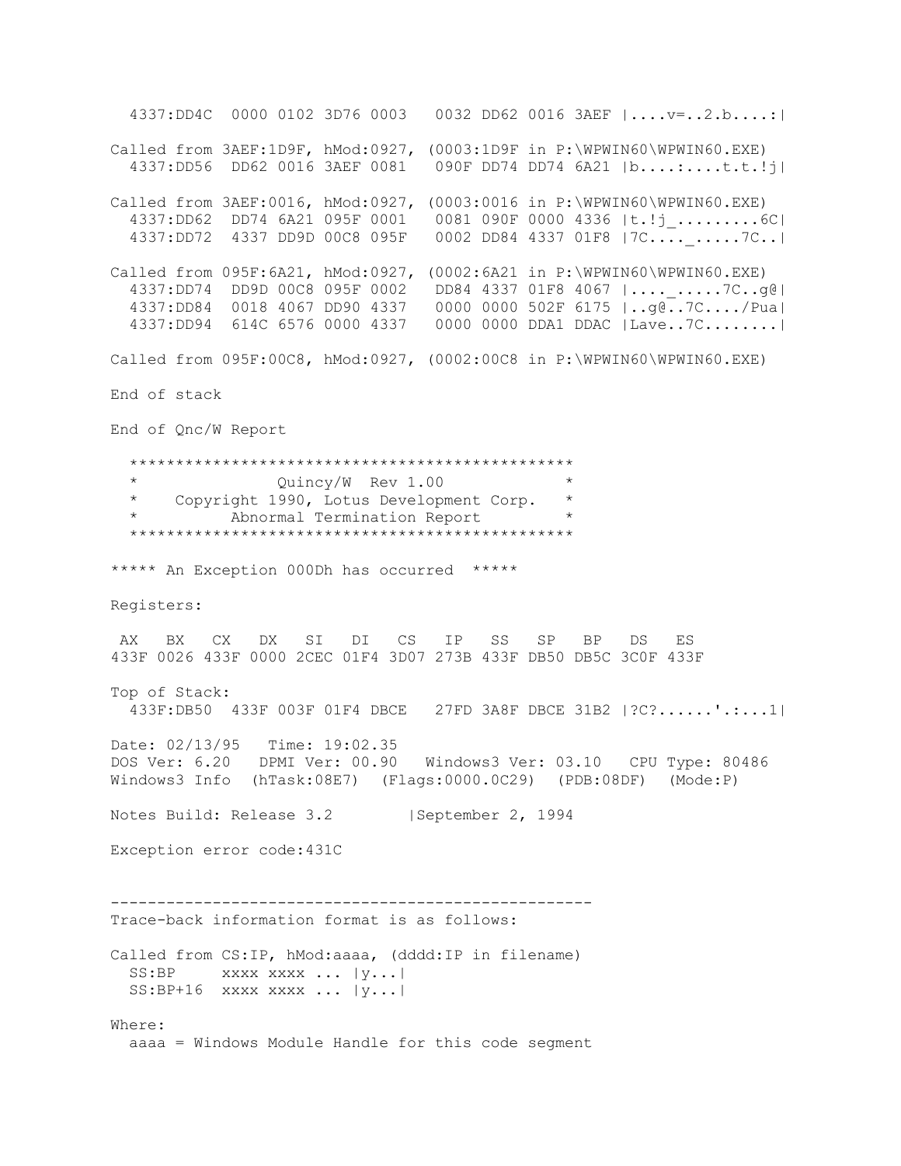4337:DD4C 0000 0102 3D76 0003 0032 DD62 0016 3AEF |....v=..2.b....:| Called from 3AEF:1D9F, hMod:0927, (0003:1D9F in P:\WPWIN60\WPWIN60.EXE) 4337:DD56 DD62 0016 3AEF 0081 090F DD74 DD74 6A21 |b....:....t.t.!j| Called from 3AEF:0016, hMod:0927, (0003:0016 in P:\WPWIN60\WPWIN60.EXE) 4337:DD62 DD74 6A21 095F 0001 0081 090F 0000 4336 |t.!j\_.........6C| 4337:DD72 4337 DD9D 00C8 095F 0002 DD84 4337 01F8 |7C....\_.....7C..| Called from 095F:6A21, hMod:0927, (0002:6A21 in P:\WPWIN60\WPWIN60.EXE) 4337:DD74 DD9D 00C8 095F 0002 DD84 4337 01F8 4067 |....\_.....7C..g@| 4337:DD84 0018 4067 DD90 4337 0000 0000 502F 6175 |..g@..7C..../Pua| 4337:DD94 614C 6576 0000 4337 0000 0000 DDA1 DDAC |Lave..7C........| Called from 095F:00C8, hMod:0927, (0002:00C8 in P:\WPWIN60\WPWIN60.EXE) End of stack End of Qnc/W Report \*\*\*\*\*\*\*\*\*\*\*\*\*\*\*\*\*\*\*\*\*\*\*\*\*\*\*\*\*\*\*\*\*\*\*\*\*\*\*\*\*\*\*\*\*\*\*\* Quincy/W Rev 1.00 \* Copyright 1990, Lotus Development Corp. \* \* Abnormal Termination Report \* \*\*\*\*\*\*\*\*\*\*\*\*\*\*\*\*\*\*\*\*\*\*\*\*\*\*\*\*\*\*\*\*\*\*\*\*\*\*\*\*\*\*\*\*\*\*\*\* \*\*\*\*\* An Exception 000Dh has occurred \*\*\*\*\* Registers: AX BX CX DX SI DI CS IP SS SP BP DS ES 433F 0026 433F 0000 2CEC 01F4 3D07 273B 433F DB50 DB5C 3C0F 433F Top of Stack: 433F:DB50 433F 003F 01F4 DBCE 27FD 3A8F DBCE 31B2 |?C?......'.:...1| Date: 02/13/95 Time: 19:02.35 DOS Ver: 6.20 DPMI Ver: 00.90 Windows3 Ver: 03.10 CPU Type: 80486 Windows3 Info (hTask:08E7) (Flags:0000.0C29) (PDB:08DF) (Mode:P) Notes Build: Release 3.2 | September 2, 1994 Exception error code:431C ---------------------------------------------------- Trace-back information format is as follows: Called from CS:IP, hMod:aaaa, (dddd:IP in filename)  $SS: BP$  xxxx xxxx ...  $|y...|$  SS:BP+16 xxxx xxxx ... |y...| Where: aaaa = Windows Module Handle for this code segment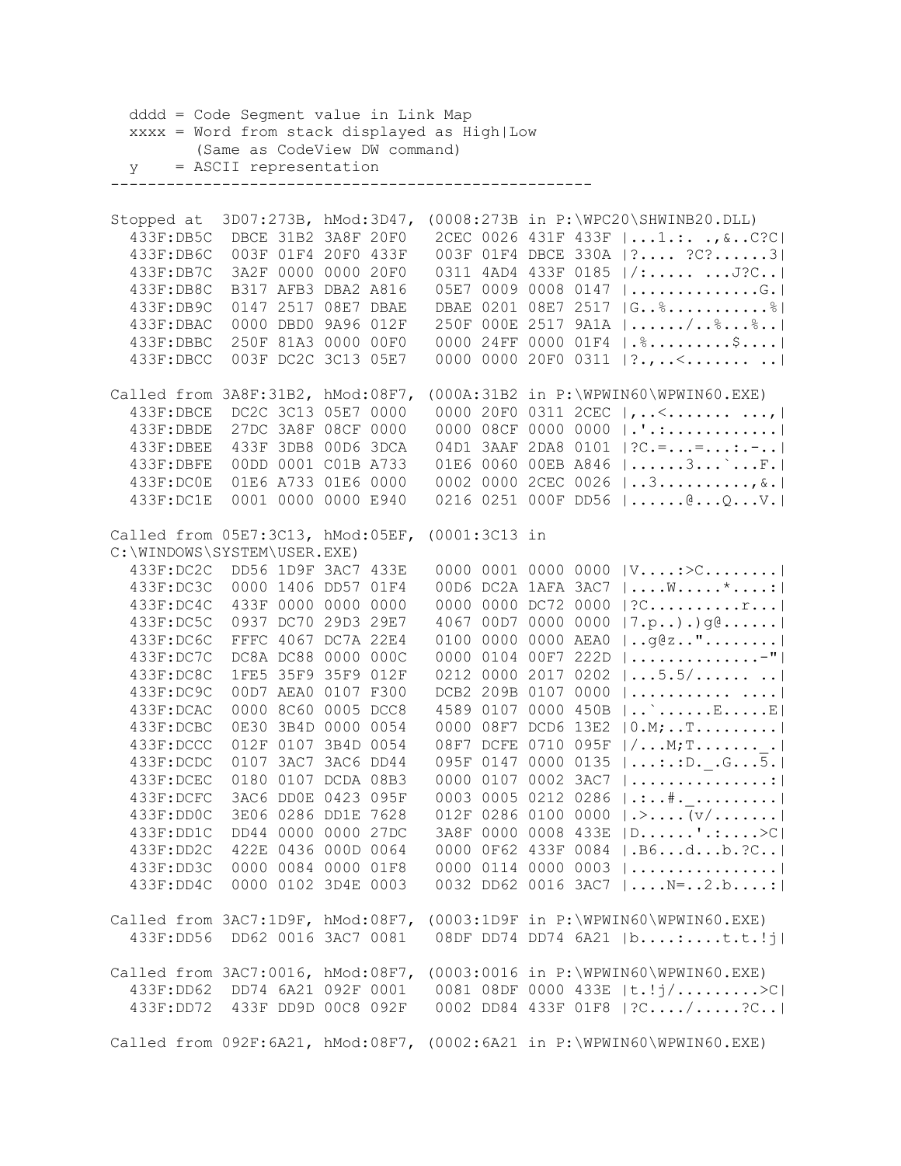dddd = Code Segment value in Link Map xxxx = Word from stack displayed as High|Low (Same as CodeView DW command) y = ASCII representation ---------------------------------------------------- Stopped at 3D07:273B, hMod:3D47, (0008:273B in P:\WPC20\SHWINB20.DLL) 433F:DB5C DBCE 31B2 3A8F 20F0 2CEC 0026 431F 433F |...1.:. .,&..C?C| 433F:DB6C 003F 01F4 20F0 433F 003F 01F4 DBCE 330A |?.... ?C?......3| 433F:DB7C 3A2F 0000 0000 20F0 0311 4AD4 433F 0185 |/:..... ...J?C..| 433F:DB8C B317 AFB3 DBA2 A816 05E7 0009 0008 0147 |..............G.| 433F:DB9C 0147 2517 08E7 DBAE DBAE 0201 08E7 2517 |G..%...........%| 433F:DBAC 0000 DBD0 9A96 012F 250F 000E 2517 9A1A |....../..%...%..| 433F:DBBC 250F 81A3 0000 00F0 0000 24FF 0000 01F4 |.%.........\$....| 433F:DBCC 003F DC2C 3C13 05E7 0000 0000 20F0 0311 |?.,..<....... ..| Called from 3A8F:31B2, hMod:08F7, (000A:31B2 in P:\WPWIN60\WPWIN60.EXE) 433F:DBCE DC2C 3C13 05E7 0000 0000 20F0 0311 2CEC |,..<....... ...,| 433F:DBDE 27DC 3A8F 08CF 0000 0000 08CF 0000 0000 |.'.:............| 433F:DBEE 433F 3DB8 00D6 3DCA 04D1 3AAF 2DA8 0101 |?C.=...=...:.-..| 433F:DBFE 00DD 0001 C01B A733 01E6 0060 00EB A846 |......3...`...F.| 433F:DC0E 01E6 A733 01E6 0000 0002 0000 2CEC 0026 |..3..........,&.| 433F:DC1E 0001 0000 0000 E940 0216 0251 000F DD56 |......@...Q...V.| Called from 05E7:3C13, hMod:05EF, (0001:3C13 in C:\WINDOWS\SYSTEM\USER.EXE) 433F:DC2C DD56 1D9F 3AC7 433E 0000 0001 0000 0000 |V....:>C........| 433F:DC3C 0000 1406 DD57 01F4 00D6 DC2A 1AFA 3AC7 |....W.....\*....:| 433F:DC4C 433F 0000 0000 0000 0000 0000 DC72 0000 |?C..........r...| 433F:DC5C 0937 DC70 29D3 29E7 4067 00D7 0000 0000 |7.p..).)g@......| 433F:DC6C FFFC 4067 DC7A 22E4 0100 0000 0000 AEA0 |..g@z.."........| 433F:DC7C DC8A DC88 0000 000C 0000 0104 00F7 222D |..............-"| 433F:DC8C 1FE5 35F9 35F9 012F 0212 0000 2017 0202 |...5.5/...... ..| 433F:DC9C 00D7 AEA0 0107 F300 DCB2 209B 0107 0000 |........... ....| 433F:DCAC 0000 8C60 0005 DCC8 4589 0107 0000 450B |..`......E.....E| 433F:DCBC 0E30 3B4D 0000 0054 0000 08F7 DCD6 13E2 |0.M;..T.........| 433F:DCCC 012F 0107 3B4D 0054 08F7 DCFE 0710 095F |/...M;T.......\_.| 433F:DCDC 0107 3AC7 3AC6 DD44 095F 0147 0000 0135 |...:.:D.\_.G...5.| 433F:DCEC 0180 0107 DCDA 08B3 0000 0107 0002 3AC7 |...............:| 433F:DCFC 3AC6 DD0E 0423 095F 0003 0005 0212 0286 |.:..#.\_.........| 433F:DD0C 3E06 0286 DD1E 7628 012F 0286 0100 0000 |.>....(v/.......| 433F:DD1C DD44 0000 0000 27DC 3A8F 0000 0008 433E |D......'.:....>C| 433F:DD2C 422E 0436 000D 0064 0000 0F62 433F 0084 |.B6...d...b.?C..| 433F:DD3C 0000 0084 0000 01F8 0000 0114 0000 0003 |................| 433F:DD4C 0000 0102 3D4E 0003 0032 DD62 0016 3AC7 |....N=..2.b....:| Called from 3AC7:1D9F, hMod:08F7, (0003:1D9F in P:\WPWIN60\WPWIN60.EXE) 433F:DD56 DD62 0016 3AC7 0081 08DF DD74 DD74 6A21 |b....:....t.t.!j| Called from 3AC7:0016, hMod:08F7, (0003:0016 in P:\WPWIN60\WPWIN60.EXE) 433F:DD62 DD74 6A21 092F 0001 0081 08DF 0000 433E |t.!j/.........>C| 433F:DD72 433F DD9D 00C8 092F 0002 DD84 433F 01F8 |?C..../.....?C..| Called from 092F:6A21, hMod:08F7, (0002:6A21 in P:\WPWIN60\WPWIN60.EXE)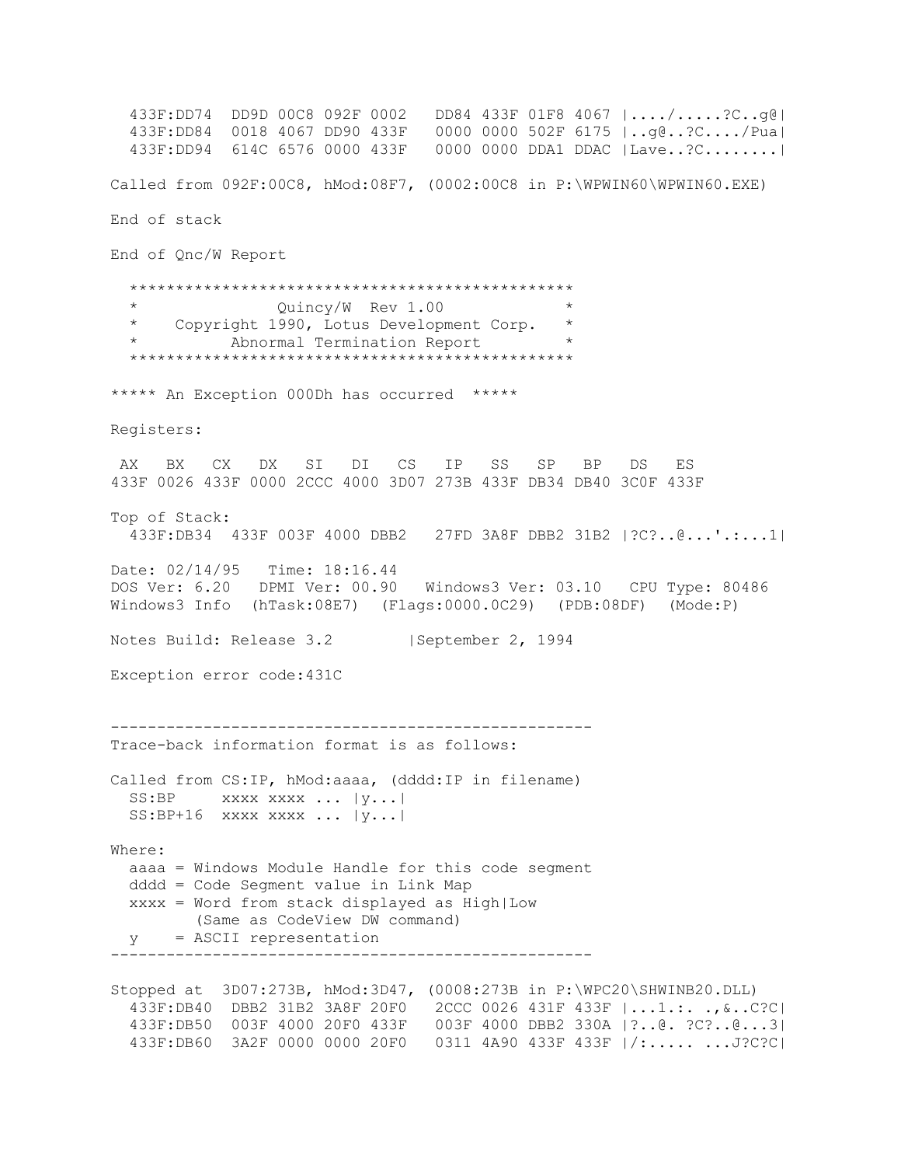433F:DD74 DD9D 00C8 092F 0002 DD84 433F 01F8 4067 |..../.....?C..g@| 433F:DD84 0018 4067 DD90 433F 0000 0000 502F 6175 |..g@..?C..../Pua| 433F:DD94 614C 6576 0000 433F 0000 0000 DDA1 DDAC |Lave..?C........| Called from 092F:00C8, hMod:08F7, (0002:00C8 in P:\WPWIN60\WPWIN60.EXE) End of stack End of Qnc/W Report \*\*\*\*\*\*\*\*\*\*\*\*\*\*\*\*\*\*\*\*\*\*\*\*\*\*\*\*\*\*\*\*\*\*\*\*\*\*\*\*\*\*\*\*\*\*\*\* \* Quincy/W Rev 1.00 \* \* Copyright 1990, Lotus Development Corp. \* Abnormal Termination Report \*\*\*\*\*\*\*\*\*\*\*\*\*\*\*\*\*\*\*\*\*\*\*\*\*\*\*\*\*\*\*\*\*\*\*\*\*\*\*\*\*\*\*\*\*\*\*\* \*\*\*\*\* An Exception 000Dh has occurred \*\*\*\*\* Registers: AX BX CX DX SI DI CS IP SS SP BP DS ES 433F 0026 433F 0000 2CCC 4000 3D07 273B 433F DB34 DB40 3C0F 433F Top of Stack: 433F:DB34 433F 003F 4000 DBB2 27FD 3A8F DBB2 31B2 |?C?..@...'.:...1| Date: 02/14/95 Time: 18:16.44 DOS Ver: 6.20 DPMI Ver: 00.90 Windows3 Ver: 03.10 CPU Type: 80486 Windows3 Info (hTask:08E7) (Flags:0000.0C29) (PDB:08DF) (Mode:P) Notes Build: Release 3.2 | September 2, 1994 Exception error code:431C ---------------------------------------------------- Trace-back information format is as follows: Called from CS:IP, hMod:aaaa, (dddd:IP in filename) SS:BP xxxx xxxx ... |y...| SS:BP+16 xxxx xxxx ... |y...| Where: aaaa = Windows Module Handle for this code segment dddd = Code Segment value in Link Map xxxx = Word from stack displayed as High|Low (Same as CodeView DW command) y = ASCII representation ---------------------------------------------------- Stopped at 3D07:273B, hMod:3D47, (0008:273B in P:\WPC20\SHWINB20.DLL) 433F:DB40 DBB2 31B2 3A8F 20F0 2CCC 0026 431F 433F |...1.:. .,&..C?C| 433F:DB50 003F 4000 20F0 433F 003F 4000 DBB2 330A |?..@. ?C?..@...3| 433F:DB60 3A2F 0000 0000 20F0 0311 4A90 433F 433F |/:..... ...J?C?C|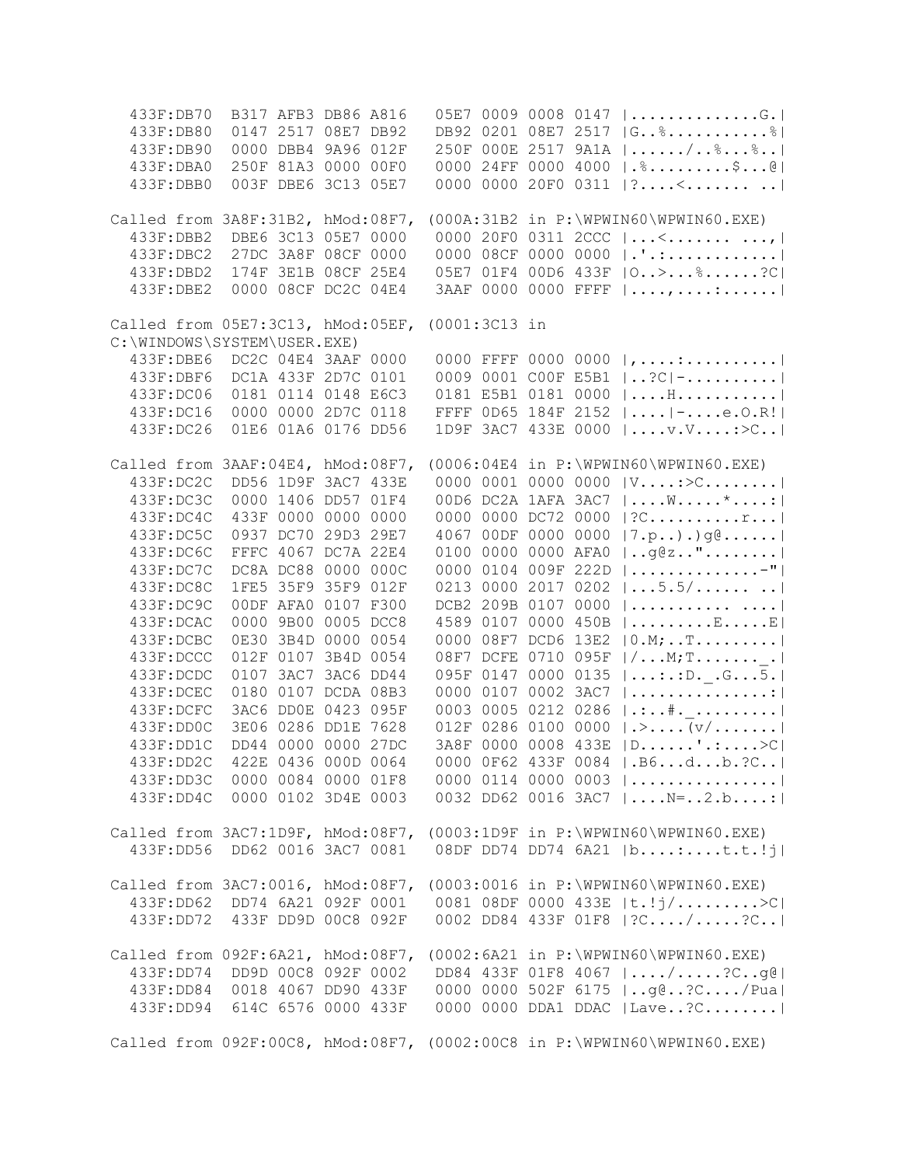| 433F:DB70                                                        | B317 AFB3 DB86 A816           |                     |                     | 05E7 0009 0008 0147  G.                                                 |
|------------------------------------------------------------------|-------------------------------|---------------------|---------------------|-------------------------------------------------------------------------|
| 433F:DB80                                                        |                               | 0147 2517 08E7 DB92 |                     | DB92 0201 08E7 2517  G \$ \$                                            |
| 433F:DB90                                                        |                               | 0000 DBB4 9A96 012F |                     | 250F 000E 2517 9A1A   /%%                                               |
| 433F: DBA0                                                       | 250F 81A3 0000 00F0           |                     |                     | 0000 24FF 0000 4000   .%\$@                                             |
| 433F: DBB0                                                       |                               | 003F DBE6 3C13 05E7 |                     | 0000 0000 20F0 0311 $ ?$ <                                              |
|                                                                  |                               |                     |                     |                                                                         |
| Called from 3A8F:31B2, hMod:08F7,                                |                               |                     |                     | $(000A:31B2$ in $P:\WPWIN60\WPWIN60.EXE)$                               |
| 433F:DBB2                                                        | DBE6 3C13 05E7 0000           |                     |                     | 0000 20F0 0311 2CCC $  \le  \le  \le   $                                |
| 433F:DBC2                                                        | 27DC 3A8F 08CF 0000           |                     |                     | 0000 08CF 0000 0000  .'.:                                               |
| 433F: DBD2                                                       | 174F 3E1B 08CF 25E4           |                     |                     | 05E7 01F4 00D6 433F   0 > %?C                                           |
| 433F: DBE2                                                       | 0000 08CF DC2C 04E4           |                     |                     | 3AAF 0000 0000 FFFF   , :                                               |
|                                                                  |                               |                     |                     |                                                                         |
| Called from 05E7:3C13, hMod:05EF,<br>C:\WINDOWS\SYSTEM\USER.EXE) |                               |                     | (0001:3C13 in       |                                                                         |
| 433F: DBE6                                                       | DC2C 04E4 3AAF 0000           |                     |                     | 0000 FFFF 0000 0000 $ $ , :                                             |
|                                                                  |                               |                     |                     | 0009 0001 COOF E5B1   ?C  -                                             |
| 433F:DBF6                                                        | DC1A 433F 2D7C 0101           |                     |                     |                                                                         |
| 433F:DC06                                                        | 0181 0114 0148 E6C3           |                     |                     | 0181 E5B1 0181 0000<br>$  \ldots$ . H. $ $                              |
| 433F:DC16                                                        |                               | 0000 0000 2D7C 0118 | FFFF 0D65 184F 2152 | $  \ldots  $ - $\ldots$ . $e$ . $0$ . $R!$ $ $                          |
| 433F:DC26                                                        |                               | 01E6 01A6 0176 DD56 |                     | $ \ldots v. v. v \ldots : \geq c \ldots  $<br>1D9F 3AC7 433E 0000       |
| Called from 3AAF:04E4, hMod:08F7,                                |                               |                     |                     | $(0006:04E4$ in $P:\WPWIN60\WPWIN60.EXE)$                               |
| 433F:DC2C                                                        | DD56 1D9F 3AC7 433E           |                     |                     | 0000 0001 0000 0000<br>$ V \dots : \ge C \dots \dots \dots  $           |
| 433F:DC3C                                                        | 0000 1406 DD57 01F4           |                     |                     | 00D6 DC2A 1AFA 3AC7<br>$  \ldots W \ldots x^* \ldots :  $               |
| 433F:DC4C                                                        |                               | 433F 0000 0000 0000 | 0000 0000 DC72 0000 | ?Cr                                                                     |
| 433F:DC5C                                                        |                               | 0937 DC70 29D3 29E7 |                     | 4067 00DF 0000 0000<br> 7.p) .) g@                                      |
| 433F:DC6C                                                        | FFFC 4067 DC7A 22E4           |                     | 0100 0000 0000 AFA0 | $ $ g@z"                                                                |
| 433F:DC7C                                                        |                               | DC8A DC88 0000 000C |                     | 0000 0104 009F 222D<br>                                                 |
| 433F:DC8C                                                        |                               | 1FE5 35F9 35F9 012F | 0213 0000 2017 0202 | 5.5/                                                                    |
|                                                                  |                               |                     |                     |                                                                         |
| 433F:DC9C                                                        | 00DF AFA0 0107 F300           |                     | DCB2 209B 0107 0000 |                                                                         |
| 433F:DCAC                                                        | 0000 9B00 0005 DCC8           |                     |                     | 4589 0107 0000 450B<br>$  \ldots \ldots \ldots E \ldots E $             |
| 433F:DCBC                                                        | 0E30 3B4D 0000 0054           |                     | 0000 08F7 DCD6 13E2 | $ 0.M; $ T                                                              |
| 433F:DCCC                                                        | 012F 0107 3B4D 0054           |                     |                     | 08F7 DCFE 0710 095F<br>$  / \ldots M$ ; T                               |
| 433F:DCDC                                                        | 0107 3AC7 3AC6 DD44           |                     | 095F 0147 0000 0135 | $  \ldots : : : D. G \ldots 5.  $                                       |
| 433F:DCEC                                                        |                               | 0180 0107 DCDA 08B3 | 0000 0107 0002 3AC7 |                                                                         |
| 433F:DCFC                                                        |                               | 3AC6 DD0E 0423 095F | 0003 0005 0212 0286 |                                                                         |
| 433F:DDOC                                                        |                               | 3E06 0286 DD1E 7628 | 012F 0286 0100 0000 | $  \ldots   \vee \ldots   \vee \rangle$                                 |
| 433F:DD1C                                                        |                               | DD44 0000 0000 27DC |                     | 3A8F 0000 0008 433E<br>$ D$ '.: $>$                                     |
| 433F:DD2C                                                        | 422E 0436 000D 0064           |                     | 0000 0F62 433F 0084 | $ .B6db.$ ?C                                                            |
|                                                                  |                               |                     |                     | 433F:DD3C 0000 0084 0000 01F8 0000 0114 0000 0003                       |
|                                                                  |                               |                     |                     | 433F:DD4C 0000 0102 3D4E 0003 0032 DD62 0016 3AC7  N=2.b:               |
|                                                                  |                               |                     |                     | Called from 3AC7:1D9F, hMod:08F7, (0003:1D9F in P:\WPWIN60\WPWIN60.EXE) |
|                                                                  |                               |                     |                     | 433F:DD56 DD62 0016 3AC7 0081 08DF DD74 DD74 6A21  b:t.t.!j             |
|                                                                  |                               |                     |                     |                                                                         |
|                                                                  |                               |                     |                     | Called from 3AC7:0016, hMod:08F7, (0003:0016 in P:\WPWIN60\WPWIN60.EXE) |
|                                                                  |                               |                     |                     | 433F:DD62 DD74 6A21 092F 0001 0081 08DF 0000 433E  t.!j/>C              |
|                                                                  |                               |                     |                     | 433F:DD72 433F DD9D 00C8 092F 0002 DD84 433F 01F8  ?C/?C                |
|                                                                  |                               |                     |                     |                                                                         |
| Called from 092F:6A21, hMod:08F7,                                |                               |                     |                     | $(0002:6A21$ in $P:\WPWIN60\WPWIN60.EXE)$                               |
|                                                                  | 433F:DD74 DD9D 00C8 092F 0002 |                     |                     | DD84 433F 01F8 4067  /?Cg@                                              |
|                                                                  |                               |                     |                     | 433F:DD84 0018 4067 DD90 433F 0000 0000 502F 6175   g@?C/Pua            |
|                                                                  |                               |                     |                     | 433F:DD94 614C 6576 0000 433F 0000 0000 DDA1 DDAC   Lave?C              |
|                                                                  |                               |                     |                     |                                                                         |
|                                                                  |                               |                     |                     | Called from 092F:00C8, hMod:08F7, (0002:00C8 in P:\WPWIN60\WPWIN60.EXE) |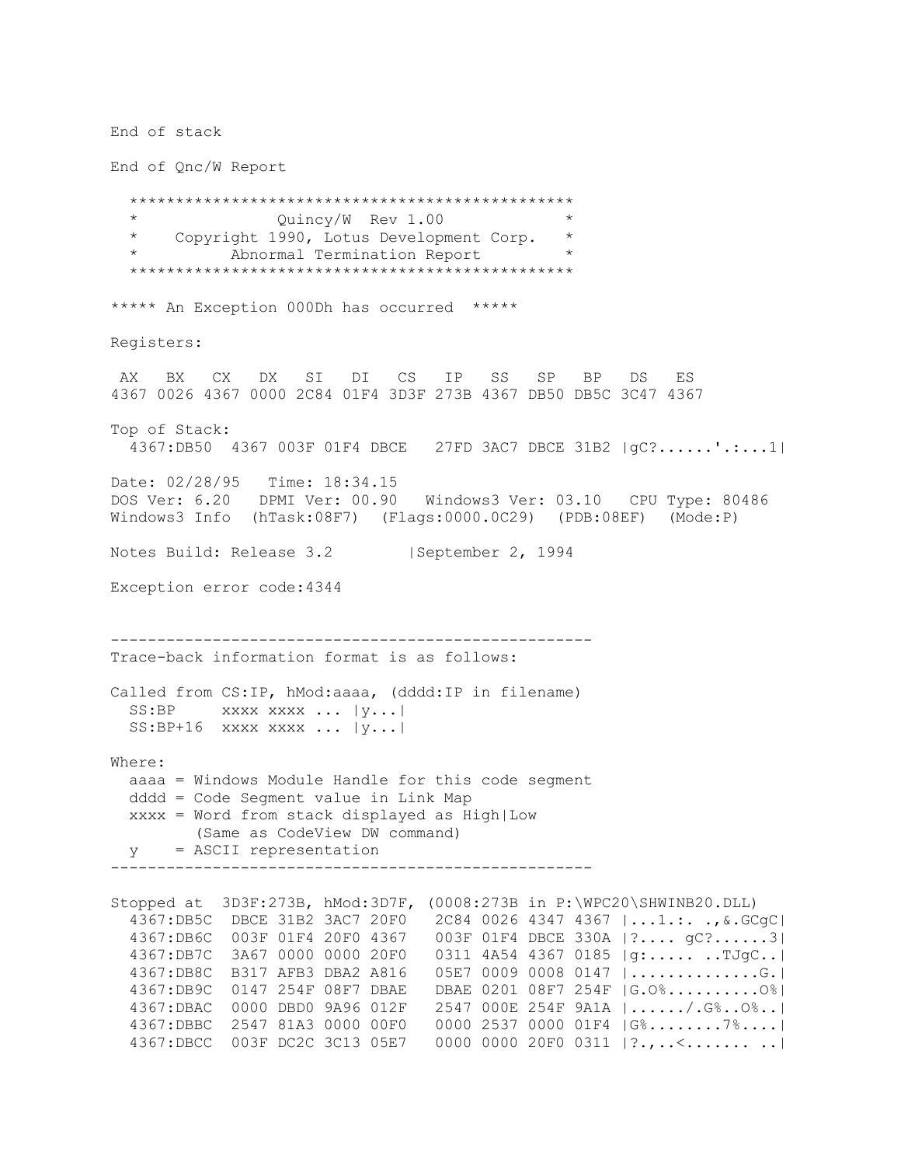End of stack End of Qnc/W Report \*\*\*\*\*\*\*\*\*\*\*\*\*\*\*\*\*\*\*\*\*\*\*\*\*\*\*\*\*\*\*\*\*\*\*\*\*\*\*\*\*\*\*\*\*\*\*\* Quincy/W Rev 1.00 \* Copyright 1990, Lotus Development Corp. \* Abnormal Termination Report \*\*\*\*\*\*\*\*\*\*\*\*\*\*\*\*\*\*\*\*\*\*\*\*\*\*\*\*\*\*\*\*\*\*\*\*\*\*\*\*\*\*\*\*\*\*\*\* \*\*\*\*\* An Exception 000Dh has occurred \*\*\*\*\* Registers: AX BX CX DX SI DI CS IP SS SP BP DS ES 4367 0026 4367 0000 2C84 01F4 3D3F 273B 4367 DB50 DB5C 3C47 4367 Top of Stack: 4367:DB50 4367 003F 01F4 DBCE 27FD 3AC7 DBCE 31B2 |gC?......'.:...1| Date: 02/28/95 Time: 18:34.15 DOS Ver: 6.20 DPMI Ver: 00.90 Windows3 Ver: 03.10 CPU Type: 80486 Windows3 Info (hTask:08F7) (Flags:0000.0C29) (PDB:08EF) (Mode:P) Notes Build: Release 3.2 | September 2, 1994 Exception error code:4344 ---------------------------------------------------- Trace-back information format is as follows: Called from CS:IP, hMod:aaaa, (dddd:IP in filename)  $SS:BP$  xxxx xxxx ...  $|y...|$  $SS: BP+16$  xxxx xxxx ...  $|y...|$ Where: aaaa = Windows Module Handle for this code segment dddd = Code Segment value in Link Map xxxx = Word from stack displayed as High|Low (Same as CodeView DW command) y = ASCII representation ---------------------------------------------------- Stopped at 3D3F:273B, hMod:3D7F, (0008:273B in P:\WPC20\SHWINB20.DLL) 4367:DB5C DBCE 31B2 3AC7 20F0 2C84 0026 4347 4367 |...1.:. .,&.GCgC| 4367:DB6C 003F 01F4 20F0 4367 003F 01F4 DBCE 330A |?.... gC?......3| 4367:DB7C 3A67 0000 0000 20F0 0311 4A54 4367 0185 |g:..... ..TJgC..| 4367:DB8C B317 AFB3 DBA2 A816 05E7 0009 0008 0147 |..............G.| 4367:DB9C 0147 254F 08F7 DBAE DBAE 0201 08F7 254F |G.O%..........O%| 4367:DBAC 0000 DBD0 9A96 012F 2547 000E 254F 9A1A |....../.G%..O%..| 4367:DBBC 2547 81A3 0000 00F0 0000 2537 0000 01F4 |G%........7%....| 4367:DBCC 003F DC2C 3C13 05E7 0000 0000 20F0 0311 |?.,..<....... ..|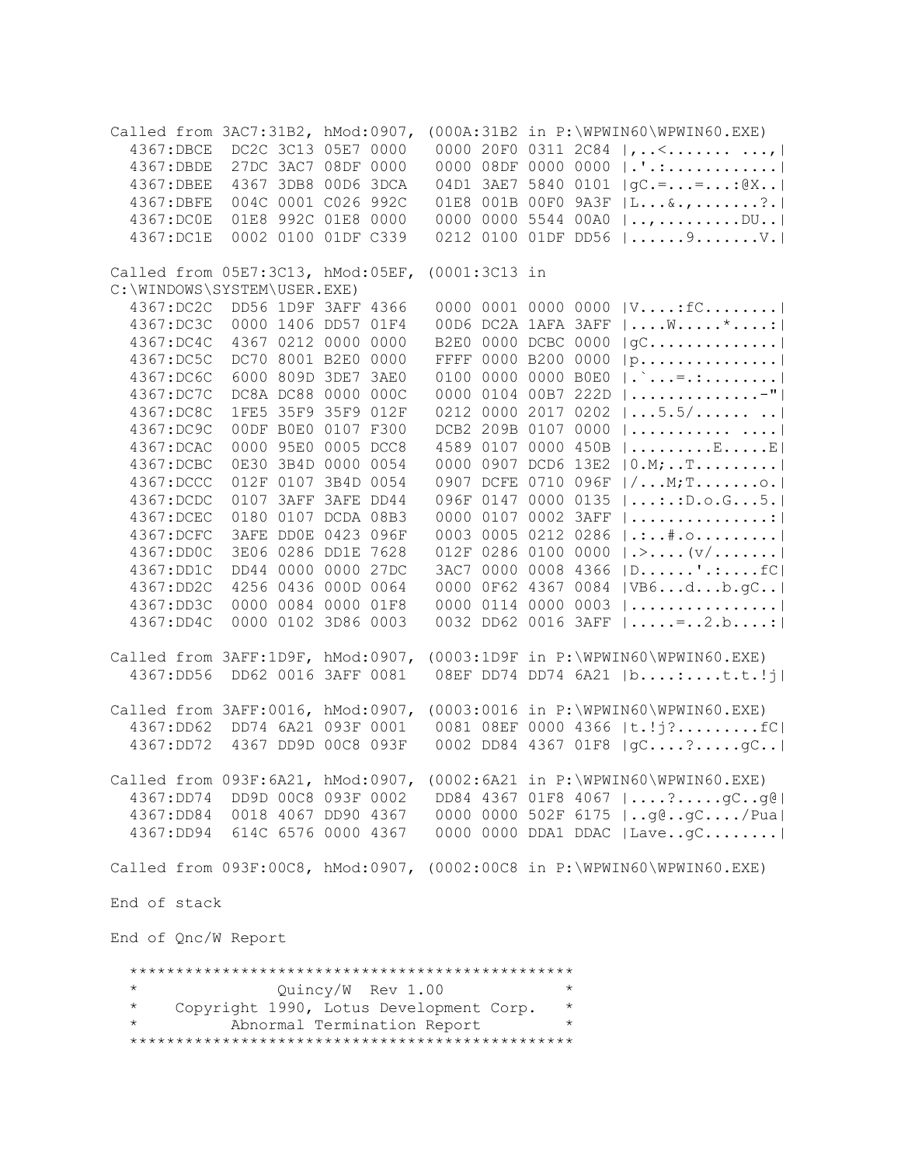Called from 3AC7:31B2, hMod:0907, (000A:31B2 in P:\WPWIN60\WPWIN60.EXE) 4367:DBCE DC2C 3C13 05E7 0000 0000 20F0 0311 2C84 |,..<...........,| 4367:DBDE 27DC 3AC7 08DF 0000 0000 08DF 0000 0000 |.'.:............| 4367:DBEE 4367 3DB8 00D6 3DCA 04D1 3AE7 5840 0101 |gC.=...=...:@X..| 4367:DBFE 004C 0001 C026 992C 01E8 001B 00F0 9A3F |L...&.,.......?.| 4367:DC0E 01E8 992C 01E8 0000 0000 0000 5544 00A0 |..,.........DU..| 4367:DC1E 0002 0100 01DF C339 0212 0100 01DF DD56 |......9.......V.| Called from 05E7:3C13, hMod:05EF, (0001:3C13 in C:\WINDOWS\SYSTEM\USER.EXE) 4367:DC2C DD56 1D9F 3AFF 4366 0000 0001 0000 0000 |V....:fC........| 4367:DC3C 0000 1406 DD57 01F4 00D6 DC2A 1AFA 3AFF |....W.....\*....:|<br>4367:DC4C 4367 0212 0000 0000 B2E0 0000 DCBC 0000 |qC.............|  $B2E0 0000$  DCBC 0000  $|qC............|$  4367:DC5C DC70 8001 B2E0 0000 FFFF 0000 B200 0000 |p...............| 4367:DC6C 6000 809D 3DE7 3AE0 0100 0000 0000 B0E0 |.`...=.:........| 4367:DC7C DC8A DC88 0000 000C 0000 0104 00B7 222D |..............-"| 4367:DC8C 1FE5 35F9 35F9 012F 0212 0000 2017 0202 |...5.5/...... ..| 4367:DC9C 00DF B0E0 0107 F300 DCB2 209B 0107 0000 |........... ....| 4367:DCAC 0000 95E0 0005 DCC8 4589 0107 0000 450B |.........E.....E| 4367:DCBC 0E30 3B4D 0000 0054 0000 0907 DCD6 13E2 |0.M;..T.........| 4367:DCCC 012F 0107 3B4D 0054 0907 DCFE 0710 096F |/...M;T.......o.| 4367:DCDC 0107 3AFF 3AFE DD44 096F 0147 0000 0135 |...:.:D.o.G...5.| 4367:DCEC 0180 0107 DCDA 08B3 0000 0107 0002 3AFF |...............:| 4367:DCFC 3AFE DD0E 0423 096F 0003 0005 0212 0286 |.:..#.o.........| 4367:DD0C 3E06 0286 DD1E 7628 012F 0286 0100 0000 |.>....(v/.......| 4367:DD1C DD44 0000 0000 27DC 3AC7 0000 0008 4366 |D......'.:....fC| 4367:DD2C 4256 0436 000D 0064 0000 0F62 4367 0084 |VB6...d...b.gC..| 4367:DD3C 0000 0084 0000 01F8 0000 0114 0000 0003 |................| 4367:DD4C 0000 0102 3D86 0003 0032 DD62 0016 3AFF |.....=..2.b....:| Called from 3AFF:1D9F, hMod:0907, (0003:1D9F in P:\WPWIN60\WPWIN60.EXE) 4367:DD56 DD62 0016 3AFF 0081 08EF DD74 DD74 6A21 |b....:....t.t.!j| Called from 3AFF:0016, hMod:0907, (0003:0016 in P:\WPWIN60\WPWIN60.EXE) 4367:DD62 DD74 6A21 093F 0001 0081 08EF 0000 4366 |t.!j?.........fC| 4367:DD72 4367 DD9D 00C8 093F 0002 DD84 4367 01F8 |gC....?.....gC..| Called from 093F:6A21, hMod:0907, (0002:6A21 in P:\WPWIN60\WPWIN60.EXE) 4367:DD74 DD9D 00C8 093F 0002 DD84 4367 01F8 4067 |....?.....gC..g@| 4367:DD84 0018 4067 DD90 4367 0000 0000 502F 6175 |..g@..gC..../Pua| 4367:DD94 614C 6576 0000 4367 0000 0000 DDA1 DDAC |Lave..gC........| Called from 093F:00C8, hMod:0907, (0002:00C8 in P:\WPWIN60\WPWIN60.EXE) End of stack End of Qnc/W Report \*\*\*\*\*\*\*\*\*\*\*\*\*\*\*\*\*\*\*\*\*\*\*\*\*\*\*\*\*\*\*\*\*\*\*\*\*\*\*\*\*\*\*\*\*\*\*\* \* Quincy/W Rev 1.00 \* Copyright 1990, Lotus Development Corp. Abnormal Termination Report \*\*\*\*\*\*\*\*\*\*\*\*\*\*\*\*\*\*\*\*\*\*\*\*\*\*\*\*\*\*\*\*\*\*\*\*\*\*\*\*\*\*\*\*\*\*\*\*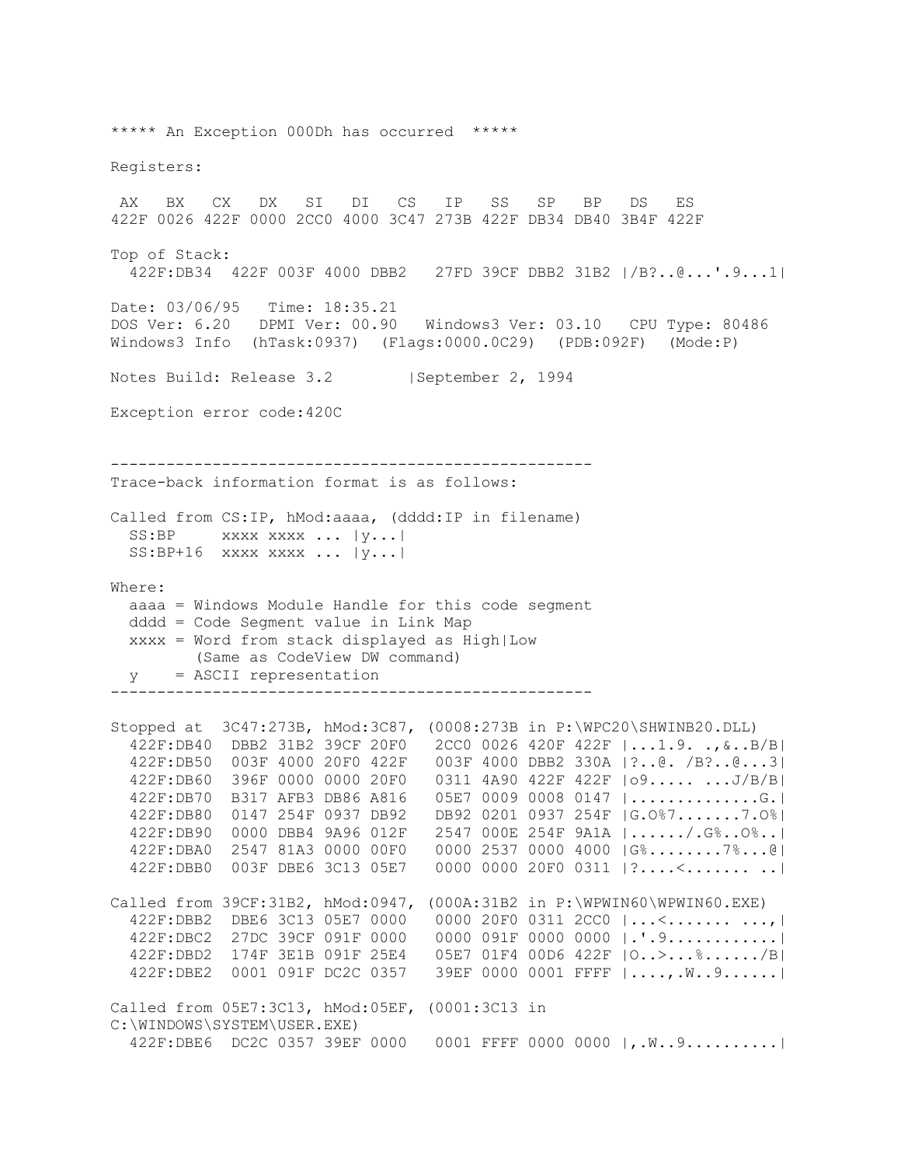\*\*\*\*\* An Exception 000Dh has occurred \*\*\*\*\* Registers: AX BX CX DX SI DI CS IP SS SP BP DS ES 422F 0026 422F 0000 2CC0 4000 3C47 273B 422F DB34 DB40 3B4F 422F Top of Stack: 422F:DB34 422F 003F 4000 DBB2 27FD 39CF DBB2 31B2 |/B?..@...'.9...1| Date: 03/06/95 Time: 18:35.21 DOS Ver: 6.20 DPMI Ver: 00.90 Windows3 Ver: 03.10 CPU Type: 80486 Windows3 Info (hTask:0937) (Flags:0000.0C29) (PDB:092F) (Mode:P) Notes Build: Release 3.2 | September 2, 1994 Exception error code:420C ---------------------------------------------------- Trace-back information format is as follows: Called from CS:IP, hMod:aaaa, (dddd:IP in filename) SS:BP xxxx xxxx ... |y...| SS:BP+16 xxxx xxxx ... |y...| Where: aaaa = Windows Module Handle for this code segment dddd = Code Segment value in Link Map xxxx = Word from stack displayed as High|Low (Same as CodeView DW command) y = ASCII representation ---------------------------------------------------- Stopped at 3C47:273B, hMod:3C87, (0008:273B in P:\WPC20\SHWINB20.DLL) 422F:DB40 DBB2 31B2 39CF 20F0 2CC0 0026 420F 422F |...1.9. .,&..B/B| 422F:DB50 003F 4000 20F0 422F 003F 4000 DBB2 330A |?..@. /B?..@...3| 422F:DB60 396F 0000 0000 20F0 0311 4A90 422F 422F |o9..... ...J/B/B| 422F:DB70 B317 AFB3 DB86 A816 05E7 0009 0008 0147 |..............G.| 422F:DB80 0147 254F 0937 DB92 DB92 0201 0937 254F |G.O%7.......7.O%| 422F:DB90 0000 DBB4 9A96 012F 2547 000E 254F 9A1A |....../.G%..O%..| 422F:DBA0 2547 81A3 0000 00F0 0000 2537 0000 4000 |G%........7%...@| 422F:DBB0 003F DBE6 3C13 05E7 0000 0000 20F0 0311 |?....<....... ..| Called from 39CF:31B2, hMod:0947, (000A:31B2 in P:\WPWIN60\WPWIN60.EXE) 422F:DBB2 DBE6 3C13 05E7 0000 0000 20F0 0311 2CC0 |...<....... ...,| 422F:DBC2 27DC 39CF 091F 0000 0000 091F 0000 0000 |.'.9............| 422F:DBD2 174F 3E1B 091F 25E4 05E7 01F4 00D6 422F |O..>...%....../B| 422F:DBE2 0001 091F DC2C 0357 39EF 0000 0001 FFFF |....,.W..9......| Called from 05E7:3C13, hMod:05EF, (0001:3C13 in C:\WINDOWS\SYSTEM\USER.EXE) 422F:DBE6 DC2C 0357 39EF 0000 0001 FFFF 0000 0000 |,.W..9..........|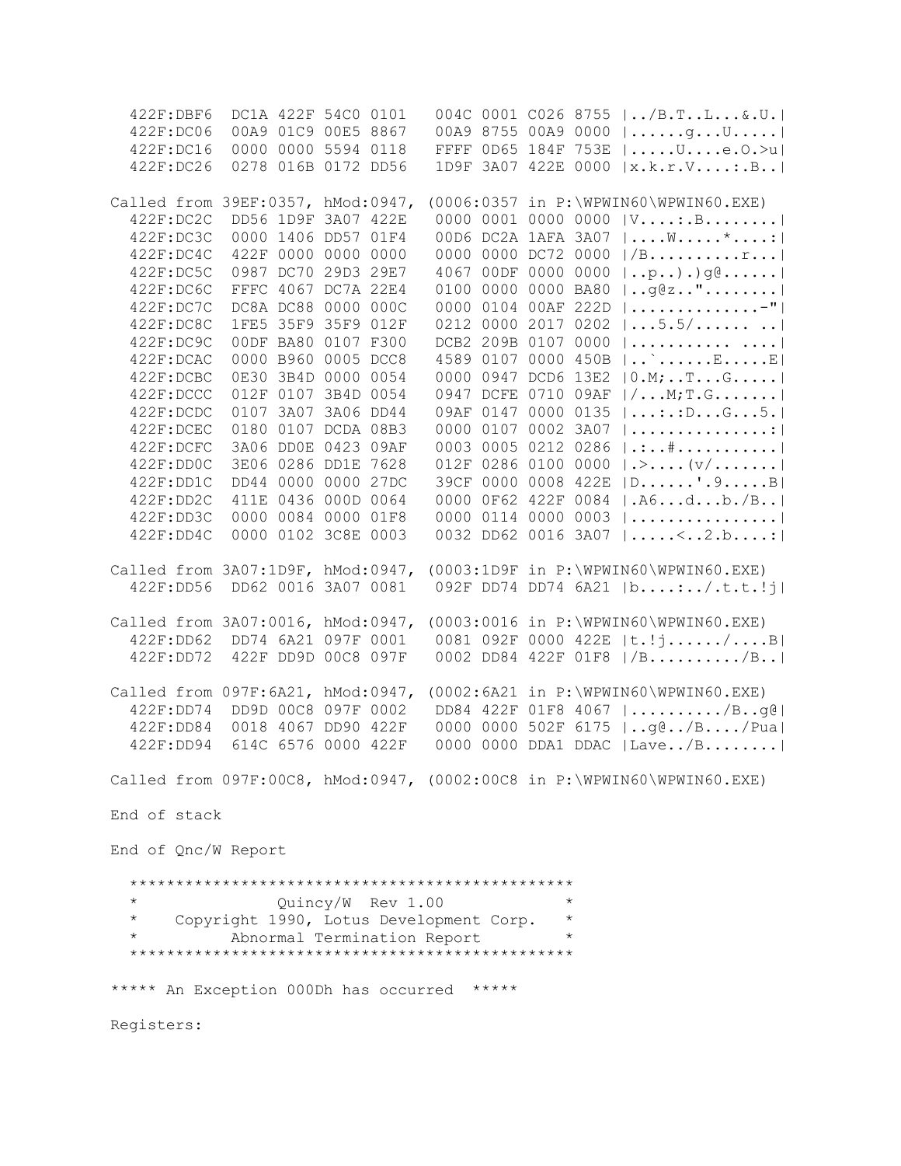422F:DBF6 DC1A 422F 54C0 0101 004C 0001 C026 8755 |../B.T..L...&.U.| 422F:DC06 00A9 01C9 00E5 8867 00A9 8755 00A9 0000 |......g...U.....| 422F:DC16 0000 0000 5594 0118 FFFF 0D65 184F 753E |.....U....e.O.>u| 422F:DC26 0278 016B 0172 DD56 1D9F 3A07 422E 0000 |x.k.r.V....:.B..| Called from 39EF:0357, hMod:0947, (0006:0357 in P:\WPWIN60\WPWIN60.EXE) 422F:DC2C DD56 1D9F 3A07 422E 0000 0001 0000 0000 |V....:.B........| 422F:DC3C 0000 1406 DD57 01F4 00D6 DC2A 1AFA 3A07 |....W.....\*....:| 422F:DC4C 422F 0000 0000 0000 0000 0000 DC72 0000 |/B..........r...|<br>422F:DC5C 0987 DC70 29D3 29E7 4067 00DF 0000 0000 |..p..).)g@......|  $4067$  OODF 0000 0000  $|..p..)$ .)g@...... 422F:DC6C FFFC 4067 DC7A 22E4 0100 0000 0000 BA80 |..g@z.."........| 422F:DC7C DC8A DC88 0000 000C 0000 0104 00AF 222D |..............-"| 422F:DC8C 1FE5 35F9 35F9 012F 0212 0000 2017 0202 |...5.5/...... ..| 422F:DC9C 00DF BA80 0107 F300 DCB2 209B 0107 0000 |........... ....| 422F:DCAC 0000 B960 0005 DCC8 4589 0107 0000 450B |..`......E.....E| 422F:DCBC 0E30 3B4D 0000 0054 0000 0947 DCD6 13E2 |0.M;..T...G.....| 422F:DCCC 012F 0107 3B4D 0054 0947 DCFE 0710 09AF |/...M;T.G.......| 422F:DCDC 0107 3A07 3A06 DD44 09AF 0147 0000 0135 |...:.:D...G...5.| 422F:DCEC 0180 0107 DCDA 08B3 0000 0107 0002 3A07 |...............:| 422F:DCFC 3A06 DD0E 0423 09AF 0003 0005 0212 0286 |.:..#...........| 422F:DD0C 3E06 0286 DD1E 7628 012F 0286 0100 0000 |.>....(v/.......| 422F:DD1C DD44 0000 0000 27DC 39CF 0000 0008 422E |D......'.9.....B| 422F:DD2C 411E 0436 000D 0064 0000 0F62 422F 0084 |.A6...d...b./B..| 422F:DD3C 0000 0084 0000 01F8 0000 0114 0000 0003 |................| 422F:DD4C 0000 0102 3C8E 0003 0032 DD62 0016 3A07 |.....<..2.b....:| Called from 3A07:1D9F, hMod:0947, (0003:1D9F in P:\WPWIN60\WPWIN60.EXE) 422F:DD56 DD62 0016 3A07 0081 092F DD74 DD74 6A21 |b....:../.t.t.!j| Called from 3A07:0016, hMod:0947, (0003:0016 in P:\WPWIN60\WPWIN60.EXE) 422F:DD62 DD74 6A21 097F 0001 0081 092F 0000 422E |t.!j....../....B| 422F:DD72 422F DD9D 00C8 097F 0002 DD84 422F 01F8 |/B........../B..| Called from 097F:6A21, hMod:0947, (0002:6A21 in P:\WPWIN60\WPWIN60.EXE) 422F:DD74 DD9D 00C8 097F 0002 DD84 422F 01F8 4067 |........../B..g@| 422F:DD84 0018 4067 DD90 422F 0000 0000 502F 6175 |..g@../B..../Pua| 422F:DD94 614C 6576 0000 422F 0000 0000 DDA1 DDAC |Lave../B........| Called from 097F:00C8, hMod:0947, (0002:00C8 in P:\WPWIN60\WPWIN60.EXE) End of stack End of Qnc/W Report \*\*\*\*\*\*\*\*\*\*\*\*\*\*\*\*\*\*\*\*\*\*\*\*\*\*\*\*\*\*\*\*\*\*\*\*\*\*\*\*\*\*\*\*\*\*\*\* \* Quincy/W Rev 1.00 \* \* Copyright 1990, Lotus Development Corp. \* Abnormal Termination Report \*\*\*\*\*\*\*\*\*\*\*\*\*\*\*\*\*\*\*\*\*\*\*\*\*\*\*\*\*\*\*\*\*\*\*\*\*\*\*\*\*\*\*\*\*\*\*\* \*\*\*\*\* An Exception 000Dh has occurred \*\*\*\*\* Registers: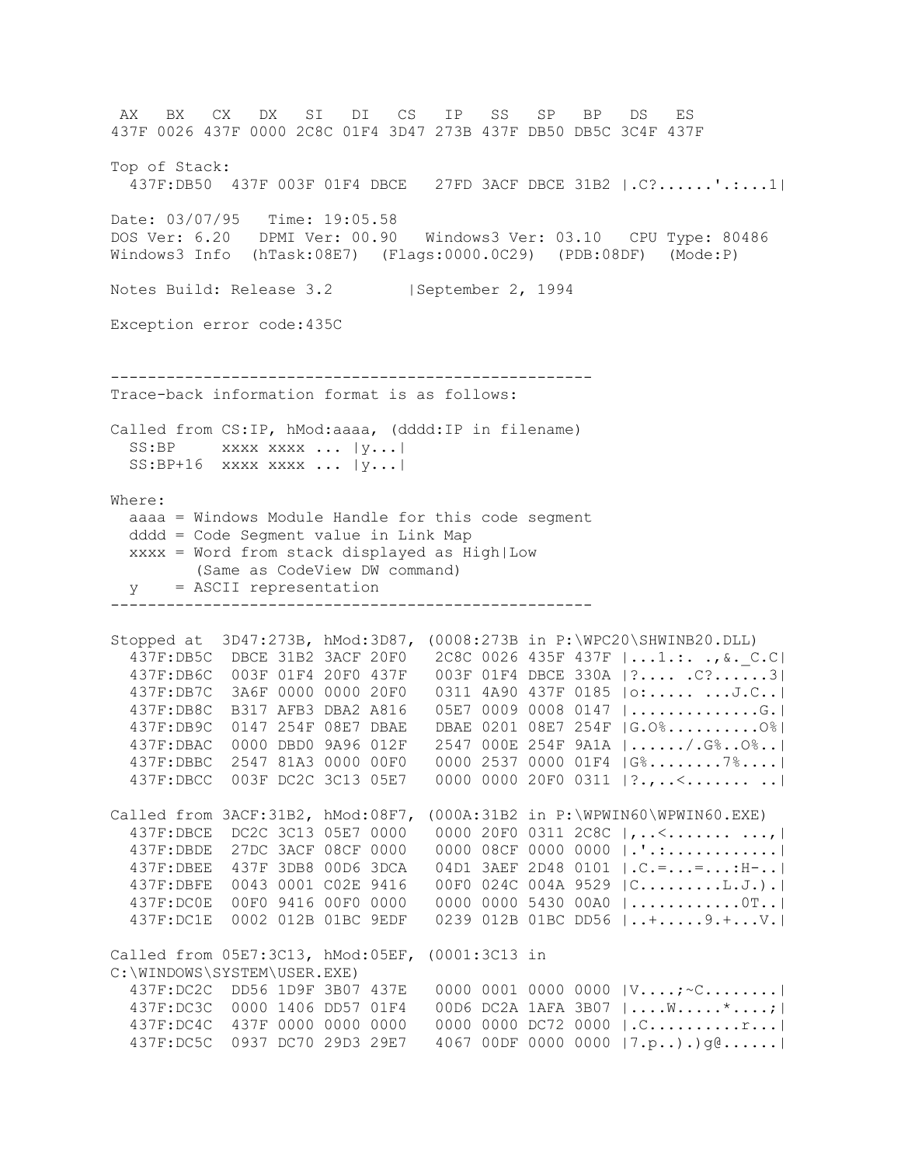AX BX CX DX SI DI CS IP SS SP BP DS ES 437F 0026 437F 0000 2C8C 01F4 3D47 273B 437F DB50 DB5C 3C4F 437F Top of Stack: 437F:DB50 437F 003F 01F4 DBCE 27FD 3ACF DBCE 31B2 |.C?......'.:...1| Date: 03/07/95 Time: 19:05.58 DOS Ver: 6.20 DPMI Ver: 00.90 Windows3 Ver: 03.10 CPU Type: 80486 Windows3 Info (hTask:08E7) (Flags:0000.0C29) (PDB:08DF) (Mode:P) Notes Build: Release 3.2 | September 2, 1994 Exception error code:435C ---------------------------------------------------- Trace-back information format is as follows: Called from CS:IP, hMod:aaaa, (dddd:IP in filename)  $SS:BP$  xxxx xxxx ...  $|y...|$  SS:BP+16 xxxx xxxx ... |y...| Where: aaaa = Windows Module Handle for this code segment dddd = Code Segment value in Link Map xxxx = Word from stack displayed as High|Low (Same as CodeView DW command) y = ASCII representation ---------------------------------------------------- Stopped at 3D47:273B, hMod:3D87, (0008:273B in P:\WPC20\SHWINB20.DLL) 437F:DB5C DBCE 31B2 3ACF 20F0 2C8C 0026 435F 437F |...1.:. .,&.\_C.C| 437F:DB6C 003F 01F4 20F0 437F 003F 01F4 DBCE 330A |?.... .C?......3| 437F:DB7C 3A6F 0000 0000 20F0 0311 4A90 437F 0185 |o:..... ...J.C..| 437F:DB8C B317 AFB3 DBA2 A816 05E7 0009 0008 0147 |..............G.| 437F:DB9C 0147 254F 08E7 DBAE DBAE 0201 08E7 254F |G.O%..........O%| 437F:DBAC 0000 DBD0 9A96 012F 2547 000E 254F 9A1A |....../.G%..O%..| 437F:DBBC 2547 81A3 0000 00F0 0000 2537 0000 01F4 |G%........7%....| 437F:DBCC 003F DC2C 3C13 05E7 0000 0000 20F0 0311 |?.,..<....... ..| Called from 3ACF:31B2, hMod:08F7, (000A:31B2 in P:\WPWIN60\WPWIN60.EXE) 437F:DBCE DC2C 3C13 05E7 0000 0000 20F0 0311 2C8C |,..<....... ...,| 437F:DBDE 27DC 3ACF 08CF 0000 0000 08CF 0000 0000 |.'.:............| 437F:DBEE 437F 3DB8 00D6 3DCA 04D1 3AEF 2D48 0101 |.C.=...=...:H-..| 437F:DBFE 0043 0001 C02E 9416 00F0 024C 004A 9529 |C.........L.J.).| 437F:DC0E 00F0 9416 00F0 0000 0000 0000 5430 00A0 |............0T..| 437F:DC1E 0002 012B 01BC 9EDF 0239 012B 01BC DD56 |..+.....9.+...V.| Called from 05E7:3C13, hMod:05EF, (0001:3C13 in C:\WINDOWS\SYSTEM\USER.EXE) 437F:DC2C DD56 1D9F 3B07 437E 0000 0001 0000 0000 |V....;~C........| 437F:DC3C 0000 1406 DD57 01F4 00D6 DC2A 1AFA 3B07 |....W.....\*....;| 437F:DC4C 437F 0000 0000 0000 0000 0000 DC72 0000 |.C..........r...| 437F:DC5C 0937 DC70 29D3 29E7 4067 00DF 0000 0000 |7.p..).)g@......|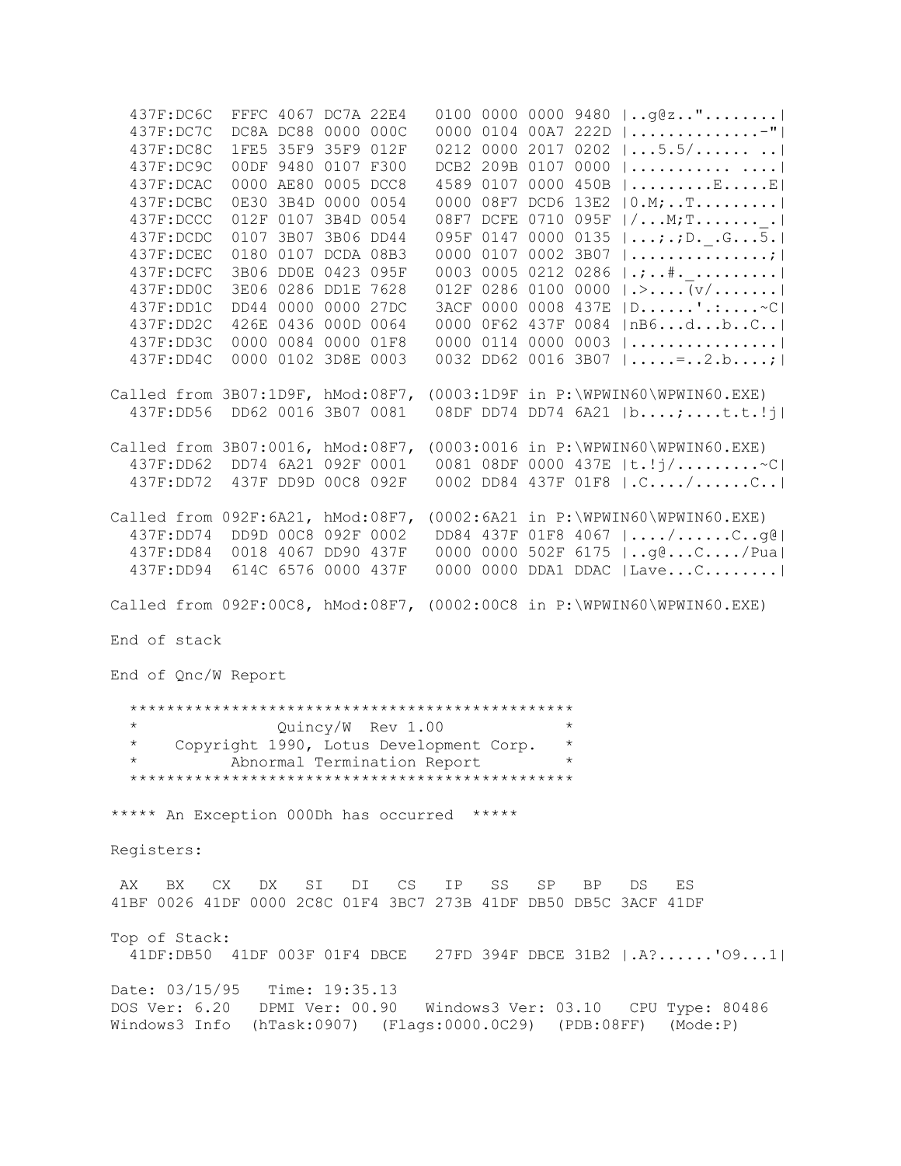437F:DC6C FFFC 4067 DC7A 22E4 0100 0000 0000 9480 |..g@z.."........| 437F:DC7C DC8A DC88 0000 000C 0000 0104 00A7 222D |..............-"| 437F:DC8C 1FE5 35F9 35F9 012F 0212 0000 2017 0202 |...5.5/...... ..| 437F:DC9C 00DF 9480 0107 F300 DCB2 209B 0107 0000 |........... ....| 437F:DCAC 0000 AE80 0005 DCC8 4589 0107 0000 450B |.........E.....E| 437F:DCBC 0E30 3B4D 0000 0054 0000 08F7 DCD6 13E2 |0.M;..T.........| 437F:DCCC 012F 0107 3B4D 0054 08F7 DCFE 0710 095F |/...M;T.......\_.| 437F:DCDC 0107 3B07 3B06 DD44 095F 0147 0000 0135 |...;.;D.\_.G...5.| 437F:DCEC 0180 0107 DCDA 08B3 0000 0107 0002 3B07 |...............;| 437F:DCFC 3B06 DD0E 0423 095F 0003 0005 0212 0286 |.;..#.\_.........| 437F:DD0C 3E06 0286 DD1E 7628 012F 0286 0100 0000 |.>....(v/.......| 437F:DD1C DD44 0000 0000 27DC 3ACF 0000 0008 437E |D......'.:....~C| 437F:DD2C 426E 0436 000D 0064 0000 0F62 437F 0084 |nB6...d...b..C..| 437F:DD3C 0000 0084 0000 01F8 0000 0114 0000 0003 |................| 437F:DD4C 0000 0102 3D8E 0003 0032 DD62 0016 3B07 |.....=..2.b....;| Called from 3B07:1D9F, hMod:08F7, (0003:1D9F in P:\WPWIN60\WPWIN60.EXE) 437F:DD56 DD62 0016 3B07 0081 08DF DD74 DD74 6A21 |b....;....t.t.!j| Called from 3B07:0016, hMod:08F7, (0003:0016 in P:\WPWIN60\WPWIN60.EXE) 437F:DD62 DD74 6A21 092F 0001 0081 08DF 0000 437E |t.!j/.........~C| 437F:DD72 437F DD9D 00C8 092F 0002 DD84 437F 01F8 |.C..../......C..| Called from 092F:6A21, hMod:08F7, (0002:6A21 in P:\WPWIN60\WPWIN60.EXE) 437F:DD74 DD9D 00C8 092F 0002 DD84 437F 01F8 4067 |..../......C..g@| 437F:DD84 0018 4067 DD90 437F 0000 0000 502F 6175 |..g@...C..../Pua| 437F:DD94 614C 6576 0000 437F 0000 0000 DDA1 DDAC |Lave...C........| Called from 092F:00C8, hMod:08F7, (0002:00C8 in P:\WPWIN60\WPWIN60.EXE) End of stack End of Qnc/W Report \*\*\*\*\*\*\*\*\*\*\*\*\*\*\*\*\*\*\*\*\*\*\*\*\*\*\*\*\*\*\*\*\*\*\*\*\*\*\*\*\*\*\*\*\*\*\*\* \* Quincy/W Rev 1.00 \* \* Copyright 1990, Lotus Development Corp. \* Abnormal Termination Report \*\*\*\*\*\*\*\*\*\*\*\*\*\*\*\*\*\*\*\*\*\*\*\*\*\*\*\*\*\*\*\*\*\*\*\*\*\*\*\*\*\*\*\*\*\*\*\* \*\*\*\*\* An Exception 000Dh has occurred \*\*\*\*\* Registers: AX BX CX DX SI DI CS IP SS SP BP DS ES 41BF 0026 41DF 0000 2C8C 01F4 3BC7 273B 41DF DB50 DB5C 3ACF 41DF Top of Stack: 41DF:DB50 41DF 003F 01F4 DBCE 27FD 394F DBCE 31B2 |.A?......'O9...1| Date: 03/15/95 Time: 19:35.13 DOS Ver: 6.20 DPMI Ver: 00.90 Windows3 Ver: 03.10 CPU Type: 80486 Windows3 Info (hTask:0907) (Flags:0000.0C29) (PDB:08FF) (Mode:P)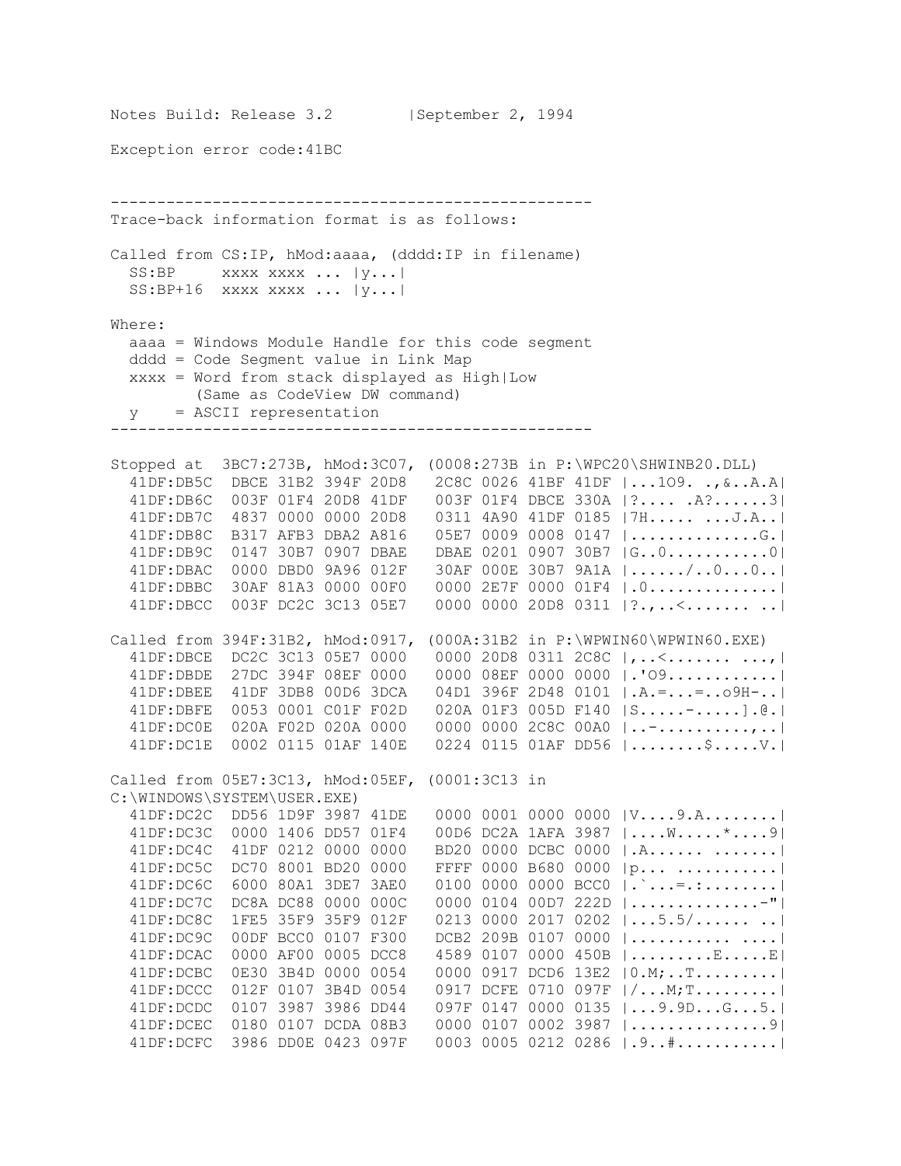Notes Build: Release 3.2 | September 2, 1994 Exception error code:41BC ---------------------------------------------------- Trace-back information format is as follows: Called from CS:IP, hMod:aaaa, (dddd:IP in filename)  $SS: BP$  xxxx xxxx ...  $|y...|$  SS:BP+16 xxxx xxxx ... |y...| Where: aaaa = Windows Module Handle for this code segment dddd = Code Segment value in Link Map xxxx = Word from stack displayed as High|Low (Same as CodeView DW command) y = ASCII representation ---------------------------------------------------- Stopped at 3BC7:273B, hMod:3C07, (0008:273B in P:\WPC20\SHWINB20.DLL) 41DF:DB5C DBCE 31B2 394F 20D8 2C8C 0026 41BF 41DF |...1O9. .,&..A.A| 41DF:DB6C 003F 01F4 20D8 41DF 003F 01F4 DBCE 330A |?.... .A?......3| 41DF:DB7C 4837 0000 0000 20D8 0311 4A90 41DF 0185 |7H..... ...J.A..| 41DF:DB8C B317 AFB3 DBA2 A816 05E7 0009 0008 0147 |..............G.| 41DF:DB9C 0147 30B7 0907 DBAE DBAE 0201 0907 30B7 |G..0...........0| 41DF:DBAC 0000 DBD0 9A96 012F 30AF 000E 30B7 9A1A |....../..0...0..| 41DF:DBBC 30AF 81A3 0000 00F0 0000 2E7F 0000 01F4 |.0..............| 41DF:DBCC 003F DC2C 3C13 05E7 0000 0000 20D8 0311 |?.,..<....... ..| Called from 394F:31B2, hMod:0917, (000A:31B2 in P:\WPWIN60\WPWIN60.EXE) 41DF:DBCE DC2C 3C13 05E7 0000 0000 20D8 0311 2C8C |,..<....... ...,| 41DF:DBDE 27DC 394F 08EF 0000 0000 08EF 0000 0000 |.'O9............| 41DF:DBEE 41DF 3DB8 00D6 3DCA 04D1 396F 2D48 0101 |.A.=...=..o9H-..| 41DF:DBFE 0053 0001 C01F F02D 020A 01F3 005D F140 |S.....-.....].@.| 41DF:DC0E 020A F02D 020A 0000 0000 0000 2C8C 00A0 |..-..........,..| 41DF:DC1E 0002 0115 01AF 140E 0224 0115 01AF DD56 |........\$.....V.| Called from 05E7:3C13, hMod:05EF, (0001:3C13 in C:\WINDOWS\SYSTEM\USER.EXE) 41DF:DC2C DD56 1D9F 3987 41DE 0000 0001 0000 0000 |V....9.A........| 41DF:DC3C 0000 1406 DD57 01F4 00D6 DC2A 1AFA 3987 |....W.....\*....9| 41DF:DC4C 41DF 0212 0000 0000 BD20 0000 DCBC 0000 |.A...... .......| 41DF:DC5C DC70 8001 BD20 0000 FFFF 0000 B680 0000 |p... ...........| 41DF:DC6C 6000 80A1 3DE7 3AE0 0100 0000 0000 BCC0 |.`...=.:........| 41DF:DC7C DC8A DC88 0000 000C 0000 0104 00D7 222D |..............-"| 41DF:DC8C 1FE5 35F9 35F9 012F 0213 0000 2017 0202 |...5.5/...... ..| 41DF:DC9C 00DF BCC0 0107 F300 DCB2 209B 0107 0000 |........... ....| 41DF:DCAC 0000 AF00 0005 DCC8 4589 0107 0000 450B |.........E.....E| 41DF:DCBC 0E30 3B4D 0000 0054 0000 0917 DCD6 13E2 |0.M;..T.........| 41DF:DCCC 012F 0107 3B4D 0054 0917 DCFE 0710 097F |/...M;T.........| 41DF:DCDC 0107 3987 3986 DD44 097F 0147 0000 0135 |...9.9D...G...5.| 41DF:DCEC 0180 0107 DCDA 08B3 0000 0107 0002 3987 |...............9| 41DF:DCFC 3986 DD0E 0423 097F 0003 0005 0212 0286 |.9..#...........|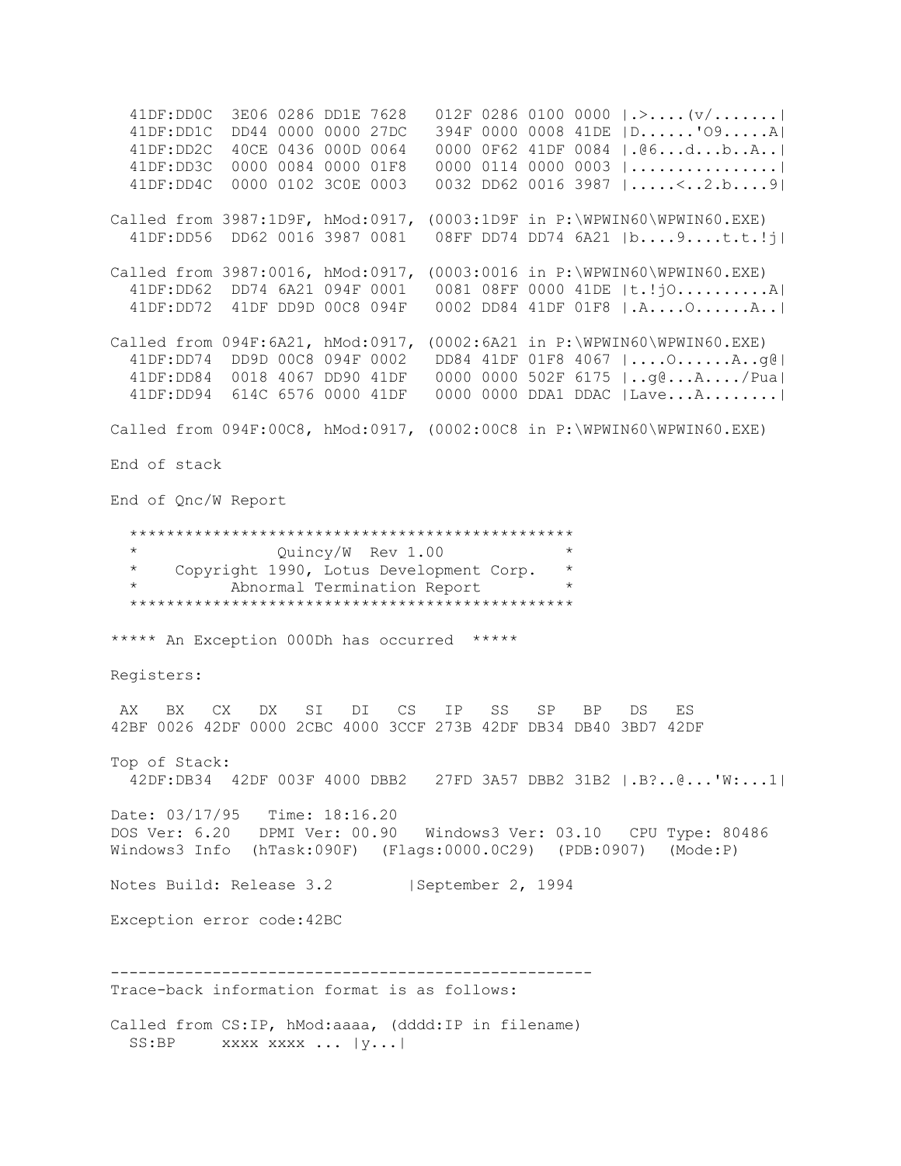41DF:DD0C 3E06 0286 DD1E 7628 012F 0286 0100 0000 |.>....(v/.......| 41DF:DD1C DD44 0000 0000 27DC 394F 0000 0008 41DE |D......'O9.....A| 41DF:DD2C 40CE 0436 000D 0064 0000 0F62 41DF 0084 |.@6...d...b..A..| 41DF:DD3C 0000 0084 0000 01F8 0000 0114 0000 0003 |................| 41DF:DD4C 0000 0102 3C0E 0003 0032 DD62 0016 3987 |.....<..2.b....9| Called from 3987:1D9F, hMod:0917, (0003:1D9F in P:\WPWIN60\WPWIN60.EXE) 41DF:DD56 DD62 0016 3987 0081 08FF DD74 DD74 6A21 |b....9....t.t.!j| Called from 3987:0016, hMod:0917, (0003:0016 in P:\WPWIN60\WPWIN60.EXE) 41DF:DD62 DD74 6A21 094F 0001 0081 08FF 0000 41DE |t.!jO..........A| 41DF:DD72 41DF DD9D 00C8 094F 0002 DD84 41DF 01F8 |.A....O......A..| Called from 094F:6A21, hMod:0917, (0002:6A21 in P:\WPWIN60\WPWIN60.EXE) 41DF:DD74 DD9D 00C8 094F 0002 DD84 41DF 01F8 4067 |....O......A..g@| 41DF:DD84 0018 4067 DD90 41DF 0000 0000 502F 6175 |..g@...A..../Pua| 41DF:DD94 614C 6576 0000 41DF 0000 0000 DDA1 DDAC |Lave...A........| Called from 094F:00C8, hMod:0917, (0002:00C8 in P:\WPWIN60\WPWIN60.EXE) End of stack End of Qnc/W Report \*\*\*\*\*\*\*\*\*\*\*\*\*\*\*\*\*\*\*\*\*\*\*\*\*\*\*\*\*\*\*\*\*\*\*\*\*\*\*\*\*\*\*\*\*\*\*\* Quincy/W Rev 1.00 \* Copyright 1990, Lotus Development Corp. \* Abnormal Termination Report \*\*\*\*\*\*\*\*\*\*\*\*\*\*\*\*\*\*\*\*\*\*\*\*\*\*\*\*\*\*\*\*\*\*\*\*\*\*\*\*\*\*\*\*\*\*\*\* \*\*\*\*\* An Exception 000Dh has occurred \*\*\*\*\* Registers: AX BX CX DX SI DI CS IP SS SP BP DS ES 42BF 0026 42DF 0000 2CBC 4000 3CCF 273B 42DF DB34 DB40 3BD7 42DF Top of Stack: 42DF:DB34 42DF 003F 4000 DBB2 27FD 3A57 DBB2 31B2 |.B?..@...'W:...1| Date: 03/17/95 Time: 18:16.20 DOS Ver: 6.20 DPMI Ver: 00.90 Windows3 Ver: 03.10 CPU Type: 80486 Windows3 Info (hTask:090F) (Flags:0000.0C29) (PDB:0907) (Mode:P) Notes Build: Release 3.2 | September 2, 1994 Exception error code:42BC ---------------------------------------------------- Trace-back information format is as follows: Called from CS:IP, hMod:aaaa, (dddd:IP in filename) SS:BP xxxx xxxx ... |y...|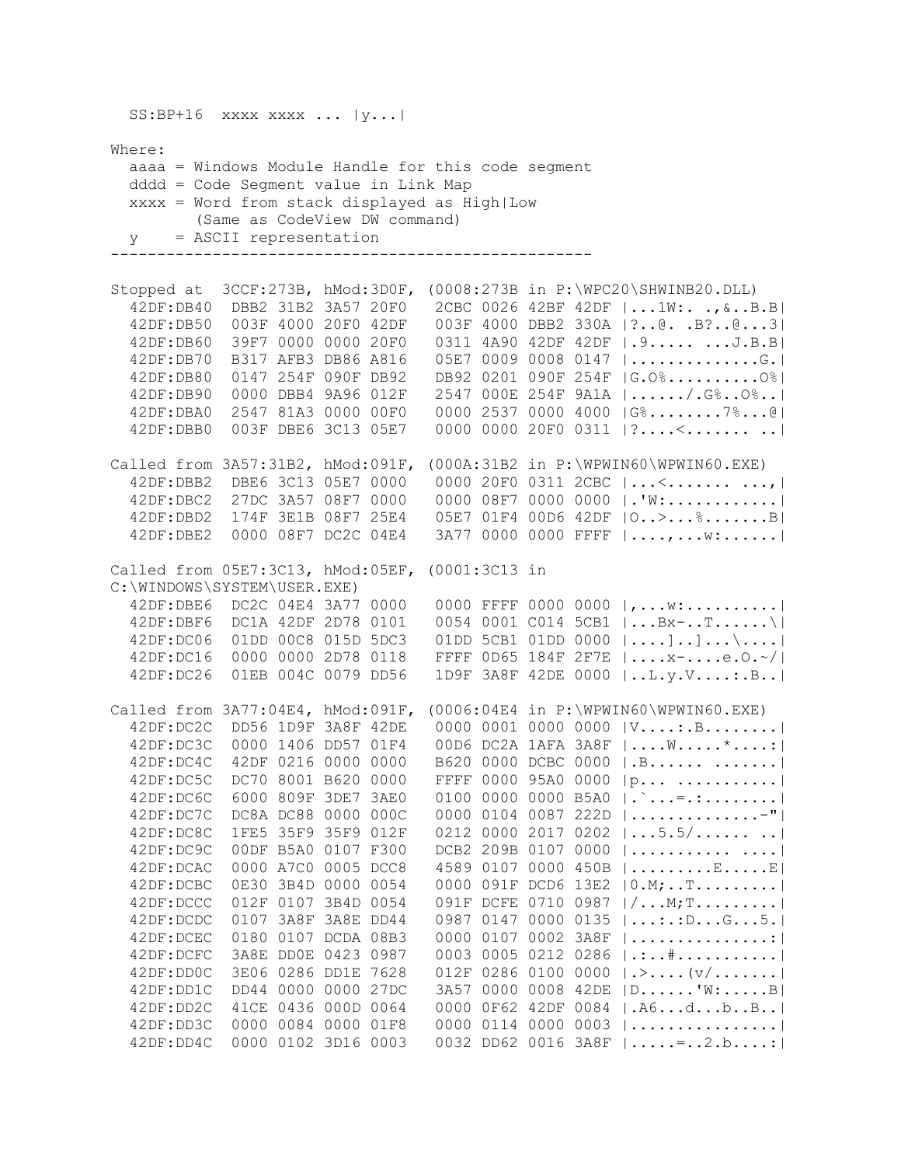$SS: BP+16$  xxxx xxxx ...  $|y...|$ Where: aaaa = Windows Module Handle for this code segment dddd = Code Segment value in Link Map xxxx = Word from stack displayed as High|Low (Same as CodeView DW command) y = ASCII representation ---------------------------------------------------- Stopped at 3CCF:273B, hMod:3D0F, (0008:273B in P:\WPC20\SHWINB20.DLL) 42DF:DB40 DBB2 31B2 3A57 20F0 2CBC 0026 42BF 42DF |...1W:. .,&..B.B| 42DF:DB50 003F 4000 20F0 42DF 003F 4000 DBB2 330A |?..@. .B?..@...3| 42DF:DB60 39F7 0000 0000 20F0 0311 4A90 42DF 42DF |.9..... ...J.B.B| 42DF:DB70 B317 AFB3 DB86 A816 05E7 0009 0008 0147 |..............G.| 42DF:DB80 0147 254F 090F DB92 DB92 0201 090F 254F |G.O%..........O%| 42DF:DB90 0000 DBB4 9A96 012F 2547 000E 254F 9A1A |....../.G%..O%..| 42DF:DBA0 2547 81A3 0000 00F0 0000 2537 0000 4000 |G%........7%...@| 42DF:DBB0 003F DBE6 3C13 05E7 0000 0000 20F0 0311 |?....<....... ..| Called from 3A57:31B2, hMod:091F, (000A:31B2 in P:\WPWIN60\WPWIN60.EXE) 42DF:DBB2 DBE6 3C13 05E7 0000 0000 20F0 0311 2CBC |...<....... ...,| 42DF:DBC2 27DC 3A57 08F7 0000 0000 08F7 0000 0000 |.'W:............| 42DF:DBD2 174F 3E1B 08F7 25E4 05E7 01F4 00D6 42DF |O..>...%.......B| 42DF:DBE2 0000 08F7 DC2C 04E4 3A77 0000 0000 FFFF |....,...w:......| Called from 05E7:3C13, hMod:05EF, (0001:3C13 in C:\WINDOWS\SYSTEM\USER.EXE) 42DF:DBE6 DC2C 04E4 3A77 0000 0000 FFFF 0000 0000 |,...w:..........| 42DF:DBF6 DC1A 42DF 2D78 0101 0054 0001 C014 5CB1 |...Bx-..T......\| 42DF:DC06 01DD 00C8 015D 5DC3 01DD 5CB1 01DD 0000 |....]..]...\....| 42DF:DC16 0000 0000 2D78 0118 FFFF 0D65 184F 2F7E |....x-....e.O.~/| 42DF:DC26 01EB 004C 0079 DD56 1D9F 3A8F 42DE 0000 |..L.y.V....:.B..| Called from 3A77:04E4, hMod:091F, (0006:04E4 in P:\WPWIN60\WPWIN60.EXE) 42DF:DC2C DD56 1D9F 3A8F 42DE 0000 0001 0000 0000 |V....:.B........| 42DF:DC3C 0000 1406 DD57 01F4 00D6 DC2A 1AFA 3A8F |....W.....\*....:| 42DF:DC4C 42DF 0216 0000 0000 B620 0000 DCBC 0000 |.B...... .......| 42DF:DC5C DC70 8001 B620 0000 FFFF 0000 95A0 0000 |p... ...........| 42DF:DC6C 6000 809F 3DE7 3AE0 0100 0000 0000 B5A0 |.`...=.:........|<br>42DF:DC7C DC8A DC88 0000 000C 0000 0104 0087 222D |..............-"|  $0000$  0104 0087 222D  $|...............$  42DF:DC8C 1FE5 35F9 35F9 012F 0212 0000 2017 0202 |...5.5/...... ..| 42DF:DC9C 00DF B5A0 0107 F300 DCB2 209B 0107 0000 |........... ....| 42DF:DCAC 0000 A7C0 0005 DCC8 4589 0107 0000 450B |.........E.....E| 42DF:DCBC 0E30 3B4D 0000 0054 0000 091F DCD6 13E2 |0.M;..T.........| 42DF:DCCC 012F 0107 3B4D 0054 091F DCFE 0710 0987 |/...M;T.........| 42DF:DCDC 0107 3A8F 3A8E DD44 0987 0147 0000 0135 |...:.:D...G...5.| 42DF:DCEC 0180 0107 DCDA 08B3 0000 0107 0002 3A8F |...............:| 42DF:DCFC 3A8E DD0E 0423 0987 0003 0005 0212 0286 |.:..#...........|<br>42DF:DD0C 3E06 0286 DD1E 7628 012F 0286 0100 0000 |.>....(v/.......|  $012F$  0286 0100 0000  $|\cdot\rangle$ .... $|\nu/\ldots|$  42DF:DD1C DD44 0000 0000 27DC 3A57 0000 0008 42DE |D......'W:.....B| 42DF:DD2C 41CE 0436 000D 0064 0000 0F62 42DF 0084 |.A6...d...b..B..| 42DF:DD3C 0000 0084 0000 01F8 0000 0114 0000 0003 |................| 42DF:DD4C 0000 0102 3D16 0003 0032 DD62 0016 3A8F |.....=..2.b....:|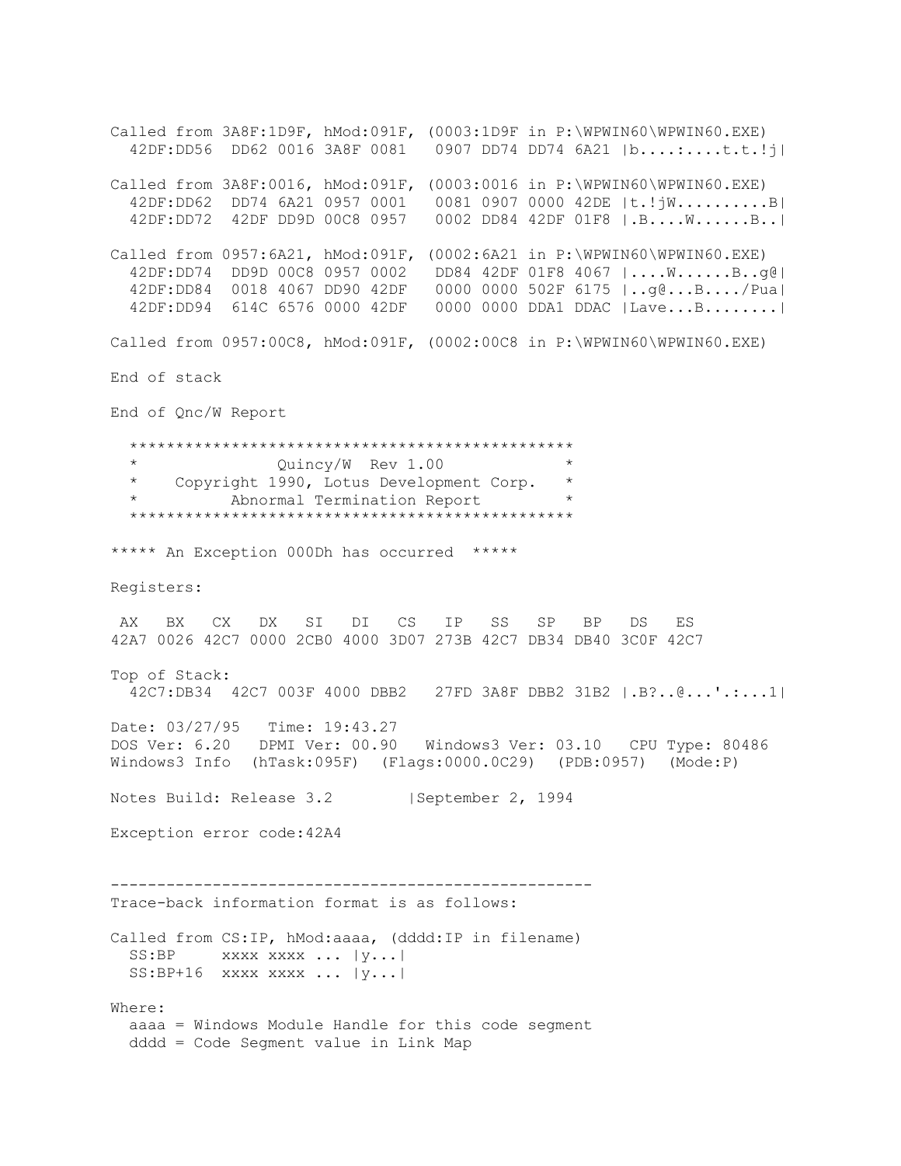Called from 3A8F:1D9F, hMod:091F, (0003:1D9F in P:\WPWIN60\WPWIN60.EXE) 42DF:DD56 DD62 0016 3A8F 0081 0907 DD74 DD74 6A21 |b....:....t.t.!j| Called from 3A8F:0016, hMod:091F, (0003:0016 in P:\WPWIN60\WPWIN60.EXE) 42DF:DD62 DD74 6A21 0957 0001 0081 0907 0000 42DE |t.!jW..........B| 42DF:DD72 42DF DD9D 00C8 0957 0002 DD84 42DF 01F8 |.B....W......B..| Called from 0957:6A21, hMod:091F, (0002:6A21 in P:\WPWIN60\WPWIN60.EXE) 42DF:DD74 DD9D 00C8 0957 0002 DD84 42DF 01F8 4067 |....W......B..g@| 42DF:DD84 0018 4067 DD90 42DF 0000 0000 502F 6175 |..g@...B..../Pua| 42DF:DD94 614C 6576 0000 42DF 0000 0000 DDA1 DDAC |Lave...B........| Called from 0957:00C8, hMod:091F, (0002:00C8 in P:\WPWIN60\WPWIN60.EXE) End of stack End of Qnc/W Report \*\*\*\*\*\*\*\*\*\*\*\*\*\*\*\*\*\*\*\*\*\*\*\*\*\*\*\*\*\*\*\*\*\*\*\*\*\*\*\*\*\*\*\*\*\*\*\* Quincy/W Rev 1.00 \* Copyright 1990, Lotus Development Corp. \* Abnormal Termination Report \*\*\*\*\*\*\*\*\*\*\*\*\*\*\*\*\*\*\*\*\*\*\*\*\*\*\*\*\*\*\*\*\*\*\*\*\*\*\*\*\*\*\*\*\*\*\*\* \*\*\*\*\* An Exception 000Dh has occurred \*\*\*\*\* Registers: AX BX CX DX SI DI CS IP SS SP BP DS ES 42A7 0026 42C7 0000 2CB0 4000 3D07 273B 42C7 DB34 DB40 3C0F 42C7 Top of Stack: 42C7:DB34 42C7 003F 4000 DBB2 27FD 3A8F DBB2 31B2 |.B?..@...'.:...1| Date: 03/27/95 Time: 19:43.27 DOS Ver: 6.20 DPMI Ver: 00.90 Windows3 Ver: 03.10 CPU Type: 80486 Windows3 Info (hTask:095F) (Flags:0000.0C29) (PDB:0957) (Mode:P) Notes Build: Release 3.2 | September 2, 1994 Exception error code:42A4 ---------------------------------------------------- Trace-back information format is as follows: Called from CS:IP, hMod:aaaa, (dddd:IP in filename)  $SS: BP$  xxxx xxxx ...  $|y...|$  SS:BP+16 xxxx xxxx ... |y...| Where: aaaa = Windows Module Handle for this code segment dddd = Code Segment value in Link Map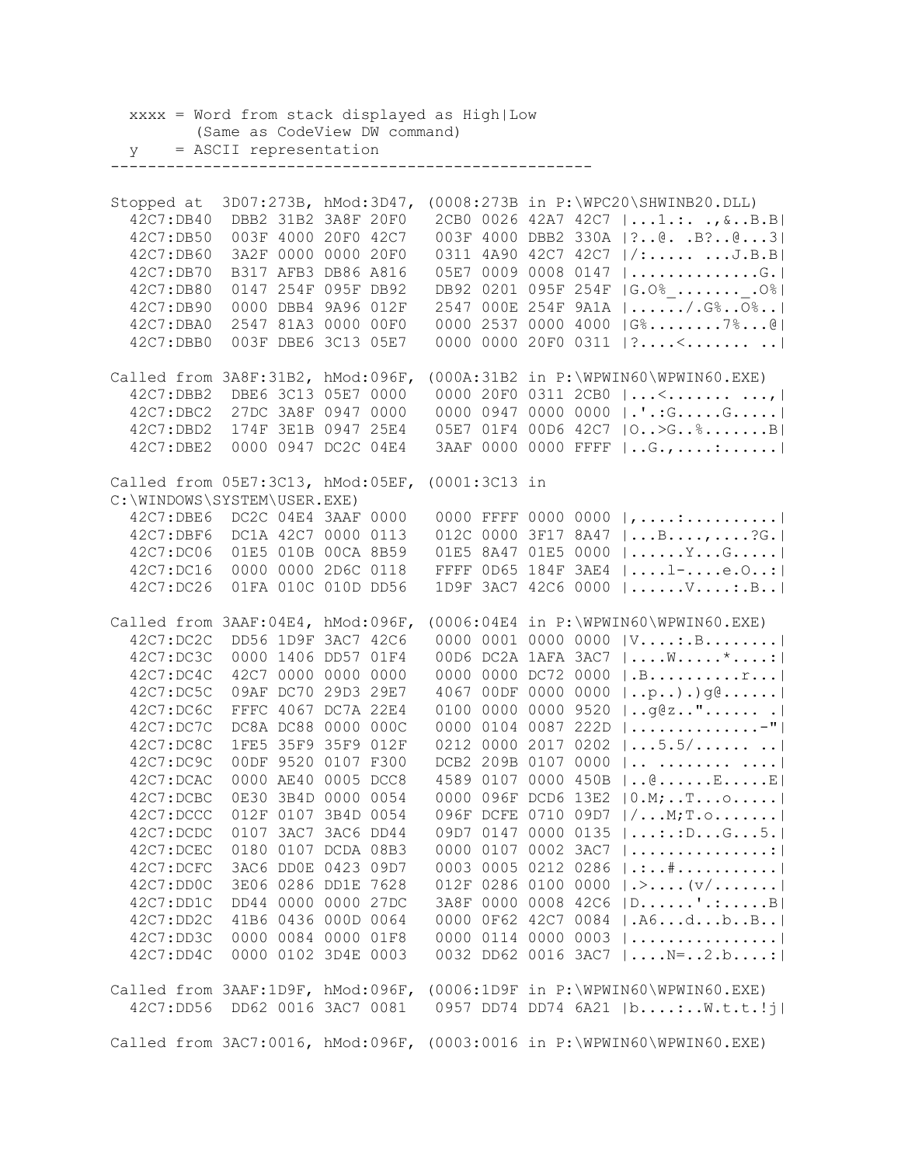xxxx = Word from stack displayed as High|Low (Same as CodeView DW command) y = ASCII representation ---------------------------------------------------- Stopped at 3D07:273B, hMod:3D47, (0008:273B in P:\WPC20\SHWINB20.DLL) 42C7:DB40 DBB2 31B2 3A8F 20F0 2CB0 0026 42A7 42C7 |...1.:. .,&..B.B| 42C7:DB50 003F 4000 20F0 42C7 003F 4000 DBB2 330A |?..@. .B?..@...3| 42C7:DB60 3A2F 0000 0000 20F0 0311 4A90 42C7 42C7 |/:..... ...J.B.B| 42C7:DB70 B317 AFB3 DB86 A816 05E7 0009 0008 0147 |..............G.| 42C7:DB80 0147 254F 095F DB92 DB92 0201 095F 254F |G.O%\_.......\_.O%| 42C7:DB90 0000 DBB4 9A96 012F 2547 000E 254F 9A1A |....../.G%..O%..| 42C7:DBA0 2547 81A3 0000 00F0 0000 2537 0000 4000 |G%........7%...@| 42C7:DBB0 003F DBE6 3C13 05E7 0000 0000 20F0 0311 | ?....<..........| Called from 3A8F:31B2, hMod:096F, (000A:31B2 in P:\WPWIN60\WPWIN60.EXE) 42C7:DBB2 DBE6 3C13 05E7 0000 0000 20F0 0311 2CB0 |...<....... ...,| 42C7:DBC2 27DC 3A8F 0947 0000 0000 0947 0000 0000 |.'.:G.....G.....| 42C7:DBD2 174F 3E1B 0947 25E4 05E7 01F4 00D6 42C7 |O..>G..%.......B| 42C7:DBE2 0000 0947 DC2C 04E4 3AAF 0000 0000 FFFF |..G.,....:......| Called from 05E7:3C13, hMod:05EF, (0001:3C13 in C:\WINDOWS\SYSTEM\USER.EXE) 42C7:DBE6 DC2C 04E4 3AAF 0000 0000 FFFF 0000 0000 |,....:..........| 42C7:DBF6 DC1A 42C7 0000 0113 012C 0000 3F17 8A47 |...B....,....?G.| 42C7:DC06 01E5 010B 00CA 8B59 01E5 8A47 01E5 0000 |......Y...G.....| 42C7:DC16 0000 0000 2D6C 0118 FFFF 0D65 184F 3AE4 |....l-....e.O..:| 42C7:DC26 01FA 010C 010D DD56 1D9F 3AC7 42C6 0000 |......V....:.B..| Called from 3AAF:04E4, hMod:096F, (0006:04E4 in P:\WPWIN60\WPWIN60.EXE) 42C7:DC2C DD56 1D9F 3AC7 42C6 0000 0001 0000 0000 |V....:.B........| 42C7:DC3C 0000 1406 DD57 01F4 00D6 DC2A 1AFA 3AC7 |....W.....\*....:| 42C7:DC4C 42C7 0000 0000 0000 0000 0000 DC72 0000 |.B..........r...| 42C7:DC5C 09AF DC70 29D3 29E7 4067 00DF 0000 0000 |..p..).)g@......| 42C7:DC6C FFFC 4067 DC7A 22E4 0100 0000 0000 9520 |..g@z.."...... .| 42C7:DC7C DC8A DC88 0000 000C 0000 0104 0087 222D |..............-"| 42C7:DC8C 1FE5 35F9 35F9 012F 0212 0000 2017 0202 |...5.5/...... ..| 42C7:DC9C 00DF 9520 0107 F300 DCB2 209B 0107 0000 |.. ........ ....| 42C7:DCAC 0000 AE40 0005 DCC8 4589 0107 0000 450B |..@......E.....E| 42C7:DCBC 0E30 3B4D 0000 0054 0000 096F DCD6 13E2 |0.M;..T...o.....| 42C7:DCCC 012F 0107 3B4D 0054 096F DCFE 0710 09D7 |/...M;T.o.......| 42C7:DCDC 0107 3AC7 3AC6 DD44 09D7 0147 0000 0135 |...:.:D...G...5.| 42C7:DCEC 0180 0107 DCDA 08B3 0000 0107 0002 3AC7 |...............:| 42C7:DCFC 3AC6 DD0E 0423 09D7 0003 0005 0212 0286 |.:..#...........| 42C7:DD0C 3E06 0286 DD1E 7628 012F 0286 0100 0000 |.>....(v/.......| 42C7:DD1C DD44 0000 0000 27DC 3A8F 0000 0008 42C6 |D......'.:.....B| 42C7:DD2C 41B6 0436 000D 0064 0000 0F62 42C7 0084 |.A6...d...b..B..| 42C7:DD3C 0000 0084 0000 01F8 0000 0114 0000 0003 |................| 42C7:DD4C 0000 0102 3D4E 0003 0032 DD62 0016 3AC7 |....N=..2.b....:| Called from 3AAF:1D9F, hMod:096F, (0006:1D9F in P:\WPWIN60\WPWIN60.EXE) 42C7:DD56 DD62 0016 3AC7 0081 0957 DD74 DD74 6A21 |b....:..W.t.t.!j| Called from 3AC7:0016, hMod:096F, (0003:0016 in P:\WPWIN60\WPWIN60.EXE)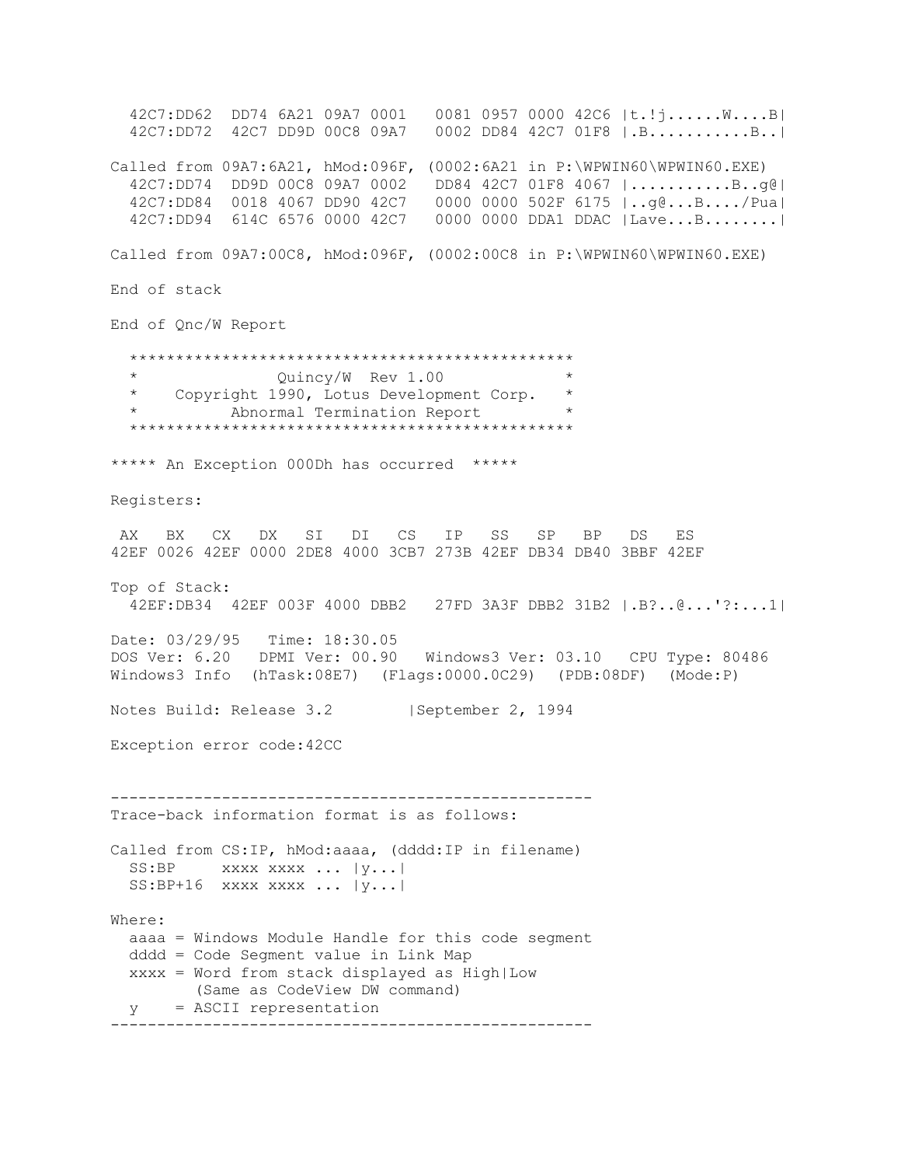42C7:DD62 DD74 6A21 09A7 0001 0081 0957 0000 42C6 |t.!j......W....B| 42C7:DD72 42C7 DD9D 00C8 09A7 0002 DD84 42C7 01F8 |.B...........B..| Called from 09A7:6A21, hMod:096F, (0002:6A21 in P:\WPWIN60\WPWIN60.EXE) 42C7:DD74 DD9D 00C8 09A7 0002 DD84 42C7 01F8 4067 |...........B..g@| 42C7:DD84 0018 4067 DD90 42C7 0000 0000 502F 6175 |..g@...B..../Pua| 42C7:DD94 614C 6576 0000 42C7 0000 0000 DDA1 DDAC |Lave...B........| Called from 09A7:00C8, hMod:096F, (0002:00C8 in P:\WPWIN60\WPWIN60.EXE) End of stack End of Qnc/W Report \*\*\*\*\*\*\*\*\*\*\*\*\*\*\*\*\*\*\*\*\*\*\*\*\*\*\*\*\*\*\*\*\*\*\*\*\*\*\*\*\*\*\*\*\*\*\*\* \* Quincy/W Rev 1.00 \* Copyright 1990, Lotus Development Corp. Abnormal Termination Report \*\*\*\*\*\*\*\*\*\*\*\*\*\*\*\*\*\*\*\*\*\*\*\*\*\*\*\*\*\*\*\*\*\*\*\*\*\*\*\*\*\*\*\*\*\*\*\* \*\*\*\*\* An Exception 000Dh has occurred \*\*\*\*\* Registers: AX BX CX DX SI DI CS IP SS SP BP DS ES 42EF 0026 42EF 0000 2DE8 4000 3CB7 273B 42EF DB34 DB40 3BBF 42EF Top of Stack: 42EF:DB34 42EF 003F 4000 DBB2 27FD 3A3F DBB2 31B2 |.B?..@...'?:...1| Date: 03/29/95 Time: 18:30.05 DOS Ver: 6.20 DPMI Ver: 00.90 Windows3 Ver: 03.10 CPU Type: 80486 Windows3 Info (hTask:08E7) (Flags:0000.0C29) (PDB:08DF) (Mode:P) Notes Build: Release 3.2 | September 2, 1994 Exception error code:42CC ---------------------------------------------------- Trace-back information format is as follows: Called from CS:IP, hMod:aaaa, (dddd:IP in filename) SS:BP xxxx xxxx ... |y...|  $SS: BP+16$  xxxx xxxx ...  $|y...|$ Where: aaaa = Windows Module Handle for this code segment dddd = Code Segment value in Link Map xxxx = Word from stack displayed as High|Low (Same as CodeView DW command) y = ASCII representation ----------------------------------------------------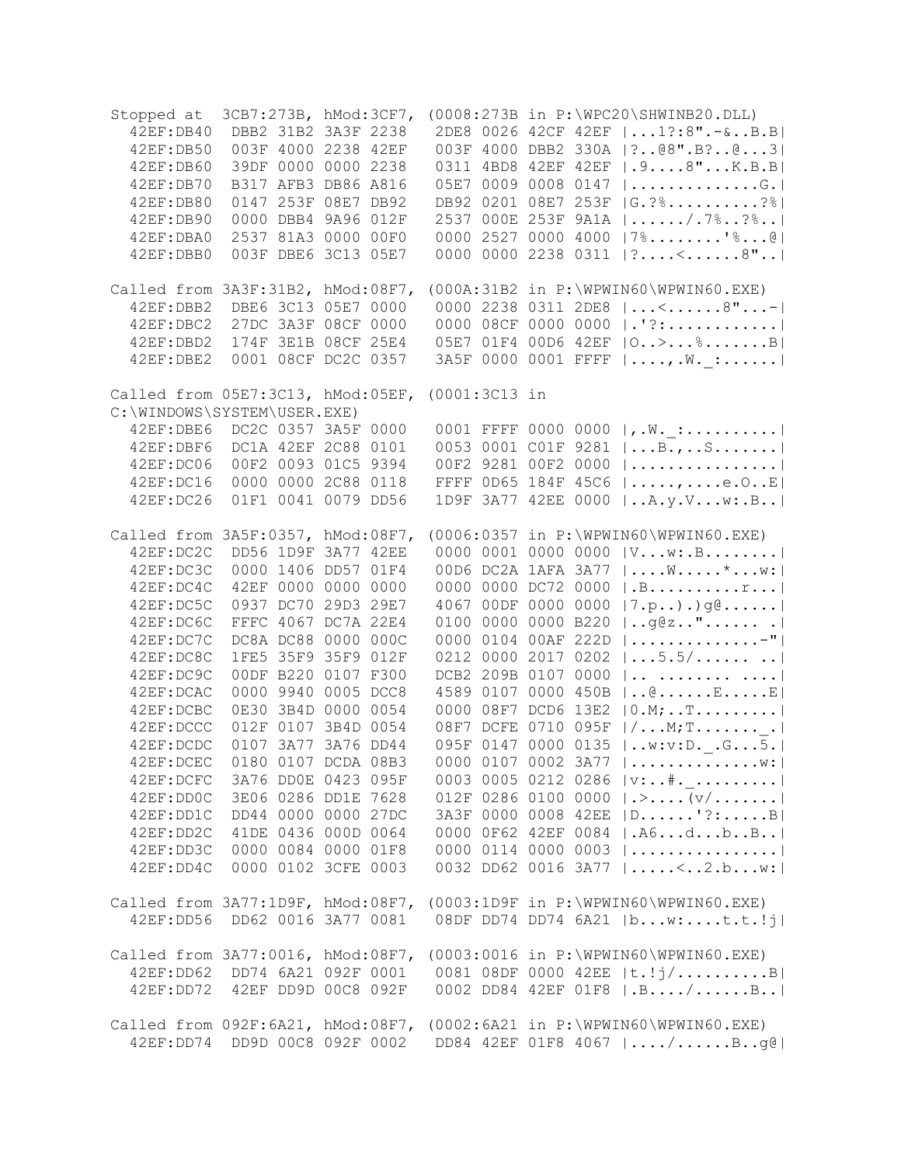| Stopped at<br>42EF: DB40<br>42EF: DB50<br>42EF: DB60<br>42EF: DB70<br>42EF: DB80<br>42EF: DB90<br>42EF:DBA0<br>42EF:DBB0 | 3CB7:273B, hMod:3CF7,         | DBB2 31B2 3A3F 2238<br>003F 4000 2238 42EF<br>39DF 0000 0000 2238<br>B317 AFB3 DB86 A816<br>0147 253F 08E7 DB92<br>0000 DBB4 9A96 012F<br>2537 81A3 0000 00F0<br>003F DBE6 3C13 05E7 |                     | $(0008:273B$ in $P:\WPC20\SHWINB20.DLL)$<br>2DE8 0026 42CF 42EF   1?:8".-&B.B <br>003F 4000 DBB2 330A   ? @8". B? @ 3 <br>0311 4BD8 42EF 42EF   . 98"K.B.B <br>05E7 0009 0008 0147  G. <br>DB92 0201 08E7 253F  G.?%?% <br>2537 000E 253F 9A1A   /.7%?% <br>0000 2527 0000 4000   7%'%@ <br>0000 0000 2238 0311 $ ?$ <8" |
|--------------------------------------------------------------------------------------------------------------------------|-------------------------------|--------------------------------------------------------------------------------------------------------------------------------------------------------------------------------------|---------------------|--------------------------------------------------------------------------------------------------------------------------------------------------------------------------------------------------------------------------------------------------------------------------------------------------------------------------|
| Called from 3A3F:31B2, hMod:08F7,                                                                                        |                               |                                                                                                                                                                                      |                     | (000A:31B2 in P:\WPWIN60\WPWIN60.EXE)                                                                                                                                                                                                                                                                                    |
| 42EF:DBB2                                                                                                                | DBE6 3C13 05E7 0000           |                                                                                                                                                                                      |                     | 0000 2238 0311 2DE8 $ <8" $                                                                                                                                                                                                                                                                                              |
| 42EF:DBC2                                                                                                                |                               | 27DC 3A3F 08CF 0000                                                                                                                                                                  |                     | 0000 08CF 0000 0000  .'?:                                                                                                                                                                                                                                                                                                |
| 42EF:DBD2                                                                                                                |                               | 174F 3E1B 08CF 25E4                                                                                                                                                                  |                     | 05E7 01F4 00D6 42EF   0>%B                                                                                                                                                                                                                                                                                               |
| 42EF:DBE2                                                                                                                |                               | 0001 08CF DC2C 0357                                                                                                                                                                  |                     | 3A5F 0000 0001 FFFF   , .W. _ :                                                                                                                                                                                                                                                                                          |
|                                                                                                                          |                               |                                                                                                                                                                                      |                     |                                                                                                                                                                                                                                                                                                                          |
| Called from 05E7:3C13, hMod:05EF, (0001:3C13 in<br>C:\WINDOWS\SYSTEM\USER.EXE)                                           |                               |                                                                                                                                                                                      |                     |                                                                                                                                                                                                                                                                                                                          |
|                                                                                                                          |                               |                                                                                                                                                                                      |                     |                                                                                                                                                                                                                                                                                                                          |
| 42EF:DBE6                                                                                                                | DC2C 0357 3A5F 0000           |                                                                                                                                                                                      |                     | , .W. :  <br>0001 FFFF 0000 0000                                                                                                                                                                                                                                                                                         |
| 42EF:DBF6                                                                                                                | DC1A 42EF 2C88 0101           |                                                                                                                                                                                      |                     | $ \ldots B_{\cdot}, \ldots S_{\cdot}, \ldots \cdot  $<br>0053 0001 C01F 9281                                                                                                                                                                                                                                             |
| 42EF: DC06                                                                                                               |                               | 00F2 0093 01C5 9394                                                                                                                                                                  | 00F2 9281 00F2 0000 |                                                                                                                                                                                                                                                                                                                          |
| 42EF: DC16                                                                                                               |                               | 0000 0000 2C88 0118                                                                                                                                                                  | FFFF 0D65 184F 45C6 | $  \ldots, \ldots, \ldots, e.0 \ldots E  $                                                                                                                                                                                                                                                                               |
| 42EF: DC26                                                                                                               |                               | 01F1 0041 0079 DD56                                                                                                                                                                  | 1D9F 3A77 42EE 0000 | A,y.Vw::B                                                                                                                                                                                                                                                                                                                |
| Called from 3A5F:0357, hMod:08F7,                                                                                        |                               |                                                                                                                                                                                      |                     | $(0006:0357$ in $P:\WPWIN60\WPWIN60.EXE)$                                                                                                                                                                                                                                                                                |
| 42EF:DC2C                                                                                                                |                               | DD56 1D9F 3A77 42EE                                                                                                                                                                  |                     | 0000 0001 0000 0000 $ Vw: .B $                                                                                                                                                                                                                                                                                           |
| 42EF:DC3C                                                                                                                |                               | 0000 1406 DD57 01F4                                                                                                                                                                  |                     | $ W*W: $<br>00D6 DC2A 1AFA 3A77                                                                                                                                                                                                                                                                                          |
| 42EF:DC4C                                                                                                                |                               | 42EF 0000 0000 0000                                                                                                                                                                  | 0000 0000 DC72 0000 | .B. r.                                                                                                                                                                                                                                                                                                                   |
| 42EF:DC5C                                                                                                                |                               | 0937 DC70 29D3 29E7                                                                                                                                                                  |                     | 4067 00DF 0000 0000<br> 7. p.                                                                                                                                                                                                                                                                                            |
| 42EF:DC6C                                                                                                                |                               | FFFC 4067 DC7A 22E4                                                                                                                                                                  | 0100 0000 0000 B220 | $ $ g@z"                                                                                                                                                                                                                                                                                                                 |
| 42EF:DC7C                                                                                                                |                               | DC8A DC88 0000 000C                                                                                                                                                                  |                     | 0000 0104 00AF 222D<br>                                                                                                                                                                                                                                                                                                  |
| 42EF:DC8C                                                                                                                |                               | 1FE5 35F9 35F9 012F                                                                                                                                                                  |                     | 0212 0000 2017 0202<br> 5.5/                                                                                                                                                                                                                                                                                             |
| 42EF:DC9C                                                                                                                |                               | 00DF B220 0107 F300                                                                                                                                                                  |                     | DCB2 209B 0107 0000<br>                                                                                                                                                                                                                                                                                                  |
| 42EF:DCAC                                                                                                                |                               | 0000 9940 0005 DCC8                                                                                                                                                                  |                     | 4589 0107 0000 450B<br>$  \ldots @ \ldots \ldots E \ldots . E  $                                                                                                                                                                                                                                                         |
| 42EF:DCBC                                                                                                                |                               | 0E30 3B4D 0000 0054                                                                                                                                                                  |                     | 0000 08F7 DCD6 13E2<br>$ 0.M; $ T                                                                                                                                                                                                                                                                                        |
| 42EF:DCCC                                                                                                                |                               | 012F 0107 3B4D 0054                                                                                                                                                                  |                     | 08F7 DCFE 0710 095F<br>$  / \ldots M$ ; T. $\ldots \ldots$ .                                                                                                                                                                                                                                                             |
| 42EF:DCDC                                                                                                                |                               | 0107 3A77 3A76 DD44                                                                                                                                                                  |                     | 095F 0147 0000 0135<br> w:v:DG5.                                                                                                                                                                                                                                                                                         |
| 42EF:DCEC                                                                                                                | 0180 0107 DCDA 08B3           |                                                                                                                                                                                      |                     | 0000 0107 0002 3A77 $  \dots   \dots   \dots  $                                                                                                                                                                                                                                                                          |
|                                                                                                                          | 42EF:DCFC 3A76 DD0E 0423 095F |                                                                                                                                                                                      |                     | 0003 0005 0212 0286  v:#.                                                                                                                                                                                                                                                                                                |
|                                                                                                                          |                               | 42EF:DD0C 3E06 0286 DD1E 7628                                                                                                                                                        |                     | 012F 0286 0100 0000 $ \cdot\rangle$ $ v/$                                                                                                                                                                                                                                                                                |
| 42EF:DD1C                                                                                                                | DD44 0000 0000 27DC           |                                                                                                                                                                                      |                     | 3A3F 0000 0008 42EE   D'?:B                                                                                                                                                                                                                                                                                              |
|                                                                                                                          | 42EF:DD2C 41DE 0436 000D 0064 |                                                                                                                                                                                      |                     | 0000 0F62 42EF 0084  .A6dbB                                                                                                                                                                                                                                                                                              |
|                                                                                                                          | 42EF:DD3C 0000 0084 0000 01F8 |                                                                                                                                                                                      |                     | 0000 0114 0000 0003 $ $                                                                                                                                                                                                                                                                                                  |
|                                                                                                                          | 42EF:DD4C 0000 0102 3CFE 0003 |                                                                                                                                                                                      |                     | 0032 DD62 0016 3A77  <2.bw:                                                                                                                                                                                                                                                                                              |
|                                                                                                                          |                               |                                                                                                                                                                                      |                     |                                                                                                                                                                                                                                                                                                                          |
|                                                                                                                          |                               |                                                                                                                                                                                      |                     | Called from 3A77:1D9F, hMod:08F7, (0003:1D9F in P:\WPWIN60\WPWIN60.EXE)                                                                                                                                                                                                                                                  |
|                                                                                                                          |                               |                                                                                                                                                                                      |                     | 42EF:DD56 DD62 0016 3A77 0081 08DF DD74 DD74 6A21  bw:t.t.!j                                                                                                                                                                                                                                                             |
|                                                                                                                          |                               |                                                                                                                                                                                      |                     |                                                                                                                                                                                                                                                                                                                          |
| Called from 3A77:0016, hMod:08F7,                                                                                        |                               |                                                                                                                                                                                      |                     | $(0003:0016$ in $P:\WPWIN60\WPWIN60.EXE)$                                                                                                                                                                                                                                                                                |
| 42EF: DD62                                                                                                               |                               |                                                                                                                                                                                      |                     |                                                                                                                                                                                                                                                                                                                          |
|                                                                                                                          |                               |                                                                                                                                                                                      |                     | 42EF:DD72 42EF DD9D 00C8 092F 0002 DD84 42EF 01F8   .B/B                                                                                                                                                                                                                                                                 |
|                                                                                                                          |                               |                                                                                                                                                                                      |                     |                                                                                                                                                                                                                                                                                                                          |
|                                                                                                                          |                               |                                                                                                                                                                                      |                     | Called from 092F:6A21, hMod:08F7, (0002:6A21 in P:\WPWIN60\WPWIN60.EXE)                                                                                                                                                                                                                                                  |
|                                                                                                                          | 42EF:DD74 DD9D 00C8 092F 0002 |                                                                                                                                                                                      |                     | DD84 42EF 01F8 4067    /  B. . g@                                                                                                                                                                                                                                                                                        |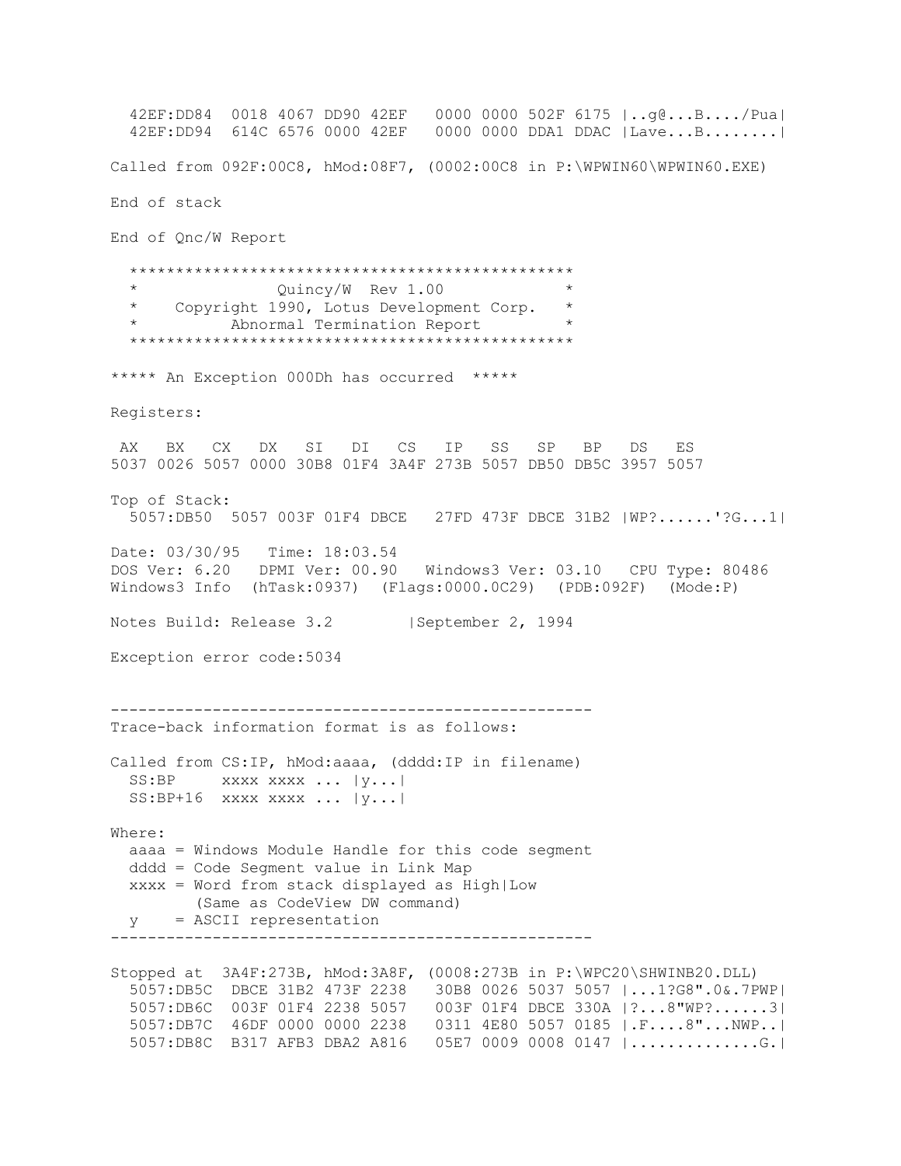42EF:DD84 0018 4067 DD90 42EF 0000 0000 502F 6175 |..g@...B..../Pua| 42EF:DD94 614C 6576 0000 42EF 0000 0000 DDA1 DDAC |Lave...B........| Called from 092F:00C8, hMod:08F7, (0002:00C8 in P:\WPWIN60\WPWIN60.EXE) End of stack End of Qnc/W Report \*\*\*\*\*\*\*\*\*\*\*\*\*\*\*\*\*\*\*\*\*\*\*\*\*\*\*\*\*\*\*\*\*\*\*\*\*\*\*\*\*\*\*\*\*\*\*\* Quincy/W Rev 1.00 \* Copyright 1990, Lotus Development Corp. \* Abnormal Termination Report \*\*\*\*\*\*\*\*\*\*\*\*\*\*\*\*\*\*\*\*\*\*\*\*\*\*\*\*\*\*\*\*\*\*\*\*\*\*\*\*\*\*\*\*\*\*\*\* \*\*\*\*\* An Exception 000Dh has occurred \*\*\*\*\* Registers: AX BX CX DX SI DI CS IP SS SP BP DS ES 5037 0026 5057 0000 30B8 01F4 3A4F 273B 5057 DB50 DB5C 3957 5057 Top of Stack: 5057:DB50 5057 003F 01F4 DBCE 27FD 473F DBCE 31B2 |WP?......'?G...1| Date: 03/30/95 Time: 18:03.54 DOS Ver: 6.20 DPMI Ver: 00.90 Windows3 Ver: 03.10 CPU Type: 80486 Windows3 Info (hTask:0937) (Flags:0000.0C29) (PDB:092F) (Mode:P) Notes Build: Release 3.2 | September 2, 1994 Exception error code:5034 ---------------------------------------------------- Trace-back information format is as follows: Called from CS:IP, hMod:aaaa, (dddd:IP in filename)  $SS: BP$  xxxx xxxx ...  $|y...|$  $SS: BP+16$  xxxx xxxx ...  $|y...|$ Where: aaaa = Windows Module Handle for this code segment dddd = Code Segment value in Link Map xxxx = Word from stack displayed as High|Low (Same as CodeView DW command) y = ASCII representation ---------------------------------------------------- Stopped at 3A4F:273B, hMod:3A8F, (0008:273B in P:\WPC20\SHWINB20.DLL) 5057:DB5C DBCE 31B2 473F 2238 30B8 0026 5037 5057 |...1?G8".0&.7PWP| 5057:DB6C 003F 01F4 2238 5057 003F 01F4 DBCE 330A |?...8"WP?......3| 5057:DB7C 46DF 0000 0000 2238 0311 4E80 5057 0185 |.F....8"...NWP..| 5057:DB8C B317 AFB3 DBA2 A816 05E7 0009 0008 0147 |..............G.|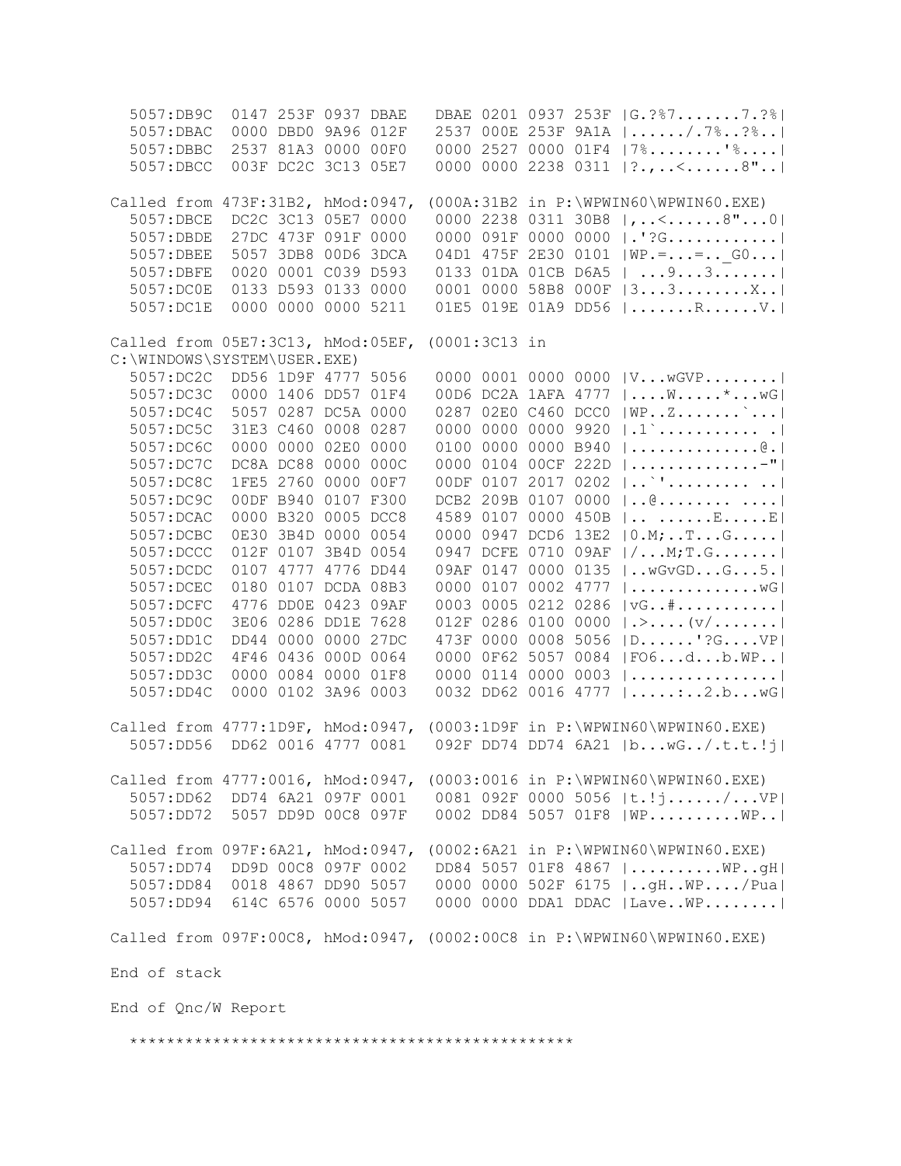| 5057:DB9C                         |                     | 0147 253F 0937 DBAE |                     |  |  | DBAE 0201 0937 253F  G. ?%77. ?%                                        |
|-----------------------------------|---------------------|---------------------|---------------------|--|--|-------------------------------------------------------------------------|
| 5057:DBAC                         |                     | 0000 DBD0 9A96 012F |                     |  |  | 2537 000E 253F 9A1A   /.7%?%                                            |
| 5057:DBBC                         |                     | 2537 81A3 0000 00F0 |                     |  |  | 0000 2527 0000 01F4   7%'%                                              |
| 5057:DBCC                         |                     | 003F DC2C 3C13 05E7 |                     |  |  | 0000 0000 2238 0311   ?., <8"                                           |
|                                   |                     |                     |                     |  |  |                                                                         |
| Called from 473F:31B2, hMod:0947, |                     |                     |                     |  |  | $(000A:31B2$ in $P:\WPWIN60\WPWIN60.EXE)$                               |
| 5057:DBCE                         | DC2C 3C13 05E7 0000 |                     |                     |  |  | 0000 2238 0311 30B8  ,<8"0                                              |
| 5057:DBDE                         |                     | 27DC 473F 091F 0000 |                     |  |  | 0000 091F 0000 0000  .'?G                                               |
| 5057:DBEE                         |                     | 5057 3DB8 00D6 3DCA |                     |  |  | 04D1 475F 2E30 0101   WP. =  =  G0                                      |
| 5057:DBFE                         |                     | 0020 0001 C039 D593 |                     |  |  | 0133 01DA 01CB D6A5    9 3                                              |
| 5057:DC0E                         |                     | 0133 D593 0133 0000 |                     |  |  | 0001 0000 58B8 000F  33X                                                |
| 5057:DC1E                         |                     | 0000 0000 0000 5211 |                     |  |  | 01E5 019E 01A9 DD56   RV.                                               |
|                                   |                     |                     |                     |  |  |                                                                         |
| Called from 05E7:3C13, hMod:05EF, |                     |                     | (0001:3C13 in       |  |  |                                                                         |
| C:\WINDOWS\SYSTEM\USER.EXE)       |                     |                     |                     |  |  |                                                                         |
| 5057:DC2C                         | DD56 1D9F 4777 5056 |                     |                     |  |  | 0000 0001 0000 0000   V w GVP                                           |
| 5057:DC3C                         | 0000 1406 DD57 01F4 |                     |                     |  |  | 00D6 DC2A 1AFA 4777   W* wG                                             |
|                                   |                     |                     |                     |  |  |                                                                         |
| 5057:DC4C                         | 5057 0287 DC5A 0000 |                     | 0287 02E0 C460 DCC0 |  |  |                                                                         |
| 5057:DC5C                         |                     | 31E3 C460 0008 0287 | 0000 0000 0000 9920 |  |  | $  .1 \rangle      $                                                    |
| 5057:DC6C                         | 0000 0000 02E0 0000 |                     | 0100 0000 0000 B940 |  |  | $  \ldots \ldots \ldots \ldots \ldots \mathbb{e}  $                     |
| 5057:DC7C                         |                     | DC8A DC88 0000 000C | 0000 0104 00CF 222D |  |  |                                                                         |
| 5057:DC8C                         | 1FE5 2760 0000      | 00F7                | 00DF 0107 2017 0202 |  |  | $ $ <sup>*</sup> '                                                      |
| 5057:DC9C                         |                     | 00DF B940 0107 F300 | DCB2 209B 0107 0000 |  |  | $  @ \dots  @  $                                                        |
| 5057: DCAC                        |                     | 0000 B320 0005 DCC8 | 4589 0107 0000 450B |  |  | $  \ldots  $ E E                                                        |
| 5057:DCBC                         | 0E30 3B4D 0000 0054 |                     | 0000 0947 DCD6 13E2 |  |  | $ 0.M; $ T G                                                            |
| 5057:DCCC                         | 012F 0107 3B4D 0054 |                     | 0947 DCFE 0710 09AF |  |  | $  / \ldots M$ ; T.G                                                    |
| 5057:DCDC                         | 0107 4777 4776 DD44 |                     | 09AF 0147 0000 0135 |  |  | $\vert$ wGvGDG5. $\vert$                                                |
| 5057:DCEC                         |                     | 0180 0107 DCDA 08B3 | 0000 0107 0002 4777 |  |  | $  \ldots \ldots \ldots \ldots \ldots \mathsf{wG}  $                    |
| 5057:DCFC                         |                     | 4776 DD0E 0423 09AF | 0003 0005 0212 0286 |  |  | $\vert \forall G \ldots \# \ldots \ldots \ldots \ldots \vert$           |
| 5057:DD0C                         |                     | 3E06 0286 DD1E 7628 | 012F 0286 0100 0000 |  |  | $  \cdot \rangle$ $  \vee \rangle$                                      |
| 5057:DD1C                         |                     | DD44 0000 0000 27DC | 473F 0000 0008 5056 |  |  | $ D$ '? $G$ $VP $                                                       |
| 5057:DD2C                         | 4F46 0436 000D 0064 |                     | 0000 0F62 5057 0084 |  |  | FO6db.WP                                                                |
| 5057:DD3C                         |                     | 0000 0084 0000 01F8 | 0000 0114 0000 0003 |  |  |                                                                         |
| 5057:DD4C                         |                     | 0000 0102 3A96 0003 | 0032 DD62 0016 4777 |  |  | $  \ldots \ldots \ldots 2.b \ldots wG  $                                |
|                                   |                     |                     |                     |  |  |                                                                         |
| Called from 4777:1D9F, hMod:0947, |                     |                     |                     |  |  | (0003:1D9F in P:\WPWIN60\WPWIN60.EXE)                                   |
| 5057:DD56                         | DD62 0016 4777 0081 |                     |                     |  |  | 092F DD74 DD74 6A21  bwG/.t.t.!j                                        |
|                                   |                     |                     |                     |  |  |                                                                         |
|                                   |                     |                     |                     |  |  | Called from 4777:0016, hMod:0947, (0003:0016 in P:\WPWIN60\WPWIN60.EXE) |
|                                   |                     |                     |                     |  |  | 5057:DD62 DD74 6A21 097F 0001 0081 092F 0000 5056  t.!j/VP              |
|                                   |                     |                     |                     |  |  | 5057:DD72 5057 DD9D 00C8 097F 0002 DD84 5057 01F8  WP WP                |
|                                   |                     |                     |                     |  |  |                                                                         |
|                                   |                     |                     |                     |  |  |                                                                         |
| 5057:DD74                         |                     |                     |                     |  |  | Called from 097F:6A21, hMod:0947, (0002:6A21 in P:\WPWIN60\WPWIN60.EXE) |
|                                   | DD9D 00C8 097F 0002 |                     |                     |  |  | DD84 5057 01F8 4867  WPgH                                               |
|                                   |                     |                     |                     |  |  | 5057:DD84 0018 4867 DD90 5057 0000 0000 502F 6175    gH. . WP / Pual    |
|                                   |                     |                     |                     |  |  | 5057:DD94 614C 6576 0000 5057 0000 0000 DDA1 DDAC  LaveWP               |
|                                   |                     |                     |                     |  |  |                                                                         |
|                                   |                     |                     |                     |  |  | Called from 097F:00C8, hMod:0947, (0002:00C8 in P:\WPWIN60\WPWIN60.EXE) |
|                                   |                     |                     |                     |  |  |                                                                         |
| End of stack                      |                     |                     |                     |  |  |                                                                         |
|                                   |                     |                     |                     |  |  |                                                                         |
| End of Qnc/W Report               |                     |                     |                     |  |  |                                                                         |
|                                   |                     |                     |                     |  |  |                                                                         |
|                                   |                     |                     |                     |  |  |                                                                         |
|                                   |                     |                     |                     |  |  |                                                                         |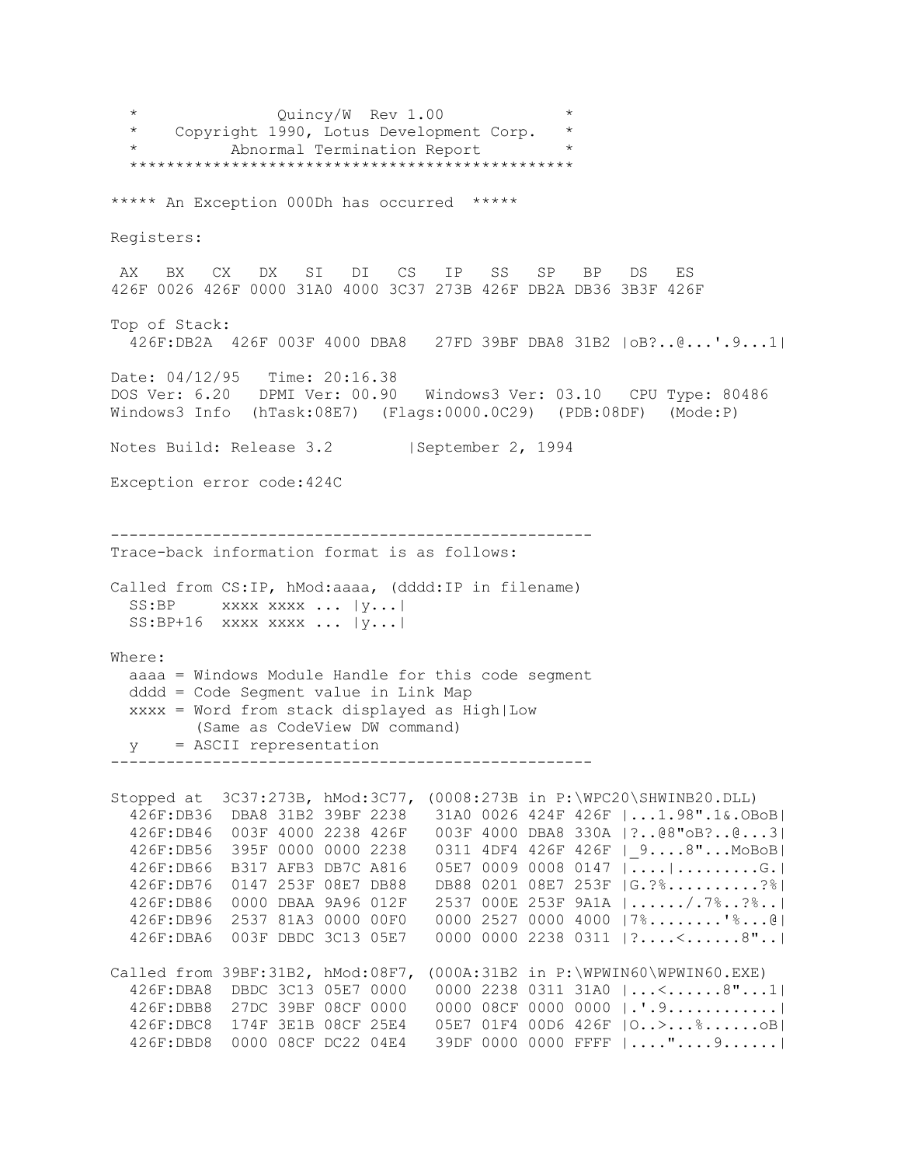Quincy/W Rev 1.00 \* Copyright 1990, Lotus Development Corp. \* Abnormal Termination Report \*\*\*\*\*\*\*\*\*\*\*\*\*\*\*\*\*\*\*\*\*\*\*\*\*\*\*\*\*\*\*\*\*\*\*\*\*\*\*\*\*\*\*\*\*\*\*\* \*\*\*\*\* An Exception 000Dh has occurred \*\*\*\*\* Registers: AX BX CX DX SI DI CS IP SS SP BP DS ES 426F 0026 426F 0000 31A0 4000 3C37 273B 426F DB2A DB36 3B3F 426F Top of Stack: 426F:DB2A 426F 003F 4000 DBA8 27FD 39BF DBA8 31B2 |oB?..@...'.9...1| Date: 04/12/95 Time: 20:16.38 DOS Ver: 6.20 DPMI Ver: 00.90 Windows3 Ver: 03.10 CPU Type: 80486 Windows3 Info (hTask:08E7) (Flags:0000.0C29) (PDB:08DF) (Mode:P) Notes Build: Release 3.2 | September 2, 1994 Exception error code:424C ---------------------------------------------------- Trace-back information format is as follows: Called from CS:IP, hMod:aaaa, (dddd:IP in filename) SS:BP xxxx xxxx ... |y...| SS:BP+16 xxxx xxxx ... |y...| Where: aaaa = Windows Module Handle for this code segment dddd = Code Segment value in Link Map xxxx = Word from stack displayed as High|Low (Same as CodeView DW command) y = ASCII representation ---------------------------------------------------- Stopped at 3C37:273B, hMod:3C77, (0008:273B in P:\WPC20\SHWINB20.DLL) 426F:DB36 DBA8 31B2 39BF 2238 31A0 0026 424F 426F |...1.98".1&.OBoB| 426F:DB46 003F 4000 2238 426F 003F 4000 DBA8 330A |?..@8"oB?..@...3| 426F:DB56 395F 0000 0000 2238 0311 4DF4 426F 426F |\_9....8"...MoBoB| 426F:DB66 B317 AFB3 DB7C A816 05E7 0009 0008 0147 |....|.........G.| 426F:DB76 0147 253F 08E7 DB88 DB88 0201 08E7 253F |G.?%..........?%| 426F:DB86 0000 DBAA 9A96 012F 2537 000E 253F 9A1A |....../.7%..?%..| 426F:DB96 2537 81A3 0000 00F0 0000 2527 0000 4000 |7%........'%...@| 426F:DBA6 003F DBDC 3C13 05E7 0000 0000 2238 0311 |?....<......8"..| Called from 39BF:31B2, hMod:08F7, (000A:31B2 in P:\WPWIN60\WPWIN60.EXE) 426F:DBA8 DBDC 3C13 05E7 0000 0000 2238 0311 31A0 |...<......8"...1| 426F:DBB8 27DC 39BF 08CF 0000 0000 08CF 0000 0000 |.'.9............| 426F:DBC8 174F 3E1B 08CF 25E4 05E7 01F4 00D6 426F |O..>...%......oB| 426F:DBD8 0000 08CF DC22 04E4 39DF 0000 0000 FFFF |...."....9......|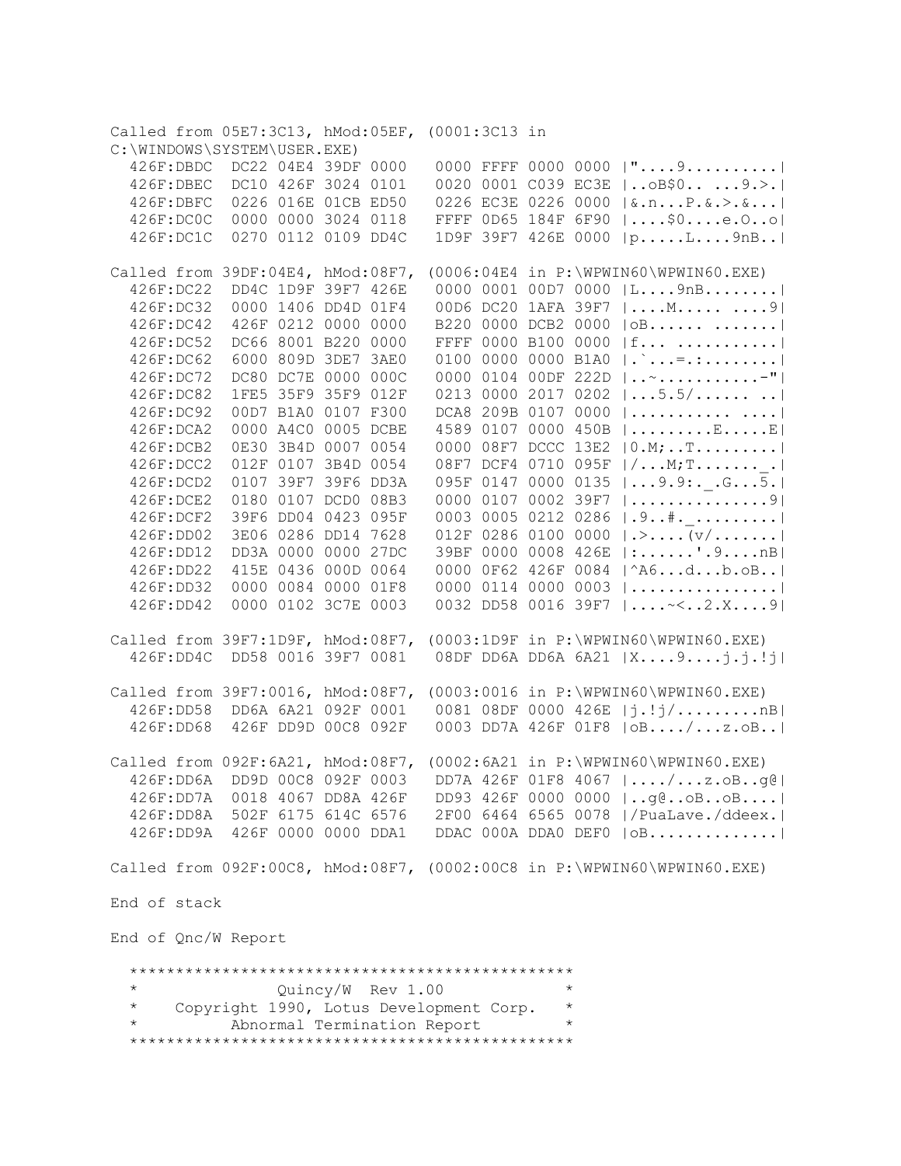Called from 05E7:3C13, hMod:05EF, (0001:3C13 in C:\WINDOWS\SYSTEM\USER.EXE) 426F:DBDC DC22 04E4 39DF 0000 0000 FFFF 0000 0000 |"....9..........| 426F:DBEC DC10 426F 3024 0101 0020 0001 C039 EC3E |..oB\$0.. ...9.>.| 426F:DBFC 0226 016E 01CB ED50 0226 EC3E 0226 0000 |&.n...P.&.>.&...| 426F:DC0C 0000 0000 3024 0118 FFFF 0D65 184F 6F90 |....\$0....e.O..o| 426F:DC1C 0270 0112 0109 DD4C 1D9F 39F7 426E 0000 |p.....L....9nB..| Called from 39DF:04E4, hMod:08F7, (0006:04E4 in P:\WPWIN60\WPWIN60.EXE) 426F:DC22 DD4C 1D9F 39F7 426E 0000 0001 00D7 0000 |L....9nB........| 426F:DC32 0000 1406 DD4D 01F4 00D6 DC20 1AFA 39F7 |....M..... ....9| 426F:DC42 426F 0212 0000 0000 B220 0000 DCB2 0000 |oB...... .......| 426F:DC52 DC66 8001 B220 0000 FFFF 0000 B100 0000 |f... ...........| 426F:DC62 6000 809D 3DE7 3AE0 0100 0000 0000 B1A0 |.`...=.:........| 426F:DC72 DC80 DC7E 0000 000C 0000 0104 00DF 222D |..~...........-"| 426F:DC82 1FE5 35F9 35F9 012F 0213 0000 2017 0202 |...5.5/...... ..| 426F:DC92 00D7 B1A0 0107 F300 DCA8 209B 0107 0000 |........... ....| 426F:DCA2 0000 A4C0 0005 DCBE 4589 0107 0000 450B |.........E.....E| 426F:DCB2 0E30 3B4D 0007 0054 0000 08F7 DCCC 13E2 |0.M;..T.........| 426F:DCC2 012F 0107 3B4D 0054 08F7 DCF4 0710 095F |/...M;T.......\_.| 426F:DCD2 0107 39F7 39F6 DD3A 095F 0147 0000 0135 |...9.9:.\_.G...5.| 426F:DCE2 0180 0107 DCD0 08B3 0000 0107 0002 39F7 |...............9| 426F:DCF2 39F6 DD04 0423 095F 0003 0005 0212 0286 |.9..#.\_.........| 426F:DD02 3E06 0286 DD14 7628 012F 0286 0100 0000 |.>....(v/.......| 426F:DD12 DD3A 0000 0000 27DC 39BF 0000 0008 426E |:......'.9....nB| 426F:DD22 415E 0436 000D 0064 0000 0F62 426F 0084 |^A6...d...b.oB..| 426F:DD32 0000 0084 0000 01F8 0000 0114 0000 0003 |................| 426F:DD42 0000 0102 3C7E 0003 0032 DD58 0016 39F7 |....~<..2.X....9| Called from 39F7:1D9F, hMod:08F7, (0003:1D9F in P:\WPWIN60\WPWIN60.EXE) 426F:DD4C DD58 0016 39F7 0081 08DF DD6A DD6A 6A21 |X....9....j.j.!j| Called from 39F7:0016, hMod:08F7, (0003:0016 in P:\WPWIN60\WPWIN60.EXE) 426F:DD58 DD6A 6A21 092F 0001 0081 08DF 0000 426E |j.!j/.........nB| 426F:DD68 426F DD9D 00C8 092F 0003 DD7A 426F 01F8 |oB..../...z.oB..| Called from 092F:6A21, hMod:08F7, (0002:6A21 in P:\WPWIN60\WPWIN60.EXE) 426F:DD6A DD9D 00C8 092F 0003 DD7A 426F 01F8 4067 |..../...z.oB..g@| 426F:DD7A 0018 4067 DD8A 426F DD93 426F 0000 0000 |..g@..oB..oB....| 426F:DD8A 502F 6175 614C 6576 2F00 6464 6565 0078 |/PuaLave./ddeex.| 426F:DD9A 426F 0000 0000 DDA1 DDAC 000A DDA0 DEF0 |oB..............| Called from 092F:00C8, hMod:08F7, (0002:00C8 in P:\WPWIN60\WPWIN60.EXE) End of stack End of Qnc/W Report \*\*\*\*\*\*\*\*\*\*\*\*\*\*\*\*\*\*\*\*\*\*\*\*\*\*\*\*\*\*\*\*\*\*\*\*\*\*\*\*\*\*\*\*\*\*\*\* \* Quincy/W Rev 1.00 \* Copyright 1990, Lotus Development Corp. \* Abnormal Termination Report \*\*\*\*\*\*\*\*\*\*\*\*\*\*\*\*\*\*\*\*\*\*\*\*\*\*\*\*\*\*\*\*\*\*\*\*\*\*\*\*\*\*\*\*\*\*\*\*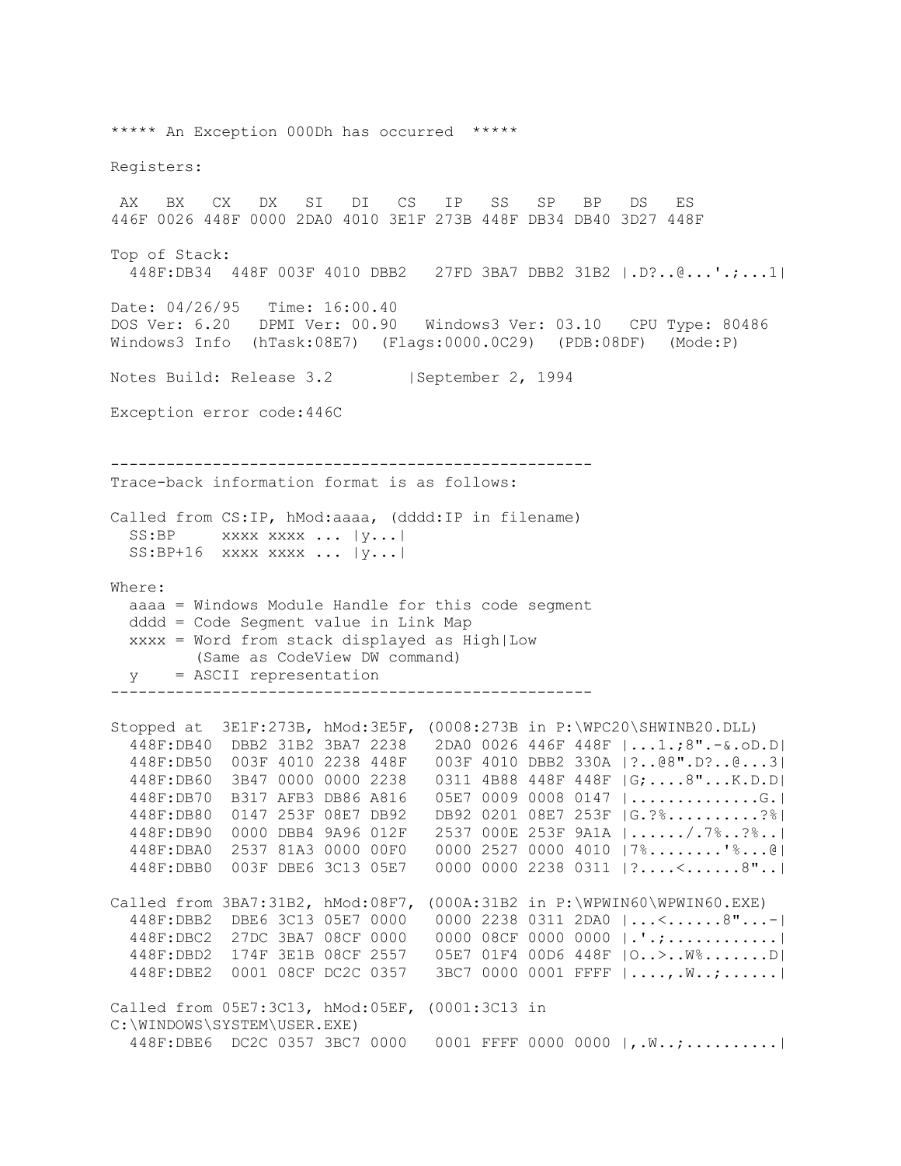\*\*\*\*\* An Exception 000Dh has occurred \*\*\*\*\* Registers: AX BX CX DX SI DI CS IP SS SP BP DS ES 446F 0026 448F 0000 2DA0 4010 3E1F 273B 448F DB34 DB40 3D27 448F Top of Stack: 448F:DB34 448F 003F 4010 DBB2 27FD 3BA7 DBB2 31B2 |.D?..@...'.;...1| Date: 04/26/95 Time: 16:00.40 DOS Ver: 6.20 DPMI Ver: 00.90 Windows3 Ver: 03.10 CPU Type: 80486 Windows3 Info (hTask:08E7) (Flags:0000.0C29) (PDB:08DF) (Mode:P) Notes Build: Release 3.2 | September 2, 1994 Exception error code:446C ---------------------------------------------------- Trace-back information format is as follows: Called from CS:IP, hMod:aaaa, (dddd:IP in filename) SS:BP xxxx xxxx ... |y...| SS:BP+16 xxxx xxxx ... |y...| Where: aaaa = Windows Module Handle for this code segment dddd = Code Segment value in Link Map xxxx = Word from stack displayed as High|Low (Same as CodeView DW command) y = ASCII representation ---------------------------------------------------- Stopped at 3E1F:273B, hMod:3E5F, (0008:273B in P:\WPC20\SHWINB20.DLL) 448F:DB40 DBB2 31B2 3BA7 2238 2DA0 0026 446F 448F |...1.;8".-&.oD.D| 448F:DB50 003F 4010 2238 448F 003F 4010 DBB2 330A |?..@8".D?..@...3| 448F:DB60 3B47 0000 0000 2238 0311 4B88 448F 448F |G;....8"...K.D.D| 448F:DB70 B317 AFB3 DB86 A816 05E7 0009 0008 0147 |..............G.| 448F:DB80 0147 253F 08E7 DB92 DB92 0201 08E7 253F |G.?%..........?%| 448F:DB90 0000 DBB4 9A96 012F 2537 000E 253F 9A1A |....../.7%..?%..| 448F:DBA0 2537 81A3 0000 00F0 0000 2527 0000 4010 |7%........'%...@| 448F:DBB0 003F DBE6 3C13 05E7 0000 0000 2238 0311 |?....<......8"..| Called from 3BA7:31B2, hMod:08F7, (000A:31B2 in P:\WPWIN60\WPWIN60.EXE) 448F:DBB2 DBE6 3C13 05E7 0000 0000 2238 0311 2DA0 |...<......8"...-| 448F:DBC2 27DC 3BA7 08CF 0000 0000 08CF 0000 0000 |.'.;............| 448F:DBD2 174F 3E1B 08CF 2557 05E7 01F4 00D6 448F |O..>..W%.......D| 448F:DBE2 0001 08CF DC2C 0357 3BC7 0000 0001 FFFF |....,.W..;......| Called from 05E7:3C13, hMod:05EF, (0001:3C13 in C:\WINDOWS\SYSTEM\USER.EXE) 448F:DBE6 DC2C 0357 3BC7 0000 0001 FFFF 0000 0000 |,.W..;..........|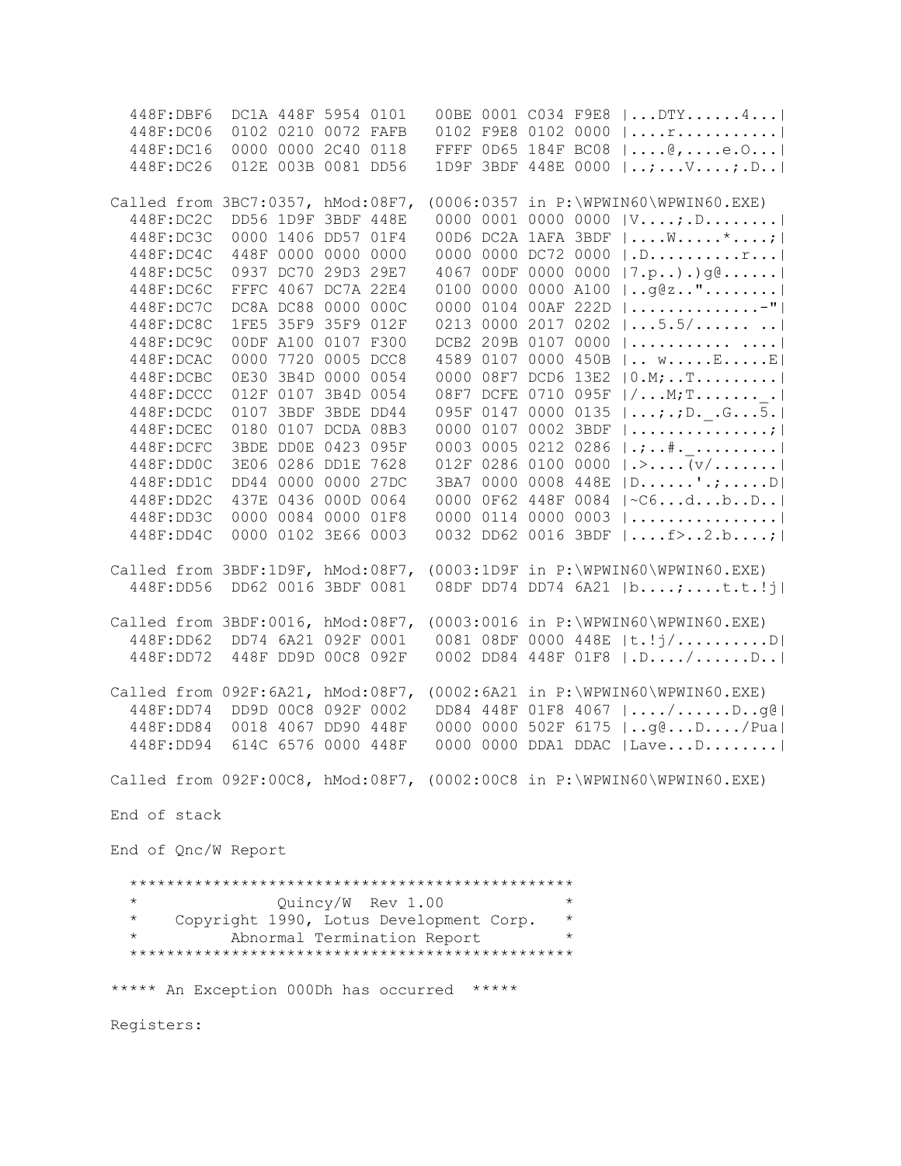448F:DBF6 DC1A 448F 5954 0101 00BE 0001 C034 F9E8 |...DTY......4...| 448F:DC06 0102 0210 0072 FAFB 0102 F9E8 0102 0000 |....r...........| 448F:DC16 0000 0000 2C40 0118 FFFF 0D65 184F BC08 |....@,....e.O...| 448F:DC26 012E 003B 0081 DD56 1D9F 3BDF 448E 0000 |..;...V....;.D..| Called from 3BC7:0357, hMod:08F7, (0006:0357 in P:\WPWIN60\WPWIN60.EXE) 448F:DC2C DD56 1D9F 3BDF 448E 0000 0001 0000 0000 |V....;.D........| 448F:DC3C 0000 1406 DD57 01F4 00D6 DC2A 1AFA 3BDF |....W.....\*....;| 448F:DC4C 448F 0000 0000 0000 0000 0000 DC72 0000 |.D...............|<br>448F:DC5C 0937 DC70 29D3 29E7 4067 00DF 0000 0000 |7.p..).)g@......|  $4067$  OODF 0000 0000  $|7.p..)$ .)g@...... 448F:DC6C FFFC 4067 DC7A 22E4 0100 0000 0000 A100 |..g@z.."........| 448F:DC7C DC8A DC88 0000 000C 0000 0104 00AF 222D |..............-"| 448F:DC8C 1FE5 35F9 35F9 012F 0213 0000 2017 0202 |...5.5/...... ..| 448F:DC9C 00DF A100 0107 F300 DCB2 209B 0107 0000 |........... ....| 448F:DCAC 0000 7720 0005 DCC8 4589 0107 0000 450B |.. w.....E.....E| 448F:DCBC 0E30 3B4D 0000 0054 0000 08F7 DCD6 13E2 |0.M;..T.........| 448F:DCCC 012F 0107 3B4D 0054 08F7 DCFE 0710 095F |/...M;T.......\_.| 448F:DCDC 0107 3BDF 3BDE DD44 095F 0147 0000 0135 |...;.;D.\_.G...5.| 448F:DCEC 0180 0107 DCDA 08B3 0000 0107 0002 3BDF |...............;| 448F:DCFC 3BDE DD0E 0423 095F 0003 0005 0212 0286 |.;..#.\_.........|  $448F:DDOC$  3E06 0286 DD1E 7628 012F 0286 0100 0000  $\sqrt{v'$ ...... 448F:DD1C DD44 0000 0000 27DC 3BA7 0000 0008 448E |D......'.;.....D| 448F:DD2C 437E 0436 000D 0064 0000 0F62 448F 0084 |~C6...d...b..D..| 448F:DD3C 0000 0084 0000 01F8 0000 0114 0000 0003 |................| 448F:DD4C 0000 0102 3E66 0003 0032 DD62 0016 3BDF |....f>..2.b....;| Called from 3BDF:1D9F, hMod:08F7, (0003:1D9F in P:\WPWIN60\WPWIN60.EXE) 448F:DD56 DD62 0016 3BDF 0081 08DF DD74 DD74 6A21 |b....;....t.t.!j| Called from 3BDF:0016, hMod:08F7, (0003:0016 in P:\WPWIN60\WPWIN60.EXE) 448F:DD62 DD74 6A21 092F 0001 0081 08DF 0000 448E |t.!j/..........D| 448F:DD72 448F DD9D 00C8 092F 0002 DD84 448F 01F8 |.D..../......D..| Called from 092F:6A21, hMod:08F7, (0002:6A21 in P:\WPWIN60\WPWIN60.EXE) 448F:DD74 DD9D 00C8 092F 0002 DD84 448F 01F8 4067 |..../......D..g@| 448F:DD84 0018 4067 DD90 448F 0000 0000 502F 6175 |..g@...D..../Pua| 448F:DD94 614C 6576 0000 448F 0000 0000 DDA1 DDAC |Lave...D........| Called from 092F:00C8, hMod:08F7, (0002:00C8 in P:\WPWIN60\WPWIN60.EXE) End of stack End of Qnc/W Report \*\*\*\*\*\*\*\*\*\*\*\*\*\*\*\*\*\*\*\*\*\*\*\*\*\*\*\*\*\*\*\*\*\*\*\*\*\*\*\*\*\*\*\*\*\*\*\* \* Quincy/W Rev 1.00 \* \* Copyright 1990, Lotus Development Corp. \* Abnormal Termination Report \*\*\*\*\*\*\*\*\*\*\*\*\*\*\*\*\*\*\*\*\*\*\*\*\*\*\*\*\*\*\*\*\*\*\*\*\*\*\*\*\*\*\*\*\*\*\*\* \*\*\*\*\* An Exception 000Dh has occurred \*\*\*\*\* Registers: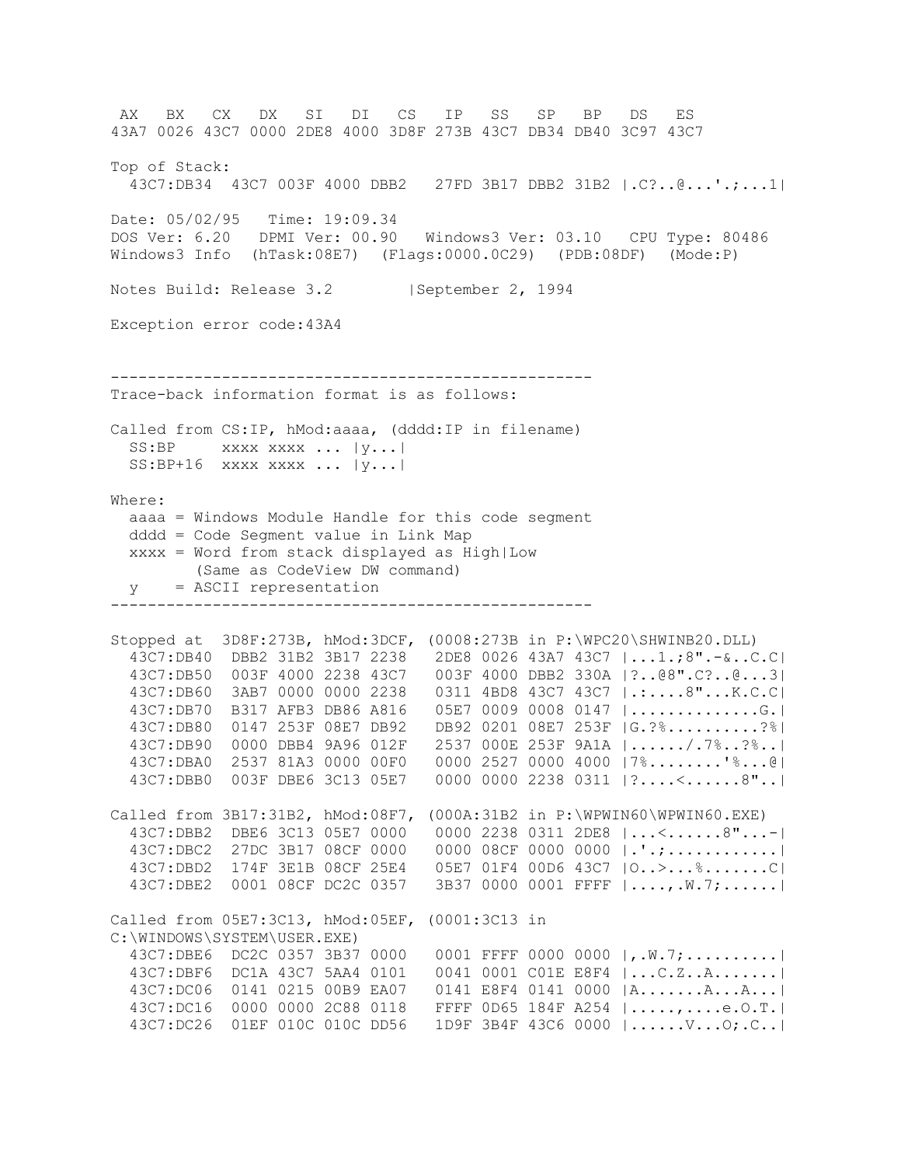AX BX CX DX SI DI CS IP SS SP BP DS ES 43A7 0026 43C7 0000 2DE8 4000 3D8F 273B 43C7 DB34 DB40 3C97 43C7 Top of Stack: 43C7:DB34 43C7 003F 4000 DBB2 27FD 3B17 DBB2 31B2 |.C?..@...'.;...1| Date: 05/02/95 Time: 19:09.34 DOS Ver: 6.20 DPMI Ver: 00.90 Windows3 Ver: 03.10 CPU Type: 80486 Windows3 Info (hTask:08E7) (Flags:0000.0C29) (PDB:08DF) (Mode:P) Notes Build: Release 3.2 | September 2, 1994 Exception error code:43A4 ---------------------------------------------------- Trace-back information format is as follows: Called from CS:IP, hMod:aaaa, (dddd:IP in filename)  $SS: BP$  xxxx xxxx ...  $|y...|$  SS:BP+16 xxxx xxxx ... |y...| Where: aaaa = Windows Module Handle for this code segment dddd = Code Segment value in Link Map xxxx = Word from stack displayed as High|Low (Same as CodeView DW command) y = ASCII representation ---------------------------------------------------- Stopped at 3D8F:273B, hMod:3DCF, (0008:273B in P:\WPC20\SHWINB20.DLL) 43C7:DB40 DBB2 31B2 3B17 2238 2DE8 0026 43A7 43C7 |...1.;8".-&..C.C| 43C7:DB50 003F 4000 2238 43C7 003F 4000 DBB2 330A |?..@8".C?..@...3| 43C7:DB60 3AB7 0000 0000 2238 0311 4BD8 43C7 43C7 |.:....8"...K.C.C| 43C7:DB70 B317 AFB3 DB86 A816 05E7 0009 0008 0147 |..............G.| 43C7:DB80 0147 253F 08E7 DB92 DB92 0201 08E7 253F |G.?%..........?%| 43C7:DB90 0000 DBB4 9A96 012F 2537 000E 253F 9A1A |....../.7%..?%..| 43C7:DBA0 2537 81A3 0000 00F0 0000 2527 0000 4000 |7%........'%...@| 43C7:DBB0 003F DBE6 3C13 05E7 0000 0000 2238 0311 |?....<......8"..| Called from 3B17:31B2, hMod:08F7, (000A:31B2 in P:\WPWIN60\WPWIN60.EXE) 43C7:DBB2 DBE6 3C13 05E7 0000 0000 2238 0311 2DE8 |...<......8"...-| 43C7:DBC2 27DC 3B17 08CF 0000 0000 08CF 0000 0000 |.'.;............| 43C7:DBD2 174F 3E1B 08CF 25E4 05E7 01F4 00D6 43C7 |O..>...%.......C| 43C7:DBE2 0001 08CF DC2C 0357 3B37 0000 0001 FFFF |....,.W.7;......| Called from 05E7:3C13, hMod:05EF, (0001:3C13 in C:\WINDOWS\SYSTEM\USER.EXE) 43C7:DBE6 DC2C 0357 3B37 0000 0001 FFFF 0000 0000 |,.W.7;..........| 43C7:DBF6 DC1A 43C7 5AA4 0101 0041 0001 C01E E8F4 |...C.Z..A.......| 43C7:DC06 0141 0215 00B9 EA07 0141 E8F4 0141 0000 |A.......A...A...| 43C7:DC16 0000 0000 2C88 0118 FFFF 0D65 184F A254 |.....,....e.O.T.| 43C7:DC26 01EF 010C 010C DD56 1D9F 3B4F 43C6 0000 |......V...O;.C..|